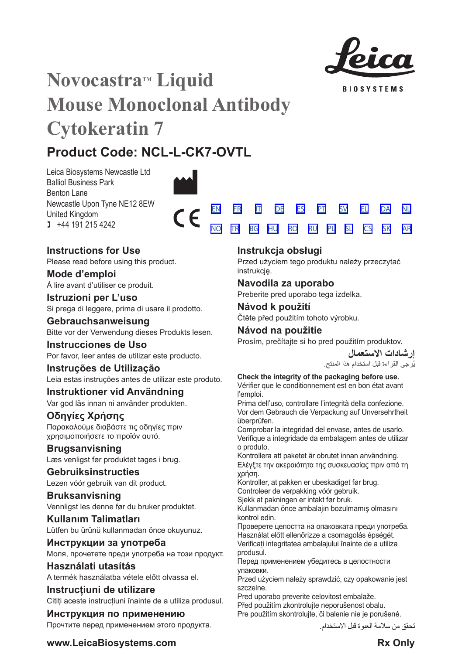

**BIOSYSTEMS** 

[SV](#page-20-0) [EL](#page-23-0) [DA](#page-26-0)

[NL](#page-29-0)

[SK](#page-59-0) [AR](#page-62-0)

[PL](#page-50-0) [SL](#page-53-0) [CS](#page-56-0)

# **Novocastra™ Liquid Mouse Monoclonal Antibody Cytokeratin 7**

## **Product Code: NCL-L-CK7-OVTL**

Leica Biosystems Newcastle Ltd Balliol Business Park Benton Lane Newcastle Upon Tyne NE12 8EW United Kingdom  $1 +44 191 215 4242$ 



## **Instructions for Use**

Please read before using this product.

**Mode d'emploi** Á lire avant d'utiliser ce produit.

**Istruzioni per L'uso** Si prega di leggere, prima di usare il prodotto.

**Gebrauchsanweisung** Bitte vor der Verwendung dieses Produkts lesen.

**Instrucciones de Uso** Por favor, leer antes de utilizar este producto.

## **Instruções de Utilização**

Leia estas instruções antes de utilizar este produto.

## **Instruktioner vid Användning**

Var god läs innan ni använder produkten.

## **Οδηγίες Χρήσης**

Παρακαλούμε διαβάστε τις οδηγίες πριν χρησιμοποιήσετε το προϊόν αυτό.

## **Brugsanvisning**

Læs venligst før produktet tages i brug.

## **Gebruiksinstructies**

Lezen vóór gebruik van dit product.

## **Bruksanvisning** Vennligst les denne før du bruker produktet.

**Kullanım Talimatları** Lütfen bu ürünü kullanmadan önce okuyunuz.

**Инструкции за употреба** Моля, прочетете преди употреба на този продукт.

**Használati utasítás** A termék használatba vétele előtt olvassa el.

**Instrucțiuni de utilizare** Cititi aceste instructiuni înainte de a utiliza produsul.

## **Инструкция по применению** Прочтите перед применением этого продукта.

## **Instrukcja obsługi**

[TR](#page-35-0) [BG](#page-38-0) [HU](#page-41-0) [RO](#page-44-0) [RU](#page-47-0)

Przed użyciem tego produktu należy przeczytać instrukcję.

## **Navodila za uporabo**

Preberite pred uporabo tega izdelka.

## **Návod k použití** Čtěte před použitím tohoto výrobku.

## **Návod na použitie**

Prosím, prečítajte si ho pred použitím produktov.

**إرشادات االستعمال** ُرجى القراءة قبل استخدام هذا المنتج. ي

## **Check the integrity of the packaging before use.**

Vérifier que le conditionnement est en bon état avant l'emploi.

Prima dell'uso, controllare l'integrità della confezione. Vor dem Gebrauch die Verpackung auf Unversehrtheit überprüfen.

Comprobar la integridad del envase, antes de usarlo. Verifique a integridade da embalagem antes de utilizar o produto.

Kontrollera att paketet är obrutet innan användning. Ελέγξτε την ακεραιότητα της συσκευασίας πριν από τη χρήση.

Kontroller, at pakken er ubeskadiget før brug.

Controleer de verpakking vóór gebruik.

Sjekk at pakningen er intakt før bruk.

Kullanmadan önce ambalajın bozulmamış olmasını kontrol edin.

Проверете целостта на опаковката преди употреба. Használat előtt ellenőrizze a csomagolás épségét. Verificați integritatea ambalajului înainte de a utiliza produsul.

Перед применением убедитесь в целостности упаковки.

Przed użyciem należy sprawdzić, czy opakowanie jest szczelne.

Pred uporabo preverite celovitost embalaže. Před použitím zkontrolujte neporušenost obalu. Pre použitím skontrolujte, či balenie nie je porušené.

تحقق من سالمة العبوة قبل االستخدام.

**www.LeicaBiosystems.com Rx** Only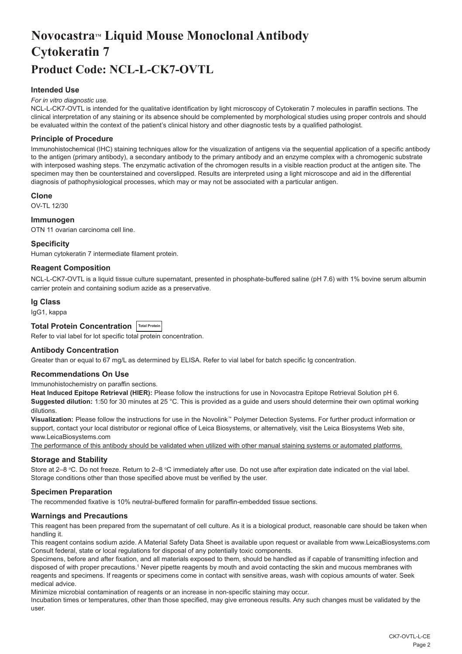## <span id="page-2-0"></span>**NovocastraTM Liquid Mouse Monoclonal Antibody Cytokeratin 7 Product Code: NCL-L-CK7-OVTL**

## **Intended Use**

#### *For in vitro diagnostic use.*

NCL-L-CK7-OVTL is intended for the qualitative identification by light microscopy of Cytokeratin 7 molecules in paraffin sections. The clinical interpretation of any staining or its absence should be complemented by morphological studies using proper controls and should be evaluated within the context of the patient's clinical history and other diagnostic tests by a qualified pathologist.

## **Principle of Procedure**

Immunohistochemical (IHC) staining techniques allow for the visualization of antigens via the sequential application of a specific antibody to the antigen (primary antibody), a secondary antibody to the primary antibody and an enzyme complex with a chromogenic substrate with interposed washing steps. The enzymatic activation of the chromogen results in a visible reaction product at the antigen site. The specimen may then be counterstained and coverslipped. Results are interpreted using a light microscope and aid in the differential diagnosis of pathophysiological processes, which may or may not be associated with a particular antigen.

### **Clone**

OV-TL 12/30

## **Immunogen**

OTN 11 ovarian carcinoma cell line.

#### **Specificity**

Human cytokeratin 7 intermediate filament protein.

## **Reagent Composition**

NCL-L-CK7-OVTL is a liquid tissue culture supernatant, presented in phosphate-buffered saline (pH 7.6) with 1% bovine serum albumin carrier protein and containing sodium azide as a preservative.

#### **Ig Class**

IgG1, kappa

## **Total Protein Concentration Total Protein**

Refer to vial label for lot specific total protein concentration.

## **Antibody Concentration**

Greater than or equal to 67 mg/L as determined by ELISA. Refer to vial label for batch specific Ig concentration.

## **Recommendations On Use**

Immunohistochemistry on paraffin sections.

**Heat Induced Epitope Retrieval (HIER):** Please follow the instructions for use in Novocastra Epitope Retrieval Solution pH 6. **Suggested dilution:** 1:50 for 30 minutes at 25 °C. This is provided as a guide and users should determine their own optimal working dilutions.

**Visualization:** Please follow the instructions for use in the Novolink™ Polymer Detection Systems. For further product information or support, contact your local distributor or regional office of Leica Biosystems, or alternatively, visit the Leica Biosystems Web site, www.LeicaBiosystems.com

The performance of this antibody should be validated when utilized with other manual staining systems or automated platforms.

### **Storage and Stability**

Store at 2–8 ℃. Do not freeze. Return to 2–8 ℃ immediately after use. Do not use after expiration date indicated on the vial label. Storage conditions other than those specified above must be verified by the user.

### **Specimen Preparation**

The recommended fixative is 10% neutral-buffered formalin for paraffin-embedded tissue sections.

### **Warnings and Precautions**

This reagent has been prepared from the supernatant of cell culture. As it is a biological product, reasonable care should be taken when handling it.

This reagent contains sodium azide. A Material Safety Data Sheet is available upon request or available from www.LeicaBiosystems.com Consult federal, state or local regulations for disposal of any potentially toxic components.

Specimens, before and after fixation, and all materials exposed to them, should be handled as if capable of transmitting infection and disposed of with proper precautions.1 Never pipette reagents by mouth and avoid contacting the skin and mucous membranes with reagents and specimens. If reagents or specimens come in contact with sensitive areas, wash with copious amounts of water. Seek medical advice.

Minimize microbial contamination of reagents or an increase in non-specific staining may occur.

Incubation times or temperatures, other than those specified, may give erroneous results. Any such changes must be validated by the user.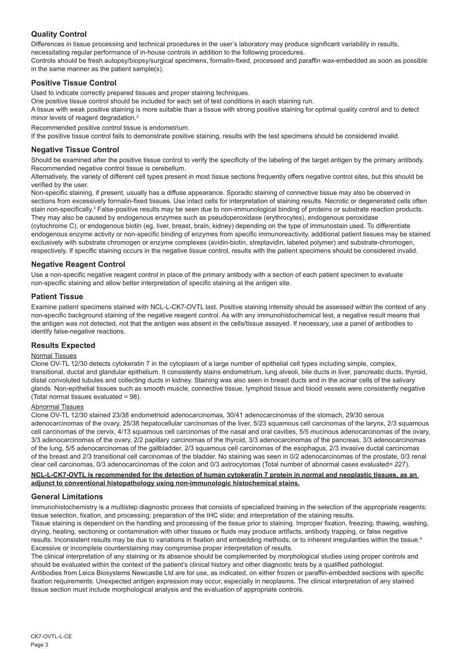## **Quality Control**

Differences in tissue processing and technical procedures in the user's laboratory may produce significant variability in results, necessitating regular performance of in-house controls in addition to the following procedures.

Controls should be fresh autopsy/biopsy/surgical specimens, formalin-fixed, processed and paraffin wax-embedded as soon as possible in the same manner as the patient sample(s).

## **Positive Tissue Control**

Used to indicate correctly prepared tissues and proper staining techniques.

One positive tissue control should be included for each set of test conditions in each staining run.

A tissue with weak positive staining is more suitable than a tissue with strong positive staining for optimal quality control and to detect minor levels of reagent degradation.<sup>2</sup>

Recommended positive control tissue is endometrium.

If the positive tissue control fails to demonstrate positive staining, results with the test specimens should be considered invalid.

## **Negative Tissue Control**

Should be examined after the positive tissue control to verify the specificity of the labeling of the target antigen by the primary antibody. Recommended negative control tissue is cerebellum.

Alternatively, the variety of different cell types present in most tissue sections frequently offers negative control sites, but this should be verified by the user.

Non-specific staining, if present, usually has a diffuse appearance. Sporadic staining of connective tissue may also be observed in sections from excessively formalin-fixed tissues. Use intact cells for interpretation of staining results. Necrotic or degenerated cells often stain non-specifically.<sup>3</sup> False-positive results may be seen due to non-immunological binding of proteins or substrate reaction products. They may also be caused by endogenous enzymes such as pseudoperoxidase (erythrocytes), endogenous peroxidase

(cytochrome C), or endogenous biotin (eg. liver, breast, brain, kidney) depending on the type of immunostain used. To differentiate endogenous enzyme activity or non-specific binding of enzymes from specific immunoreactivity, additional patient tissues may be stained exclusively with substrate chromogen or enzyme complexes (avidin-biotin, streptavidin, labeled polymer) and substrate-chromogen, respectively. If specific staining occurs in the negative tissue control, results with the patient specimens should be considered invalid.

## **Negative Reagent Control**

Use a non-specific negative reagent control in place of the primary antibody with a section of each patient specimen to evaluate non-specific staining and allow better interpretation of specific staining at the antigen site.

## **Patient Tissue**

Examine patient specimens stained with NCL-L-CK7-OVTL last. Positive staining intensity should be assessed within the context of any non-specific background staining of the negative reagent control. As with any immunohistochemical test, a negative result means that the antigen was not detected, not that the antigen was absent in the cells/tissue assayed. If necessary, use a panel of antibodies to identify false-negative reactions.

## **Results Expected**

## Normal Tissues

Clone OV-TL 12/30 detects cytokeratin 7 in the cytoplasm of a large number of epithelial cell types including simple, complex, transitional, ductal and glandular epithelium. It consistently stains endometrium, lung alveoli, bile ducts in liver, pancreatic ducts, thyroid, distal convoluted tubules and collecting ducts in kidney. Staining was also seen in breast ducts and in the acinar cells of the salivary glands. Non-epithelial tissues such as smooth muscle, connective tissue, lymphoid tissue and blood vessels were consistently negative (Total normal tissues evaluated = 98).

### Abnormal Tissues

Clone OV-TL 12/30 stained 23/38 endometrioid adenocarcinomas, 30/41 adenocarcinomas of the stomach, 29/30 serous adenocarcinomas of the ovary, 25/38 hepatocellular carcinomas of the liver, 5/23 squamous cell carcinomas of the larynx, 2/3 squamous cell carcinomas of the cervix, 4/13 squamous cell carcinomas of the nasal and oral cavities, 5/5 mucinous adenocarcinomas of the ovary, 3/3 adenocarcinomas of the ovary, 2/2 papillary carcinomas of the thyroid, 3/3 adenocarcinomas of the pancreas, 3/3 adenocarcinomas of the lung, 5/5 adenocarcinomas of the gallbladder, 2/3 squamous cell carcinomas of the esophagus, 2/3 invasive ductal carcinomas of the breast and 2/3 transitional cell carcinomas of the bladder. No staining was seen in 0/2 adenocarcinomas of the prostate, 0/3 renal clear cell carcinomas, 0/3 adenocarcinomas of the colon and 0/3 astrocytomas (Total number of abnormal cases evaluated= 227).

## **NCL-L-CK7-OVTL is recommended for the detection of human cytokeratin 7 protein in normal and neoplastic tissues, as an adjunct to conventional histopathology using non-immunologic histochemical stains.**

## **General Limitations**

Immunohistochemistry is a multistep diagnostic process that consists of specialized training in the selection of the appropriate reagents; tissue selection, fixation, and processing; preparation of the IHC slide; and interpretation of the staining results.

Tissue staining is dependent on the handling and processing of the tissue prior to staining. Improper fixation, freezing, thawing, washing, drying, heating, sectioning or contamination with other tissues or fluids may produce artifacts, antibody trapping, or false negative results. Inconsistent results may be due to variations in fixation and embedding methods, or to inherent irregularities within the tissue.4 Excessive or incomplete counterstaining may compromise proper interpretation of results.

The clinical interpretation of any staining or its absence should be complemented by morphological studies using proper controls and should be evaluated within the context of the patient's clinical history and other diagnostic tests by a qualified pathologist. Antibodies from Leica Biosystems Newcastle Ltd are for use, as indicated, on either frozen or paraffin-embedded sections with specific fixation requirements. Unexpected antigen expression may occur, especially in neoplasms. The clinical interpretation of any stained tissue section must include morphological analysis and the evaluation of appropriate controls.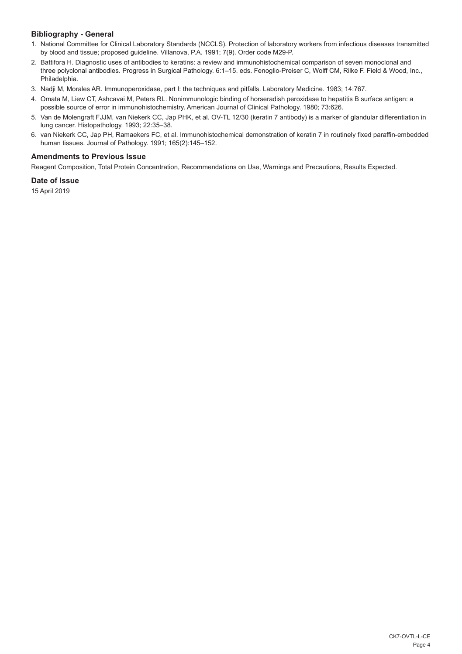## **Bibliography - General**

- 1. National Committee for Clinical Laboratory Standards (NCCLS). Protection of laboratory workers from infectious diseases transmitted by blood and tissue; proposed guideline. Villanova, P.A. 1991; 7(9). Order code M29-P.
- 2. Battifora H. Diagnostic uses of antibodies to keratins: a review and immunohistochemical comparison of seven monoclonal and three polyclonal antibodies. Progress in Surgical Pathology. 6:1–15. eds. Fenoglio-Preiser C, Wolff CM, Rilke F. Field & Wood, Inc., Philadelphia.
- 3. Nadji M, Morales AR. Immunoperoxidase, part I: the techniques and pitfalls. Laboratory Medicine. 1983; 14:767.
- 4. Omata M, Liew CT, Ashcavai M, Peters RL. Nonimmunologic binding of horseradish peroxidase to hepatitis B surface antigen: a possible source of error in immunohistochemistry. American Journal of Clinical Pathology. 1980; 73:626.
- 5. Van de Molengraft FJJM, van Niekerk CC, Jap PHK, et al. OV-TL 12/30 (keratin 7 antibody) is a marker of glandular differentiation in lung cancer. Histopathology. 1993; 22:35–38.
- 6. van Niekerk CC, Jap PH, Ramaekers FC, et al. Immunohistochemical demonstration of keratin 7 in routinely fixed paraffin-embedded human tissues. Journal of Pathology. 1991; 165(2):145–152.

## **Amendments to Previous Issue**

Reagent Composition, Total Protein Concentration, Recommendations on Use, Warnings and Precautions, Results Expected.

## **Date of Issue**

15 April 2019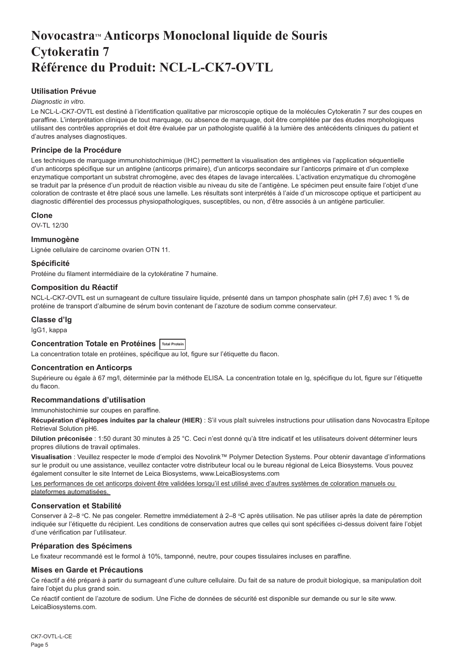## <span id="page-5-0"></span>**NovocastraTM Anticorps Monoclonal liquide de Souris Cytokeratin 7 Référence du Produit: NCL-L-CK7-OVTL**

## **Utilisation Prévue**

### *Diagnostic in vitro*.

Le NCL-L-CK7-OVTL est destiné à l'identification qualitative par microscopie optique de la molécules Cytokeratin 7 sur des coupes en paraffine. L'interprétation clinique de tout marquage, ou absence de marquage, doit être complétée par des études morphologiques utilisant des contrôles appropriés et doit être évaluée par un pathologiste qualifié à la lumière des antécédents cliniques du patient et d'autres analyses diagnostiques.

## **Principe de la Procédure**

Les techniques de marquage immunohistochimique (IHC) permettent la visualisation des antigènes via l'application séquentielle d'un anticorps spécifique sur un antigène (anticorps primaire), d'un anticorps secondaire sur l'anticorps primaire et d'un complexe enzymatique comportant un substrat chromogène, avec des étapes de lavage intercalées. L'activation enzymatique du chromogène se traduit par la présence d'un produit de réaction visible au niveau du site de l'antigène. Le spécimen peut ensuite faire l'objet d'une coloration de contraste et être placé sous une lamelle. Les résultats sont interprétés à l'aide d'un microscope optique et participent au diagnostic différentiel des processus physiopathologiques, susceptibles, ou non, d'être associés à un antigène particulier.

### **Clone**

OV-TL 12/30

### **Immunogène**

Lignée cellulaire de carcinome ovarien OTN 11.

## **Spécificité**

Protéine du filament intermédiaire de la cytokératine 7 humaine.

## **Composition du Réactif**

NCL-L-CK7-OVTL est un surnageant de culture tissulaire liquide, présenté dans un tampon phosphate salin (pH 7,6) avec 1 % de protéine de transport d'albumine de sérum bovin contenant de l'azoture de sodium comme conservateur.

## **Classe d'Ig**

IgG1, kappa

## **Concentration Totale en Protéines Total Protein**

La concentration totale en protéines, spécifique au lot, figure sur l'étiquette du flacon.

### **Concentration en Anticorps**

Supérieure ou égale à 67 mg/l, déterminée par la méthode ELISA. La concentration totale en Ig, spécifique du lot, figure sur l'étiquette du flacon.

## **Recommandations d'utilisation**

Immunohistochimie sur coupes en paraffine.

**Récupération d'épitopes induites par la chaleur (HIER)** : S'il vous plaît suivreles instructions pour utilisation dans Novocastra Epitope Retrieval Solution pH6.

**Dilution préconisée** : 1:50 durant 30 minutes à 25 °C. Ceci n'est donné qu'à titre indicatif et les utilisateurs doivent déterminer leurs propres dilutions de travail optimales.

**Visualisation** : Veuillez respecter le mode d'emploi des Novolink™ Polymer Detection Systems. Pour obtenir davantage d'informations sur le produit ou une assistance, veuillez contacter votre distributeur local ou le bureau régional de Leica Biosystems. Vous pouvez également consulter le site Internet de Leica Biosystems, www.LeicaBiosystems.com

Les performances de cet anticorps doivent être validées lorsqu'il est utilisé avec d'autres systèmes de coloration manuels ou plateformes automatisées.

## **Conservation et Stabilité**

Conserver à 2–8 °C. Ne pas congeler. Remettre immédiatement à 2–8 °C après utilisation. Ne pas utiliser après la date de péremption indiquée sur l'étiquette du récipient. Les conditions de conservation autres que celles qui sont spécifiées ci-dessus doivent faire l'objet d'une vérification par l'utilisateur.

### **Préparation des Spécimens**

Le fixateur recommandé est le formol à 10%, tamponné, neutre, pour coupes tissulaires incluses en paraffine.

### **Mises en Garde et Précautions**

Ce réactif a été préparé à partir du surnageant d'une culture cellulaire. Du fait de sa nature de produit biologique, sa manipulation doit faire l'obiet du plus grand soin.

Ce réactif contient de l'azoture de sodium. Une Fiche de données de sécurité est disponible sur demande ou sur le site www. LeicaBiosystems.com.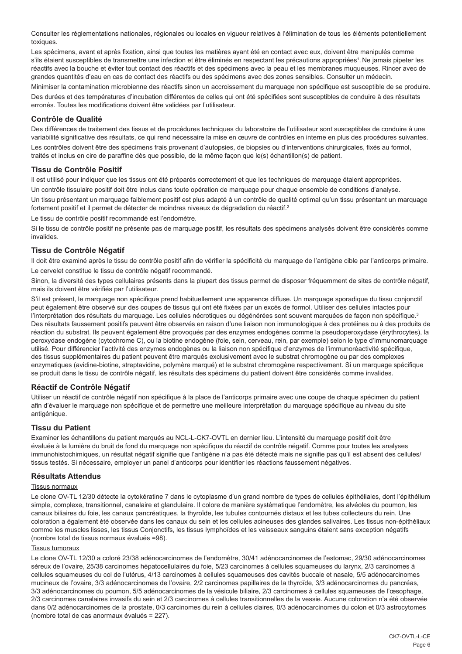Consulter les réglementations nationales, régionales ou locales en vigueur relatives à l'élimination de tous les éléments potentiellement toxiques.

Les spécimens, avant et après fixation, ainsi que toutes les matières ayant été en contact avec eux, doivent être manipulés comme s'ils étaient susceptibles de transmettre une infection et être éliminés en respectant les précautions appropriées<sup>1</sup>. Ne jamais pipeter les réactifs avec la bouche et éviter tout contact des réactifs et des spécimens avec la peau et les membranes muqueuses. Rincer avec de grandes quantités d'eau en cas de contact des réactifs ou des spécimens avec des zones sensibles. Consulter un médecin.

Minimiser la contamination microbienne des réactifs sinon un accroissement du marquage non spécifique est susceptible de se produire. Des durées et des températures d'incubation différentes de celles qui ont été spécifiées sont susceptibles de conduire à des résultats erronés. Toutes les modifications doivent être validées par l'utilisateur.

### **Contrôle de Qualité**

Des différences de traitement des tissus et de procédures techniques du laboratoire de l'utilisateur sont susceptibles de conduire à une variabilité significative des résultats, ce qui rend nécessaire la mise en œuvre de contrôles en interne en plus des procédures suivantes. Les contrôles doivent être des spécimens frais provenant d'autopsies, de biopsies ou d'interventions chirurgicales, fixés au formol, traités et inclus en cire de paraffine dès que possible, de la même façon que le(s) échantillon(s) de patient.

#### **Tissu de Contrôle Positif**

Il est utilisé pour indiquer que les tissus ont été préparés correctement et que les techniques de marquage étaient appropriées. Un contrôle tissulaire positif doit être inclus dans toute opération de marquage pour chaque ensemble de conditions d'analyse.

Un tissu présentant un marquage faiblement positif est plus adapté à un contrôle de qualité optimal qu'un tissu présentant un marquage fortement positif et il permet de détecter de moindres niveaux de dégradation du réactif.<sup>2</sup>

Le tissu de contrôle positif recommandé est l'endomètre.

Si le tissu de contrôle positif ne présente pas de marquage positif, les résultats des spécimens analysés doivent être considérés comme invalides.

#### **Tissu de Contrôle Négatif**

Il doit être examiné après le tissu de contrôle positif afin de vérifier la spécificité du marquage de l'antigène cible par l'anticorps primaire.

Le cervelet constitue le tissu de contrôle négatif recommandé.

Sinon, la diversité des types cellulaires présents dans la plupart des tissus permet de disposer fréquemment de sites de contrôle négatif, mais ils doivent être vérifiés par l'utilisateur.

S'il est présent, le marquage non spécifique prend habituellement une apparence diffuse. Un marquage sporadique du tissu conjonctif peut également être observé sur des coupes de tissus qui ont été fixées par un excès de formol. Utiliser des cellules intactes pour l'interprétation des résultats du marquage. Les cellules nécrotiques ou dégénérées sont souvent marquées de façon non spécifique.<sup>3</sup> Des résultats faussement positifs peuvent être observés en raison d'une liaison non immunologique à des protéines ou à des produits de réaction du substrat. Ils peuvent également être provoqués par des enzymes endogènes comme la pseudoperoxydase (érythrocytes), la peroxydase endogène (cytochrome C), ou la biotine endogène (foie, sein, cerveau, rein, par exemple) selon le type d'immunomarquage utilisé. Pour différencier l'activité des enzymes endogènes ou la liaison non spécifique d'enzymes de l'immunoréactivité spécifique, des tissus supplémentaires du patient peuvent être marqués exclusivement avec le substrat chromogène ou par des complexes enzymatiques (avidine-biotine, streptavidine, polymère marqué) et le substrat chromogène respectivement. Si un marquage spécifique se produit dans le tissu de contrôle négatif, les résultats des spécimens du patient doivent être considérés comme invalides.

### **Réactif de Contrôle Négatif**

Utiliser un réactif de contrôle négatif non spécifique à la place de l'anticorps primaire avec une coupe de chaque spécimen du patient afin d'évaluer le marquage non spécifique et de permettre une meilleure interprétation du marquage spécifique au niveau du site antigénique.

### **Tissu du Patient**

Examiner les échantillons du patient marqués au NCL-L-CK7-OVTL en dernier lieu. L'intensité du marquage positif doit être évaluée à la lumière du bruit de fond du marquage non spécifique du réactif de contrôle négatif. Comme pour toutes les analyses immunohistochimiques, un résultat négatif signifie que l'antigène n'a pas été détecté mais ne signifie pas qu'il est absent des cellules/ tissus testés. Si nécessaire, employer un panel d'anticorps pour identifier les réactions faussement négatives.

### **Résultats Attendus**

#### Tissus normaux

Le clone OV-TL 12/30 détecte la cytokératine 7 dans le cytoplasme d'un grand nombre de types de cellules épithéliales, dont l'épithélium simple, complexe, transitionnel, canalaire et glandulaire. Il colore de manière systématique l'endomètre, les alvéoles du poumon, les canaux biliaires du foie, les canaux pancréatiques, la thyroïde, les tubules contournés distaux et les tubes collecteurs du rein. Une coloration a également été observée dans les canaux du sein et les cellules acineuses des glandes salivaires. Les tissus non-épithéliaux comme les muscles lisses, les tissus Conjonctifs, les tissus lymphoïdes et les vaisseaux sanguins étaient sans exception négatifs (nombre total de tissus normaux évalués =98).

#### Tissus tumoraux

Le clone OV-TL 12/30 a coloré 23/38 adénocarcinomes de l'endomètre, 30/41 adénocarcinomes de l'estomac, 29/30 adénocarcinomes séreux de l'ovaire, 25/38 carcinomes hépatocellulaires du foie, 5/23 carcinomes à cellules squameuses du larynx, 2/3 carcinomes à cellules squameuses du col de l'utérus, 4/13 carcinomes à cellules squameuses des cavités buccale et nasale, 5/5 adénocarcinomes mucineux de l'ovaire, 3/3 adénocarcinomes de l'ovaire, 2/2 carcinomes papillaires de la thyroïde, 3/3 adénocarcinomes du pancréas, 3/3 adénocarcinomes du poumon, 5/5 adénocarcinomes de la vésicule biliaire, 2/3 carcinomes à cellules squameuses de l'œsophage, 2/3 carcinomes canalaires invasifs du sein et 2/3 carcinomes à cellules transitionnelles de la vessie. Aucune coloration n'a été observée dans 0/2 adénocarcinomes de la prostate, 0/3 carcinomes du rein à cellules claires, 0/3 adénocarcinomes du colon et 0/3 astrocytomes (nombre total de cas anormaux évalués = 227).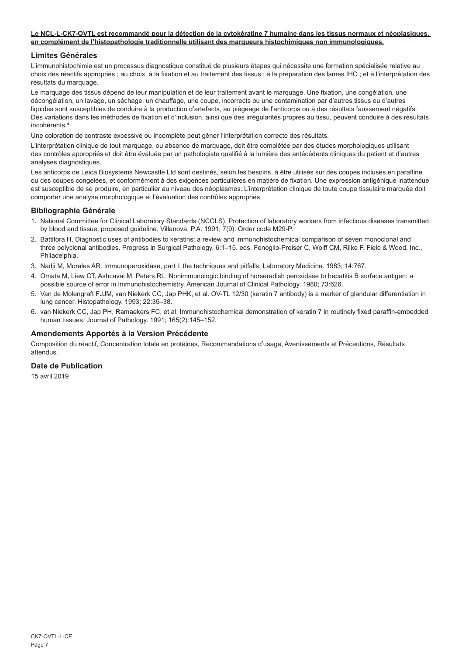### **Le NCL-L-CK7-OVTL est recommandé pour la détection de la cytokératine 7 humaine dans les tissus normaux et néoplasiques, en complément de l'histopathologie traditionnelle utilisant des marqueurs histochimiques non immunologiques.**

## **Limites Générales**

L'immunohistochimie est un processus diagnostique constitué de plusieurs étapes qui nécessite une formation spécialisée relative au choix des réactifs appropriés ; au choix, à la fixation et au traitement des tissus ; à la préparation des lames IHC ; et à l'interprétation des résultats du marquage.

Le marquage des tissus dépend de leur manipulation et de leur traitement avant le marquage. Une fixation, une congélation, une décongélation, un lavage, un séchage, un chauffage, une coupe, incorrects ou une contamination par d'autres tissus ou d'autres liquides sont susceptibles de conduire à la production d'artefacts, au piégeage de l'anticorps ou à des résultats faussement négatifs. Des variations dans les méthodes de fixation et d'inclusion, ainsi que des irrégularités propres au tissu, peuvent conduire à des résultats incohérents<sup>4</sup>

Une coloration de contraste excessive ou incomplète peut gêner l'interprétation correcte des résultats.

L'interprétation clinique de tout marquage, ou absence de marquage, doit être complétée par des études morphologiques utilisant des contrôles appropriés et doit être évaluée par un pathologiste qualifié à la lumière des antécédents cliniques du patient et d'autres analyses diagnostiques.

Les anticorps de Leica Biosystems Newcastle Ltd sont destinés, selon les besoins, à être utilisés sur des coupes incluses en paraffine ou des coupes congelées, et conformément à des exigences particulières en matière de fixation. Une expression antigénique inattendue est susceptible de se produire, en particulier au niveau des néoplasmes. L'interprétation clinique de toute coupe tissulaire marquée doit comporter une analyse morphologique et l'évaluation des contrôles appropriés.

## **Bibliographie Générale**

- 1. National Committee for Clinical Laboratory Standards (NCCLS). Protection of laboratory workers from infectious diseases transmitted by blood and tissue; proposed guideline. Villanova, P.A. 1991; 7(9). Order code M29-P.
- 2. Battifora H. Diagnostic uses of antibodies to keratins: a review and immunohistochemical comparison of seven monoclonal and three polyclonal antibodies. Progress in Surgical Pathology. 6:1–15. eds. Fenoglio-Preiser C, Wolff CM, Rilke F. Field & Wood, Inc., Philadelphia.
- 3. Nadji M, Morales AR. Immunoperoxidase, part I: the techniques and pitfalls. Laboratory Medicine. 1983; 14:767.
- 4. Omata M, Liew CT, Ashcavai M, Peters RL. Nonimmunologic binding of horseradish peroxidase to hepatitis B surface antigen: a possible source of error in immunohistochemistry. American Journal of Clinical Pathology. 1980; 73:626.
- 5. Van de Molengraft FJJM, van Niekerk CC, Jap PHK, et al. OV-TL 12/30 (keratin 7 antibody) is a marker of glandular differentiation in lung cancer. Histopathology. 1993; 22:35–38.
- 6. van Niekerk CC, Jap PH, Ramaekers FC, et al. Immunohistochemical demonstration of keratin 7 in routinely fixed paraffin-embedded human tissues. Journal of Pathology. 1991: 165(2):145-152.

### **Amendements Apportés à la Version Précédente**

Composition du réactif, Concentration totale en protéines, Recommandations d'usage, Avertissements et Précautions, Résultats attendus.

## **Date de Publication**

15 avril 2019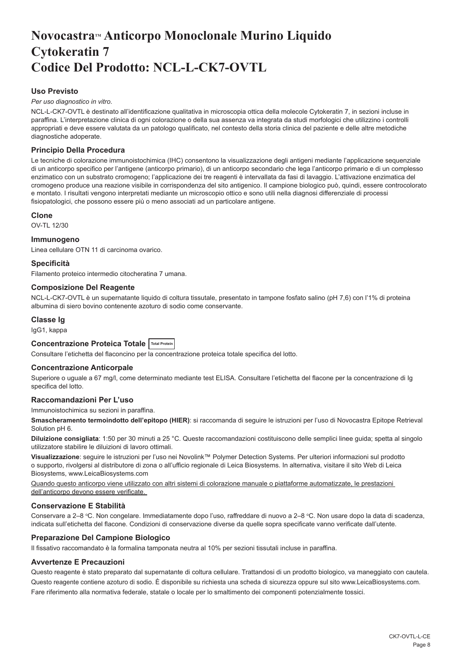## <span id="page-8-0"></span>Novocastra<sup>™</sup> Anticorpo Monoclonale Murino Liquido **Cytokeratin 7 Codice Del Prodotto: NCL-L-CK7-OVTL**

## **Uso Previsto**

#### *Per uso diagnostico in vitro*.

NCL-L-CK7-OVTL è destinato all'identificazione qualitativa in microscopia ottica della molecole Cytokeratin 7, in sezioni incluse in paraffina. L'interpretazione clinica di ogni colorazione o della sua assenza va integrata da studi morfologici che utilizzino i controlli appropriati e deve essere valutata da un patologo qualificato, nel contesto della storia clinica del paziente e delle altre metodiche diagnostiche adoperate.

## **Principio Della Procedura**

Le tecniche di colorazione immunoistochimica (IHC) consentono la visualizzazione degli antigeni mediante l'applicazione sequenziale di un anticorpo specifico per l'antigene (anticorpo primario), di un anticorpo secondario che lega l'anticorpo primario e di un complesso enzimatico con un substrato cromogeno; l'applicazione dei tre reagenti è intervallata da fasi di lavaggio. L'attivazione enzimatica del cromogeno produce una reazione visibile in corrispondenza del sito antigenico. Il campione biologico può, quindi, essere controcolorato e montato. I risultati vengono interpretati mediante un microscopio ottico e sono utili nella diagnosi differenziale di processi fisiopatologici, che possono essere più o meno associati ad un particolare antigene.

### **Clone**

OV-TL 12/30

### **Immunogeno**

Linea cellulare OTN 11 di carcinoma ovarico.

## **Specificità**

Filamento proteico intermedio citocheratina 7 umana.

## **Composizione Del Reagente**

NCL-L-CK7-OVTL è un supernatante liquido di coltura tissutale, presentato in tampone fosfato salino (pH 7,6) con l'1% di proteina albumina di siero bovino contenente azoturo di sodio come conservante.

## **Classe Ig**

IgG1, kappa

## **Concentrazione Proteica Totale Total Protein**

Consultare l'etichetta del flaconcino per la concentrazione proteica totale specifica del lotto.

### **Concentrazione Anticorpale**

Superiore o uguale a 67 mg/l, come determinato mediante test ELISA. Consultare l'etichetta del flacone per la concentrazione di Ig specifica del lotto.

### **Raccomandazioni Per L'uso**

Immunoistochimica su sezioni in paraffina.

**Smascheramento termoindotto dell'epitopo (HIER)**: si raccomanda di seguire le istruzioni per l'uso di Novocastra Epitope Retrieval Solution pH 6.

**Diluizione consigliata**: 1:50 per 30 minuti a 25 °C. Queste raccomandazioni costituiscono delle semplici linee guida; spetta al singolo utilizzatore stabilire le diluizioni di lavoro ottimali.

**Visualizzazione**: seguire le istruzioni per l'uso nei Novolink™ Polymer Detection Systems. Per ulteriori informazioni sul prodotto o supporto, rivolgersi al distributore di zona o all'ufficio regionale di Leica Biosystems. In alternativa, visitare il sito Web di Leica Biosystems, www.LeicaBiosystems.com

Quando questo anticorpo viene utilizzato con altri sistemi di colorazione manuale o piattaforme automatizzate, le prestazioni dell'anticorpo devono essere verificate.

## **Conservazione E Stabilità**

Conservare a 2–8 °C. Non congelare. Immediatamente dopo l'uso, raffreddare di nuovo a 2–8 °C. Non usare dopo la data di scadenza, indicata sull'etichetta del flacone. Condizioni di conservazione diverse da quelle sopra specificate vanno verificate dall'utente.

## **Preparazione Del Campione Biologico**

Il fissativo raccomandato è la formalina tamponata neutra al 10% per sezioni tissutali incluse in paraffina.

## **Avvertenze E Precauzioni**

Questo reagente è stato preparato dal supernatante di coltura cellulare. Trattandosi di un prodotto biologico, va maneggiato con cautela. Questo reagente contiene azoturo di sodio. È disponibile su richiesta una scheda di sicurezza oppure sul sito www.LeicaBiosystems.com. Fare riferimento alla normativa federale, statale o locale per lo smaltimento dei componenti potenzialmente tossici.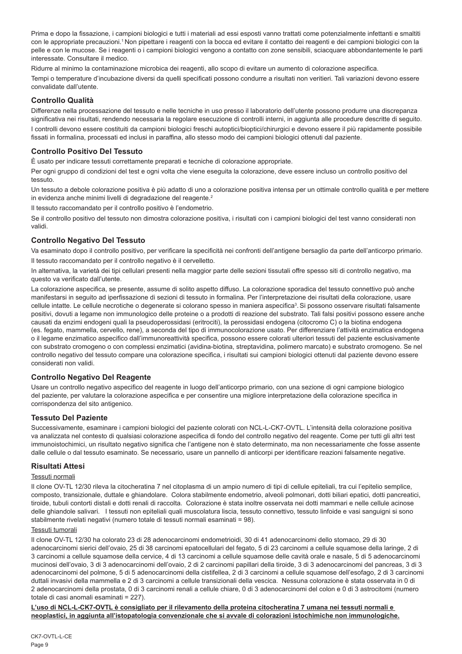Prima e dopo la fissazione, i campioni biologici e tutti i materiali ad essi esposti vanno trattati come potenzialmente infettanti e smaltiti con le appropriate precauzioni.<sup>1</sup> Non pipettare i reagenti con la bocca ed evitare il contatto dei reagenti e dei campioni biologici con la pelle e con le mucose. Se i reagenti o i campioni biologici vengono a contatto con zone sensibili, sciacquare abbondantemente le parti interessate. Consultare il medico.

Ridurre al minimo la contaminazione microbica dei reagenti, allo scopo di evitare un aumento di colorazione aspecifica.

Tempi o temperature d'incubazione diversi da quelli specificati possono condurre a risultati non veritieri. Tali variazioni devono essere convalidate dall'utente.

## **Controllo Qualità**

Differenze nella processazione del tessuto e nelle tecniche in uso presso il laboratorio dell'utente possono produrre una discrepanza significativa nei risultati, rendendo necessaria la regolare esecuzione di controlli interni, in aggiunta alle procedure descritte di seguito.

I controlli devono essere costituiti da campioni biologici freschi autoptici/bioptici/chirurgici e devono essere il più rapidamente possibile fissati in formalina, processati ed inclusi in paraffina, allo stesso modo dei campioni biologici ottenuti dal paziente.

## **Controllo Positivo Del Tessuto**

È usato per indicare tessuti correttamente preparati e tecniche di colorazione appropriate.

Per ogni gruppo di condizioni del test e ogni volta che viene eseguita la colorazione, deve essere incluso un controllo positivo del tessuto.

Un tessuto a debole colorazione positiva è più adatto di uno a colorazione positiva intensa per un ottimale controllo qualità e per mettere in evidenza anche minimi livelli di degradazione del reagente.<sup>2</sup>

Il tessuto raccomandato per il controllo positivo è l'endometrio.

Se il controllo positivo del tessuto non dimostra colorazione positiva, i risultati con i campioni biologici del test vanno considerati non validi.

## **Controllo Negativo Del Tessuto**

Va esaminato dopo il controllo positivo, per verificare la specificità nei confronti dell'antigene bersaglio da parte dell'anticorpo primario. Il tessuto raccomandato per il controllo negativo è il cervelletto.

In alternativa, la varietà dei tipi cellulari presenti nella maggior parte delle sezioni tissutali offre spesso siti di controllo negativo, ma questo va verificato dall'utente.

La colorazione aspecifica, se presente, assume di solito aspetto diffuso. La colorazione sporadica del tessuto connettivo può anche manifestarsi in seguito ad iperfissazione di sezioni di tessuto in formalina. Per l'interpretazione dei risultati della colorazione, usare cellule intatte. Le cellule necrotiche o degenerate si colorano spesso in maniera aspecifica<sup>3</sup>. Si possono osservare risultati falsamente positivi, dovuti a legame non immunologico delle proteine o a prodotti di reazione del substrato. Tali falsi positivi possono essere anche causati da enzimi endogeni quali la pseudoperossidasi (eritrociti), la perossidasi endogena (citocromo C) o la biotina endogena (es. fegato, mammella, cervello, rene), a seconda del tipo di immunocolorazione usato. Per differenziare l'attività enzimatica endogena o il legame enzimatico aspecifico dall'immunoreattività specifica, possono essere colorati ulteriori tessuti del paziente esclusivamente con substrato cromogeno o con complessi enzimatici (avidina-biotina, streptavidina, polimero marcato) e substrato cromogeno. Se nel controllo negativo del tessuto compare una colorazione specifica, i risultati sui campioni biologici ottenuti dal paziente devono essere considerati non validi.

## **Controllo Negativo Del Reagente**

Usare un controllo negativo aspecifico del reagente in luogo dell'anticorpo primario, con una sezione di ogni campione biologico del paziente, per valutare la colorazione aspecifica e per consentire una migliore interpretazione della colorazione specifica in corrispondenza del sito antigenico.

## **Tessuto Del Paziente**

Successivamente, esaminare i campioni biologici del paziente colorati con NCL-L-CK7-OVTL. L'intensità della colorazione positiva va analizzata nel contesto di qualsiasi colorazione aspecifica di fondo del controllo negativo del reagente. Come per tutti gli altri test immunoistochimici, un risultato negativo significa che l'antigene non è stato determinato, ma non necessariamente che fosse assente dalle cellule o dal tessuto esaminato. Se necessario, usare un pannello di anticorpi per identificare reazioni falsamente negative.

### **Risultati Attesi**

## Tessuti normali

Il clone OV-TL 12/30 rileva la citocheratina 7 nel citoplasma di un ampio numero di tipi di cellule epiteliali, tra cui l'epitelio semplice, composto, transizionale, duttale e ghiandolare. Colora stabilmente endometrio, alveoli polmonari, dotti biliari epatici, dotti pancreatici, tiroide, tubuli contorti distali e dotti renali di raccolta. Colorazione è stata inoltre osservata nei dotti mammari e nelle cellule acinose delle ghiandole salivari. I tessuti non epiteliali quali muscolatura liscia, tessuto connettivo, tessuto linfoide e vasi sanguigni si sono stabilmente rivelati negativi (numero totale di tessuti normali esaminati = 98).

## Tessuti tumorali

Il clone OV-TL 12/30 ha colorato 23 di 28 adenocarcinomi endometrioidi, 30 di 41 adenocarcinomi dello stomaco, 29 di 30 adenocarcinomi sierici dell'ovaio, 25 di 38 carcinomi epatocellulari del fegato, 5 di 23 carcinomi a cellule squamose della laringe, 2 di 3 carcinomi a cellule squamose della cervice, 4 di 13 carcinomi a cellule squamose delle cavità orale e nasale, 5 di 5 adenocarcinomi mucinosi dell'ovaio, 3 di 3 adenocarcinomi dell'ovaio, 2 di 2 carcinomi papillari della tiroide, 3 di 3 adenocarcinomi del pancreas, 3 di 3 adenocarcinomi del polmone, 5 di 5 adenocarcinomi della cistifellea, 2 di 3 carcinomi a cellule squamose dell'esofago, 2 di 3 carcinomi duttali invasivi della mammella e 2 di 3 carcinomi a cellule transizionali della vescica. Nessuna colorazione è stata osservata in 0 di 2 adenocarcinomi della prostata, 0 di 3 carcinomi renali a cellule chiare, 0 di 3 adenocarcinomi del colon e 0 di 3 astrocitomi (numero totale di casi anomali esaminati = 227).

**L'uso di NCL-L-CK7-OVTL è consigliato per il rilevamento della proteina citocheratina 7 umana nei tessuti normali e neoplastici, in aggiunta all'istopatologia convenzionale che si avvale di colorazioni istochimiche non immunologiche.**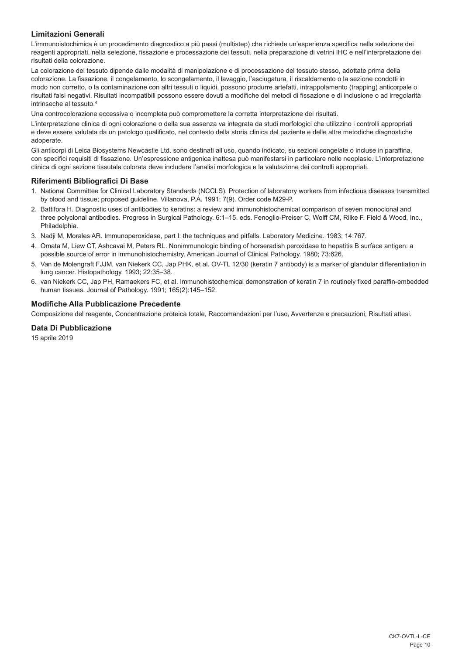## **Limitazioni Generali**

L'immunoistochimica è un procedimento diagnostico a più passi (multistep) che richiede un'esperienza specifica nella selezione dei reagenti appropriati, nella selezione, fissazione e processazione dei tessuti, nella preparazione di vetrini IHC e nell'interpretazione dei risultati della colorazione.

La colorazione del tessuto dipende dalle modalità di manipolazione e di processazione del tessuto stesso, adottate prima della colorazione. La fissazione, il congelamento, lo scongelamento, il lavaggio, l'asciugatura, il riscaldamento o la sezione condotti in modo non corretto, o la contaminazione con altri tessuti o liquidi, possono produrre artefatti, intrappolamento (trapping) anticorpale o risultati falsi negativi. Risultati incompatibili possono essere dovuti a modifiche dei metodi di fissazione e di inclusione o ad irregolarità intrinseche al tessuto.4

Una controcolorazione eccessiva o incompleta può compromettere la corretta interpretazione dei risultati.

L'interpretazione clinica di ogni colorazione o della sua assenza va integrata da studi morfologici che utilizzino i controlli appropriati e deve essere valutata da un patologo qualificato, nel contesto della storia clinica del paziente e delle altre metodiche diagnostiche adoperate.

Gli anticorpi di Leica Biosystems Newcastle Ltd. sono destinati all'uso, quando indicato, su sezioni congelate o incluse in paraffina, con specifici requisiti di fissazione. Un'espressione antigenica inattesa può manifestarsi in particolare nelle neoplasie. L'interpretazione clinica di ogni sezione tissutale colorata deve includere l'analisi morfologica e la valutazione dei controlli appropriati.

## **Riferimenti Bibliografici Di Base**

- 1. National Committee for Clinical Laboratory Standards (NCCLS). Protection of laboratory workers from infectious diseases transmitted by blood and tissue; proposed guideline. Villanova, P.A. 1991; 7(9). Order code M29-P.
- 2. Battifora H. Diagnostic uses of antibodies to keratins: a review and immunohistochemical comparison of seven monoclonal and three polyclonal antibodies. Progress in Surgical Pathology. 6:1–15. eds. Fenoglio-Preiser C, Wolff CM, Rilke F. Field & Wood, Inc., Philadelphia.
- 3. Nadji M, Morales AR. Immunoperoxidase, part I: the techniques and pitfalls. Laboratory Medicine. 1983; 14:767.
- 4. Omata M, Liew CT, Ashcavai M, Peters RL. Nonimmunologic binding of horseradish peroxidase to hepatitis B surface antigen: a possible source of error in immunohistochemistry. American Journal of Clinical Pathology. 1980; 73:626.
- 5. Van de Molengraft FJJM, van Niekerk CC, Jap PHK, et al. OV-TL 12/30 (keratin 7 antibody) is a marker of glandular differentiation in lung cancer. Histopathology. 1993; 22:35–38.
- 6. van Niekerk CC, Jap PH, Ramaekers FC, et al. Immunohistochemical demonstration of keratin 7 in routinely fixed paraffin-embedded human tissues. Journal of Pathology. 1991; 165(2):145–152.

## **Modifiche Alla Pubblicazione Precedente**

Composizione del reagente, Concentrazione proteica totale, Raccomandazioni per l'uso, Avvertenze e precauzioni, Risultati attesi.

## **Data Di Pubblicazione**

15 aprile 2019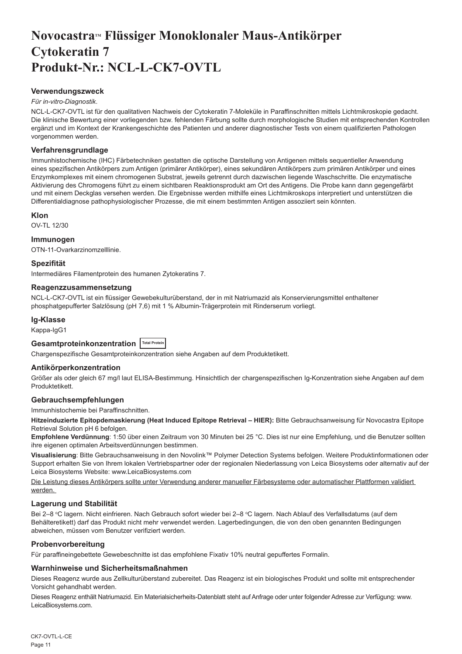## <span id="page-11-0"></span>Novocastra™ Flüssiger Monoklonaler Maus-Antikörper **Cytokeratin 7 Produkt-Nr.: NCL-L-CK7-OVTL**

## **Verwendungszweck**

### *Für in-vitro-Diagnostik*.

NCL-L-CK7-OVTL ist für den qualitativen Nachweis der Cytokeratin 7-Moleküle in Paraffinschnitten mittels Lichtmikroskopie gedacht. Die klinische Bewertung einer vorliegenden bzw. fehlenden Färbung sollte durch morphologische Studien mit entsprechenden Kontrollen ergänzt und im Kontext der Krankengeschichte des Patienten und anderer diagnostischer Tests von einem qualifizierten Pathologen vorgenommen werden.

## **Verfahrensgrundlage**

Immunhistochemische (IHC) Färbetechniken gestatten die optische Darstellung von Antigenen mittels sequentieller Anwendung eines spezifischen Antikörpers zum Antigen (primärer Antikörper), eines sekundären Antikörpers zum primären Antikörper und eines Enzymkomplexes mit einem chromogenen Substrat, jeweils getrennt durch dazwischen liegende Waschschritte. Die enzymatische Aktivierung des Chromogens führt zu einem sichtbaren Reaktionsprodukt am Ort des Antigens. Die Probe kann dann gegengefärbt und mit einem Deckglas versehen werden. Die Ergebnisse werden mithilfe eines Lichtmikroskops interpretiert und unterstützen die Differentialdiagnose pathophysiologischer Prozesse, die mit einem bestimmten Antigen assoziiert sein könnten.

## **Klon**

OV-TL 12/30

## **Immunogen**

OTN-11-Ovarkarzinomzelllinie.

## **Spezifität**

Intermediäres Filamentprotein des humanen Zytokeratins 7.

## **Reagenzzusammensetzung**

NCL-L-CK7-OVTL ist ein flüssiger Gewebekulturüberstand, der in mit Natriumazid als Konservierungsmittel enthaltener phosphatgepufferter Salzlösung (pH 7,6) mit 1 % Albumin-Trägerprotein mit Rinderserum vorliegt.

## **Ig-Klasse**

Kappa-IgG1

## **Gesamtproteinkonzentration Total Protein**

Chargenspezifische Gesamtproteinkonzentration siehe Angaben auf dem Produktetikett.

### **Antikörperkonzentration**

Größer als oder gleich 67 mg/l laut ELISA-Bestimmung. Hinsichtlich der chargenspezifischen Ig-Konzentration siehe Angaben auf dem Produktetikett.

## **Gebrauchsempfehlungen**

Immunhistochemie bei Paraffinschnitten.

**Hitzeinduzierte Epitopdemaskierung (Heat Induced Epitope Retrieval – HIER):** Bitte Gebrauchsanweisung für Novocastra Epitope Retrieval Solution pH 6 befolgen.

**Empfohlene Verdünnung**: 1:50 über einen Zeitraum von 30 Minuten bei 25 °C. Dies ist nur eine Empfehlung, und die Benutzer sollten ihre eigenen optimalen Arbeitsverdünnungen bestimmen.

**Visualisierung**: Bitte Gebrauchsanweisung in den Novolink™ Polymer Detection Systems befolgen. Weitere Produktinformationen oder Support erhalten Sie von Ihrem lokalen Vertriebspartner oder der regionalen Niederlassung von Leica Biosystems oder alternativ auf der Leica Biosystems Website: www.LeicaBiosystems.com

Die Leistung dieses Antikörpers sollte unter Verwendung anderer manueller Färbesysteme oder automatischer Plattformen validiert werden.

## **Lagerung und Stabilität**

Bei 2–8 °C lagern. Nicht einfrieren. Nach Gebrauch sofort wieder bei 2–8 °C lagern. Nach Ablauf des Verfallsdatums (auf dem Behälteretikett) darf das Produkt nicht mehr verwendet werden. Lagerbedingungen, die von den oben genannten Bedingungen abweichen, müssen vom Benutzer verifiziert werden.

### **Probenvorbereitung**

Für paraffineingebettete Gewebeschnitte ist das empfohlene Fixativ 10% neutral gepuffertes Formalin.

### **Warnhinweise und Sicherheitsmaßnahmen**

Dieses Reagenz wurde aus Zellkulturüberstand zubereitet. Das Reagenz ist ein biologisches Produkt und sollte mit entsprechender Vorsicht gehandhabt werden.

Dieses Reagenz enthält Natriumazid. Ein Materialsicherheits-Datenblatt steht auf Anfrage oder unter folgender Adresse zur Verfügung: www. LeicaBiosystems.com.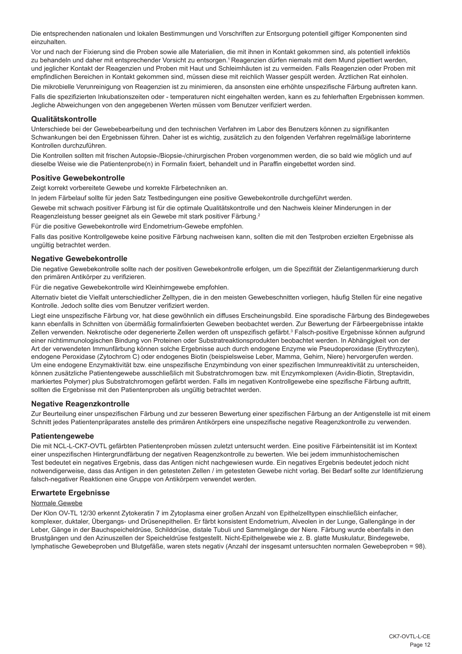Die entsprechenden nationalen und lokalen Bestimmungen und Vorschriften zur Entsorgung potentiell giftiger Komponenten sind einzuhalten.

Vor und nach der Fixierung sind die Proben sowie alle Materialien, die mit ihnen in Kontakt gekommen sind, als potentiell infektiös zu behandeln und daher mit entsprechender Vorsicht zu entsorgen.<sup>1</sup> Reagenzien dürfen niemals mit dem Mund pipettiert werden, und jeglicher Kontakt der Reagenzien und Proben mit Haut und Schleimhäuten ist zu vermeiden. Falls Reagenzien oder Proben mit empfindlichen Bereichen in Kontakt gekommen sind, müssen diese mit reichlich Wasser gespült werden. Ärztlichen Rat einholen. Die mikrobielle Verunreinigung von Reagenzien ist zu minimieren, da ansonsten eine erhöhte unspezifische Färbung auftreten kann.

Falls die spezifizierten Inkubationszeiten oder - temperaturen nicht eingehalten werden, kann es zu fehlerhaften Ergebnissen kommen. Jegliche Abweichungen von den angegebenen Werten müssen vom Benutzer verifiziert werden.

### **Qualitätskontrolle**

Unterschiede bei der Gewebebearbeitung und den technischen Verfahren im Labor des Benutzers können zu signifikanten Schwankungen bei den Ergebnissen führen. Daher ist es wichtig, zusätzlich zu den folgenden Verfahren regelmäßige laborinterne Kontrollen durchzuführen.

Die Kontrollen sollten mit frischen Autopsie-/Biopsie-/chirurgischen Proben vorgenommen werden, die so bald wie möglich und auf dieselbe Weise wie die Patientenprobe(n) in Formalin fixiert, behandelt und in Paraffin eingebettet worden sind.

## **Positive Gewebekontrolle**

Zeigt korrekt vorbereitete Gewebe und korrekte Färbetechniken an.

In jedem Färbelauf sollte für jeden Satz Testbedingungen eine positive Gewebekontrolle durchgeführt werden.

Gewebe mit schwach positiver Färbung ist für die optimale Qualitätskontrolle und den Nachweis kleiner Minderungen in der Reagenzleistung besser geeignet als ein Gewebe mit stark positiver Färbung.<sup>2</sup>

Für die positive Gewebekontrolle wird Endometrium-Gewebe empfohlen.

Falls das positive Kontrollgewebe keine positive Färbung nachweisen kann, sollten die mit den Testproben erzielten Ergebnisse als ungültig betrachtet werden.

#### **Negative Gewebekontrolle**

Die negative Gewebekontrolle sollte nach der positiven Gewebekontrolle erfolgen, um die Spezifität der Zielantigenmarkierung durch den primären Antikörper zu verifizieren.

Für die negative Gewebekontrolle wird Kleinhirngewebe empfohlen.

Alternativ bietet die Vielfalt unterschiedlicher Zelltypen, die in den meisten Gewebeschnitten vorliegen, häufig Stellen für eine negative Kontrolle. Jedoch sollte dies vom Benutzer verifiziert werden.

Liegt eine unspezifische Färbung vor, hat diese gewöhnlich ein diffuses Erscheinungsbild. Eine sporadische Färbung des Bindegewebes kann ebenfalls in Schnitten von übermäßig formalinfixierten Geweben beobachtet werden. Zur Bewertung der Färbeergebnisse intakte Zellen verwenden. Nekrotische oder degenerierte Zellen werden oft unspezifisch gefärbt.<sup>3</sup> Falsch-positive Ergebnisse können aufgrund einer nichtimmunologischen Bindung von Proteinen oder Substratreaktionsprodukten beobachtet werden. In Abhängigkeit von der Art der verwendeten Immunfärbung können solche Ergebnisse auch durch endogene Enzyme wie Pseudoperoxidase (Erythrozyten), endogene Peroxidase (Zytochrom C) oder endogenes Biotin (beispielsweise Leber, Mamma, Gehirn, Niere) hervorgerufen werden. Um eine endogene Enzymaktivität bzw. eine unspezifische Enzymbindung von einer spezifischen Immunreaktivität zu unterscheiden, können zusätzliche Patientengewebe ausschließlich mit Substratchromogen bzw. mit Enzymkomplexen (Avidin-Biotin, Streptavidin, markiertes Polymer) plus Substratchromogen gefärbt werden. Falls im negativen Kontrollgewebe eine spezifische Färbung auftritt, sollten die Ergebnisse mit den Patientenproben als ungültig betrachtet werden.

### **Negative Reagenzkontrolle**

Zur Beurteilung einer unspezifischen Färbung und zur besseren Bewertung einer spezifischen Färbung an der Antigenstelle ist mit einem Schnitt jedes Patientenpräparates anstelle des primären Antikörpers eine unspezifische negative Reagenzkontrolle zu verwenden.

## **Patientengewebe**

Die mit NCL-L-CK7-OVTL gefärbten Patientenproben müssen zuletzt untersucht werden. Eine positive Färbeintensität ist im Kontext einer unspezifischen Hintergrundfärbung der negativen Reagenzkontrolle zu bewerten. Wie bei jedem immunhistochemischen Test bedeutet ein negatives Ergebnis, dass das Antigen nicht nachgewiesen wurde. Ein negatives Ergebnis bedeutet jedoch nicht notwendigerweise, dass das Antigen in den getesteten Zellen / im getesteten Gewebe nicht vorlag. Bei Bedarf sollte zur Identifizierung falsch-negativer Reaktionen eine Gruppe von Antikörpern verwendet werden.

## **Erwartete Ergebnisse**

#### Normale Gewebe

Der Klon OV-TL 12/30 erkennt Zytokeratin 7 im Zytoplasma einer großen Anzahl von Epithelzelltypen einschließlich einfacher, komplexer, duktaler, Übergangs- und Drüsenepithelien. Er färbt konsistent Endometrium, Alveolen in der Lunge, Gallengänge in der Leber, Gänge in der Bauchspeicheldrüse, Schilddrüse, distale Tubuli und Sammelgänge der Niere. Färbung wurde ebenfalls in den Brustgängen und den Azinuszellen der Speicheldrüse festgestellt. Nicht-Epithelgewebe wie z. B. glatte Muskulatur, Bindegewebe, lymphatische Gewebeproben und Blutgefäße, waren stets negativ (Anzahl der insgesamt untersuchten normalen Gewebeproben = 98).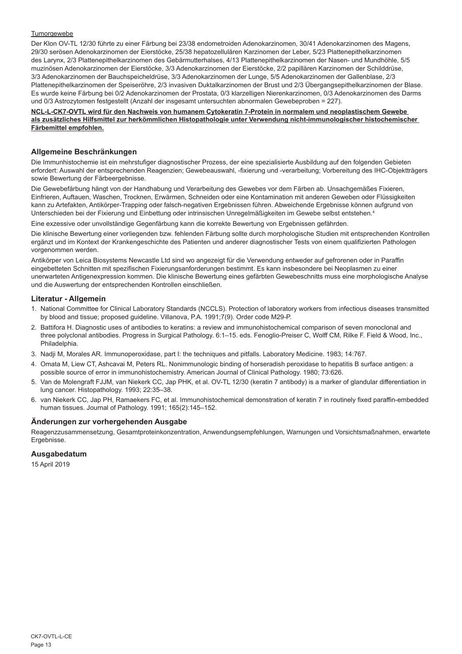## Tumorgewebe

Der Klon OV-TL 12/30 führte zu einer Färbung bei 23/38 endometroiden Adenokarzinomen, 30/41 Adenokarzinomen des Magens, 29/30 serösen Adenokarzinomen der Eierstöcke, 25/38 hepatozellulären Karzinomen der Leber, 5/23 Plattenepithelkarzinomen des Larynx, 2/3 Plattenepithelkarzinomen des Gebärmutterhalses, 4/13 Plattenepithelkarzinomen der Nasen- und Mundhöhle, 5/5 muzinösen Adenokarzinomen der Eierstöcke, 3/3 Adenokarzinomen der Eierstöcke, 2/2 papillären Karzinomen der Schilddrüse, 3/3 Adenokarzinomen der Bauchspeicheldrüse, 3/3 Adenokarzinomen der Lunge, 5/5 Adenokarzinomen der Gallenblase, 2/3 Plattenepithelkarzinomen der Speiseröhre, 2/3 invasiven Duktalkarzinomen der Brust und 2/3 Übergangsepithelkarzinomen der Blase. Es wurde keine Färbung bei 0/2 Adenokarzinomen der Prostata, 0/3 klarzelligen Nierenkarzinomen, 0/3 Adenokarzinomen des Darms und 0/3 Astrozytomen festgestellt (Anzahl der insgesamt untersuchten abnormalen Gewebeproben = 227).

**NCL-L-CK7-OVTL wird für den Nachweis von humanem Cytokeratin 7-Protein in normalem und neoplastischem Gewebe als zusätzliches Hilfsmittel zur herkömmlichen Histopathologie unter Verwendung nicht-immunologischer histochemischer Färbemittel empfohlen.**

## **Allgemeine Beschränkungen**

Die Immunhistochemie ist ein mehrstufiger diagnostischer Prozess, der eine spezialisierte Ausbildung auf den folgenden Gebieten erfordert: Auswahl der entsprechenden Reagenzien; Gewebeauswahl, -fixierung und -verarbeitung; Vorbereitung des IHC-Objektträgers sowie Bewertung der Färbeergebnisse.

Die Gewebefärbung hängt von der Handhabung und Verarbeitung des Gewebes vor dem Färben ab. Unsachgemäßes Fixieren, Einfrieren, Auftauen, Waschen, Trocknen, Erwärmen, Schneiden oder eine Kontamination mit anderen Geweben oder Flüssigkeiten kann zu Artefakten, Antikörper-Trapping oder falsch-negativen Ergebnissen führen. Abweichende Ergebnisse können aufgrund von Unterschieden bei der Fixierung und Einbettung oder intrinsischen Unregelmäßigkeiten im Gewebe selbst entstehen.4

Eine exzessive oder unvollständige Gegenfärbung kann die korrekte Bewertung von Ergebnissen gefährden.

Die klinische Bewertung einer vorliegenden bzw. fehlenden Färbung sollte durch morphologische Studien mit entsprechenden Kontrollen ergänzt und im Kontext der Krankengeschichte des Patienten und anderer diagnostischer Tests von einem qualifizierten Pathologen vorgenommen werden.

Antikörper von Leica Biosystems Newcastle Ltd sind wo angezeigt für die Verwendung entweder auf gefrorenen oder in Paraffin eingebetteten Schnitten mit spezifischen Fixierungsanforderungen bestimmt. Es kann insbesondere bei Neoplasmen zu einer unerwarteten Antigenexpression kommen. Die klinische Bewertung eines gefärbten Gewebeschnitts muss eine morphologische Analyse und die Auswertung der entsprechenden Kontrollen einschließen.

## **Literatur - Allgemein**

- 1. National Committee for Clinical Laboratory Standards (NCCLS). Protection of laboratory workers from infectious diseases transmitted by blood and tissue; proposed guideline. Villanova, P.A. 1991;7(9). Order code M29-P.
- 2. Battifora H. Diagnostic uses of antibodies to keratins: a review and immunohistochemical comparison of seven monoclonal and three polyclonal antibodies. Progress in Surgical Pathology. 6:1–15. eds. Fenoglio-Preiser C, Wolff CM, Rilke F. Field & Wood, Inc., Philadelphia.
- 3. Nadji M, Morales AR. Immunoperoxidase, part I: the techniques and pitfalls. Laboratory Medicine. 1983; 14:767.
- 4. Omata M, Liew CT, Ashcavai M, Peters RL. Nonimmunologic binding of horseradish peroxidase to hepatitis B surface antigen: a possible source of error in immunohistochemistry. American Journal of Clinical Pathology. 1980; 73:626.
- 5. Van de Molengraft FJJM, van Niekerk CC, Jap PHK, et al. OV-TL 12/30 (keratin 7 antibody) is a marker of glandular differentiation in lung cancer. Histopathology. 1993; 22:35–38.
- 6. van Niekerk CC, Jap PH, Ramaekers FC, et al. Immunohistochemical demonstration of keratin 7 in routinely fixed paraffin-embedded human tissues. Journal of Pathology. 1991; 165(2):145–152.

## **Änderungen zur vorhergehenden Ausgabe**

Reagenzzusammensetzung, Gesamtproteinkonzentration, Anwendungsempfehlungen, Warnungen und Vorsichtsmaßnahmen, erwartete Ergebnisse.

## **Ausgabedatum**

15 April 2019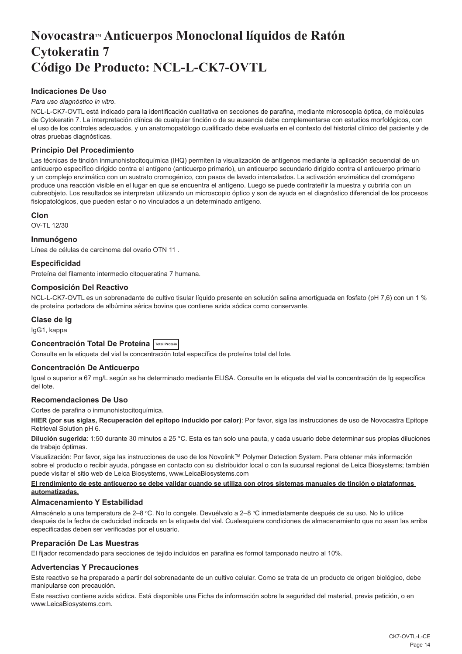## <span id="page-14-0"></span>**NovocastraTM Anticuerpos Monoclonal líquidos de Ratón Cytokeratin 7 Código De Producto: NCL-L-CK7-OVTL**

## **Indicaciones De Uso**

## *Para uso diagnóstico in vitro*.

NCL-L-CK7-OVTL está indicado para la identificación cualitativa en secciones de parafina, mediante microscopía óptica, de moléculas de Cytokeratin 7. La interpretación clínica de cualquier tinción o de su ausencia debe complementarse con estudios morfológicos, con el uso de los controles adecuados, y un anatomopatólogo cualificado debe evaluarla en el contexto del historial clínico del paciente y de otras pruebas diagnósticas.

## **Principio Del Procedimiento**

Las técnicas de tinción inmunohistocitoquímica (IHQ) permiten la visualización de antígenos mediante la aplicación secuencial de un anticuerpo específico dirigido contra el antígeno (anticuerpo primario), un anticuerpo secundario dirigido contra el anticuerpo primario y un complejo enzimático con un sustrato cromogénico, con pasos de lavado intercalados. La activación enzimática del cromógeno produce una reacción visible en el lugar en que se encuentra el antígeno. Luego se puede contrateñir la muestra y cubrirla con un cubreobjeto. Los resultados se interpretan utilizando un microscopio óptico y son de ayuda en el diagnóstico diferencial de los procesos fisiopatológicos, que pueden estar o no vinculados a un determinado antígeno.

## **Clon**

OV-TL 12/30

## **Inmunógeno**

Línea de células de carcinoma del ovario OTN 11 .

## **Especificidad**

Proteína del filamento intermedio citoqueratina 7 humana.

## **Composición Del Reactivo**

NCL-L-CK7-OVTL es un sobrenadante de cultivo tisular líquido presente en solución salina amortiguada en fosfato (pH 7,6) con un 1 % de proteína portadora de albúmina sérica bovina que contiene azida sódica como conservante.

## **Clase de Ig**

IgG1, kappa

## **Concentración Total De Proteína Total Protein**

Consulte en la etiqueta del vial la concentración total específica de proteína total del Iote.

### **Concentración De Anticuerpo**

Igual o superior a 67 mg/L según se ha determinado mediante ELISA. Consulte en la etiqueta del vial la concentración de Ig específica del lote.

## **Recomendaciones De Uso**

#### Cortes de parafina o inmunohistocitoquímica.

**HIER (por sus siglas, Recuperación del epítopo inducido por calor)**: Por favor, siga las instrucciones de uso de Novocastra Epitope Retrieval Solution pH 6.

**Dilución sugerida**: 1:50 durante 30 minutos a 25 °C. Esta es tan solo una pauta, y cada usuario debe determinar sus propias diluciones de trabajo óptimas.

Visualización: Por favor, siga las instrucciones de uso de los Novolink™ Polymer Detection System. Para obtener más información sobre el producto o recibir ayuda, póngase en contacto con su distribuidor local o con la sucursal regional de Leica Biosystems; también puede visitar el sitio web de Leica Biosystems, www.LeicaBiosystems.com

## **El rendimiento de este anticuerpo se debe validar cuando se utiliza con otros sistemas manuales de tinción o plataformas automatizadas.**

### **Almacenamiento Y Estabilidad**

Almacénelo a una temperatura de 2–8 °C. No lo congele. Devuélvalo a 2–8 °C inmediatamente después de su uso. No lo utilice después de la fecha de caducidad indicada en la etiqueta del vial. Cualesquiera condiciones de almacenamiento que no sean las arriba especificadas deben ser verificadas por el usuario.

### **Preparación De Las Muestras**

El fijador recomendado para secciones de tejido incluidos en parafina es formol tamponado neutro al 10%.

## **Advertencias Y Precauciones**

Este reactivo se ha preparado a partir del sobrenadante de un cultivo celular. Como se trata de un producto de origen biológico, debe manipularse con precaución.

Este reactivo contiene azida sódica. Está disponible una Ficha de información sobre la seguridad del material, previa petición, o en www.LeicaBiosystems.com.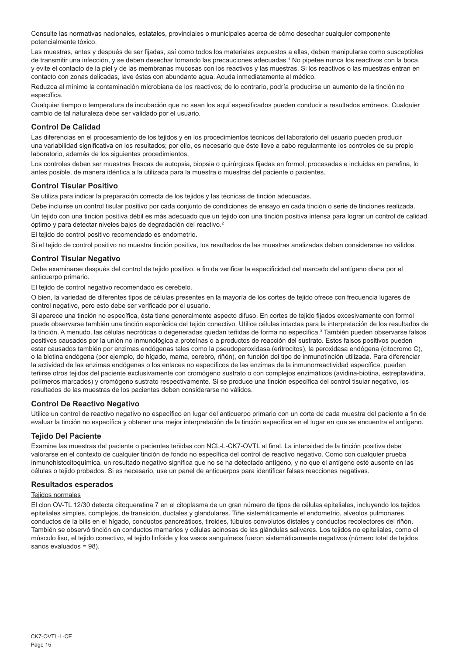Consulte las normativas nacionales, estatales, provinciales o municipales acerca de cómo desechar cualquier componente potencialmente tóxico.

Las muestras, antes y después de ser fijadas, así como todos los materiales expuestos a ellas, deben manipularse como susceptibles de transmitir una infección, y se deben desechar tomando las precauciones adecuadas.<sup>1</sup> No pipetee nunca los reactivos con la boca, y evite el contacto de la piel y de las membranas mucosas con los reactivos y las muestras. Si los reactivos o las muestras entran en contacto con zonas delicadas, lave éstas con abundante agua. Acuda inmediatamente al médico.

Reduzca al mínimo la contaminación microbiana de los reactivos; de lo contrario, podría producirse un aumento de la tinción no específica.

Cualquier tiempo o temperatura de incubación que no sean los aquí especificados pueden conducir a resultados erróneos. Cualquier cambio de tal naturaleza debe ser validado por el usuario.

## **Control De Calidad**

Las diferencias en el procesamiento de los tejidos y en los procedimientos técnicos del laboratorio del usuario pueden producir una variabilidad significativa en los resultados; por ello, es necesario que éste lleve a cabo regularmente los controles de su propio laboratorio, además de los siguientes procedimientos.

Los controles deben ser muestras frescas de autopsia, biopsia o quirúrgicas fijadas en formol, procesadas e incluidas en parafina, lo antes posible, de manera idéntica a la utilizada para la muestra o muestras del paciente o pacientes.

## **Control Tisular Positivo**

Se utiliza para indicar la preparación correcta de los tejidos y las técnicas de tinción adecuadas.

Debe incluirse un control tisular positivo por cada conjunto de condiciones de ensayo en cada tinción o serie de tinciones realizada.

Un tejido con una tinción positiva débil es más adecuado que un tejido con una tinción positiva intensa para lograr un control de calidad óptimo y para detectar niveles bajos de degradación del reactivo.<sup>2</sup>

El tejido de control positivo recomendado es endometrio.

Si el tejido de control positivo no muestra tinción positiva, los resultados de las muestras analizadas deben considerarse no válidos.

## **Control Tisular Negativo**

Debe examinarse después del control de tejido positivo, a fin de verificar la especificidad del marcado del antígeno diana por el anticuerpo primario.

El tejido de control negativo recomendado es cerebelo.

O bien, la variedad de diferentes tipos de células presentes en la mayoría de los cortes de tejido ofrece con frecuencia lugares de control negativo, pero esto debe ser verificado por el usuario.

Si aparece una tinción no específica, ésta tiene generalmente aspecto difuso. En cortes de tejido fijados excesivamente con formol puede observarse también una tinción esporádica del tejido conectivo. Utilice células intactas para la interpretación de los resultados de la tinción. A menudo, las células necróticas o degeneradas quedan teñidas de forma no específica.<sup>3</sup> También pueden observarse falsos positivos causados por la unión no inmunológica a proteínas o a productos de reacción del sustrato. Estos falsos positivos pueden estar causados también por enzimas endógenas tales como la pseudoperoxidasa (eritrocitos), la peroxidasa endógena (citocromo C), o la biotina endógena (por ejemplo, de hígado, mama, cerebro, riñón), en función del tipo de inmunotinción utilizada. Para diferenciar la actividad de las enzimas endógenas o los enlaces no específicos de las enzimas de la inmunorreactividad específica, pueden teñirse otros tejidos del paciente exclusivamente con cromógeno sustrato o con complejos enzimáticos (avidina-biotina, estreptavidina, polímeros marcados) y cromógeno sustrato respectivamente. Si se produce una tinción específica del control tisular negativo, los resultados de las muestras de los pacientes deben considerarse no válidos.

## **Control De Reactivo Negativo**

Utilice un control de reactivo negativo no específico en lugar del anticuerpo primario con un corte de cada muestra del paciente a fin de evaluar la tinción no específica y obtener una mejor interpretación de la tinción específica en el lugar en que se encuentra el antígeno.

## **Tejido Del Paciente**

Examine las muestras del paciente o pacientes teñidas con NCL-L-CK7-OVTL al final. La intensidad de la tinción positiva debe valorarse en el contexto de cualquier tinción de fondo no específica del control de reactivo negativo. Como con cualquier prueba inmunohistocitoquímica, un resultado negativo significa que no se ha detectado antígeno, y no que el antígeno esté ausente en las células o tejido probados. Si es necesario, use un panel de anticuerpos para identificar falsas reacciones negativas.

## **Resultados esperados**

## Teiidos normales

El clon OV-TL 12/30 detecta citoqueratina 7 en el citoplasma de un gran número de tipos de células epiteliales, incluyendo los tejidos epiteliales simples, complejos, de transición, ductales y glandulares. Tiñe sistemáticamente el endometrio, alveolos pulmonares, conductos de la bilis en el hígado, conductos pancreáticos, tiroides, túbulos convolutos distales y conductos recolectores del riñón. También se observó tinción en conductos mamarios y células acinosas de las glándulas salivares. Los tejidos no epiteliales, como el músculo liso, el tejido conectivo, el tejido linfoide y los vasos sanguíneos fueron sistemáticamente negativos (número total de tejidos sanos evaluados = 98).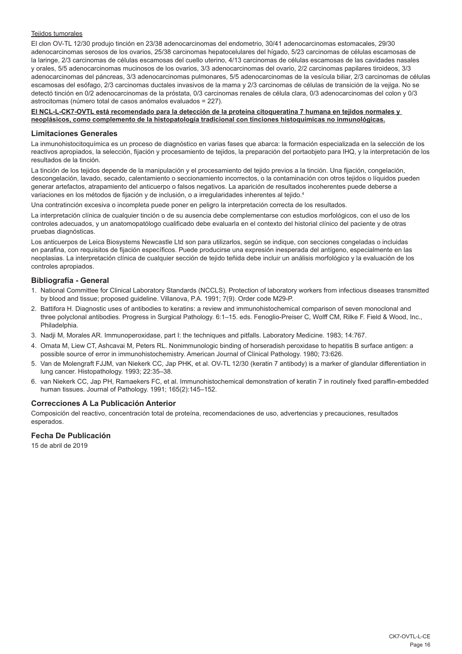### Tejidos tumorales

El clon OV-TL 12/30 produjo tinción en 23/38 adenocarcinomas del endometrio, 30/41 adenocarcinomas estomacales, 29/30 adenocarcinomas serosos de los ovarios, 25/38 carcinomas hepatocelulares del hígado, 5/23 carcinomas de células escamosas de la laringe, 2/3 carcinomas de células escamosas del cuello uterino, 4/13 carcinomas de células escamosas de las cavidades nasales y orales, 5/5 adenocarcinomas mucinosos de los ovarios, 3/3 adenocarcinomas del ovario, 2/2 carcinomas papilares tiroideos, 3/3 adenocarcinomas del páncreas, 3/3 adenocarcinomas pulmonares, 5/5 adenocarcinomas de la vesícula biliar, 2/3 carcinomas de células escamosas del esófago, 2/3 carcinomas ductales invasivos de la mama y 2/3 carcinomas de células de transición de la vejiga. No se detectó tinción en 0/2 adenocarcinomas de la próstata, 0/3 carcinomas renales de célula clara, 0/3 adenocarcinomas del colon y 0/3 astrocitomas (número total de casos anómalos evaluados = 227).

## **El NCL-L-CK7-OVTL está recomendado para la detección de la proteína citoqueratina 7 humana en tejidos normales y neoplásicos, como complemento de la histopatología tradicional con tinciones histoquímicas no inmunológicas.**

#### **Limitaciones Generales**

La inmunohistocitoquímica es un proceso de diagnóstico en varias fases que abarca: la formación especializada en la selección de los reactivos apropiados, la selección, fijación y procesamiento de tejidos, la preparación del portaobjeto para IHQ, y la interpretación de los resultados de la tinción.

La tinción de los tejidos depende de la manipulación y el procesamiento del tejido previos a la tinción. Una fijación, congelación, descongelación, lavado, secado, calentamiento o seccionamiento incorrectos, o la contaminación con otros tejidos o líquidos pueden generar artefactos, atrapamiento del anticuerpo o falsos negativos. La aparición de resultados incoherentes puede deberse a variaciones en los métodos de fijación y de inclusión, o a irregularidades inherentes al tejido.4

Una contratinción excesiva o incompleta puede poner en peligro la interpretación correcta de los resultados.

La interpretación clínica de cualquier tinción o de su ausencia debe complementarse con estudios morfológicos, con el uso de los controles adecuados, y un anatomopatólogo cualificado debe evaluarla en el contexto del historial clínico del paciente y de otras pruebas diagnósticas.

Los anticuerpos de Leica Biosystems Newcastle Ltd son para utilizarlos, según se indique, con secciones congeladas o incluidas en parafina, con requisitos de fijación específicos. Puede producirse una expresión inesperada del antígeno, especialmente en las neoplasias. La interpretación clínica de cualquier sección de tejido teñida debe incluir un análisis morfológico y la evaluación de los controles apropiados.

### **Bibliografía - General**

- 1. National Committee for Clinical Laboratory Standards (NCCLS). Protection of laboratory workers from infectious diseases transmitted by blood and tissue; proposed guideline. Villanova, P.A. 1991; 7(9). Order code M29-P.
- 2. Battifora H. Diagnostic uses of antibodies to keratins: a review and immunohistochemical comparison of seven monoclonal and three polyclonal antibodies. Progress in Surgical Pathology. 6:1–15. eds. Fenoglio-Preiser C, Wolff CM, Rilke F. Field & Wood, Inc., Philadelphia
- 3. Nadji M, Morales AR. Immunoperoxidase, part I: the techniques and pitfalls. Laboratory Medicine. 1983; 14:767.
- 4. Omata M, Liew CT, Ashcavai M, Peters RL. Nonimmunologic binding of horseradish peroxidase to hepatitis B surface antigen: a possible source of error in immunohistochemistry. American Journal of Clinical Pathology. 1980; 73:626.
- 5. Van de Molengraft FJJM, van Niekerk CC, Jap PHK, et al. OV-TL 12/30 (keratin 7 antibody) is a marker of glandular differentiation in lung cancer. Histopathology. 1993; 22:35–38.
- 6. van Niekerk CC, Jap PH, Ramaekers FC, et al. Immunohistochemical demonstration of keratin 7 in routinely fixed paraffin-embedded human tissues. Journal of Pathology. 1991; 165(2):145–152.

## **Correcciones A La Publicación Anterior**

Composición del reactivo, concentración total de proteína, recomendaciones de uso, advertencias y precauciones, resultados esperados.

## **Fecha De Publicación**

15 de abril de 2019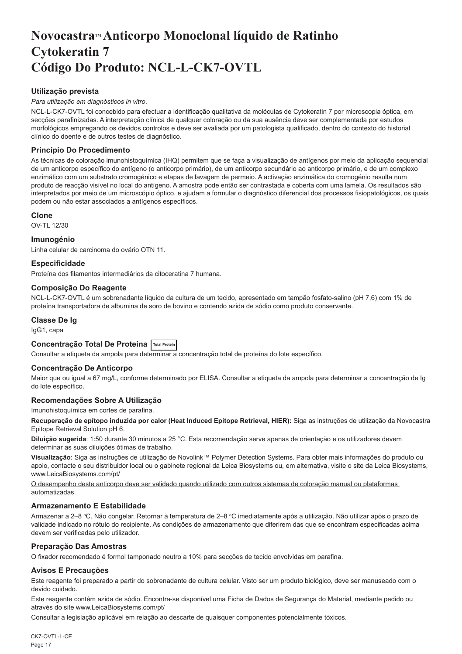## <span id="page-17-0"></span>**NovocastraTM Anticorpo Monoclonal líquido de Ratinho Cytokeratin 7 Código Do Produto: NCL-L-CK7-OVTL**

## **Utilização prevista**

### *Para utilização em diagnósticos in vitro*.

NCL-L-CK7-OVTL foi concebido para efectuar a identificação qualitativa da moléculas de Cytokeratin 7 por microscopia óptica, em secções parafinizadas. A interpretação clínica de qualquer coloração ou da sua ausência deve ser complementada por estudos morfológicos empregando os devidos controlos e deve ser avaliada por um patologista qualificado, dentro do contexto do historial clínico do doente e de outros testes de diagnóstico.

## **Princípio Do Procedimento**

As técnicas de coloração imunohistoquímica (IHQ) permitem que se faça a visualização de antígenos por meio da aplicação sequencial de um anticorpo específico do antígeno (o anticorpo primário), de um anticorpo secundário ao anticorpo primário, e de um complexo enzimático com um substrato cromogénico e etapas de lavagem de permeio. A activação enzimática do cromogénio resulta num produto de reacção visível no local do antígeno. A amostra pode então ser contrastada e coberta com uma lamela. Os resultados são interpretados por meio de um microscópio óptico, e ajudam a formular o diagnóstico diferencial dos processos fisiopatológicos, os quais podem ou não estar associados a antígenos específicos.

### **Clone**

OV-TL 12/30

### **Imunogénio**

Linha celular de carcinoma do ovário OTN 11.

## **Especificidade**

Proteína dos filamentos intermediários da citoceratina 7 humana.

### **Composição Do Reagente**

NCL-L-CK7-OVTL é um sobrenadante líquido da cultura de um tecido, apresentado em tampão fosfato-salino (pH 7,6) com 1% de proteína transportadora de albumina de soro de bovino e contendo azida de sódio como produto conservante.

### **Classe De Ig**

IgG1, capa

## **Concentração Total De Proteína Total Protein**

Consultar a etiqueta da ampola para determinar a concentração total de proteína do lote específico.

### **Concentração De Anticorpo**

Maior que ou igual a 67 mg/L, conforme determinado por ELISA. Consultar a etiqueta da ampola para determinar a concentração de Ig do lote específico.

## **Recomendações Sobre A Utilização**

Imunohistoquímica em cortes de parafina.

**Recuperação de epítopo induzida por calor (Heat Induced Epitope Retrieval, HIER):** Siga as instruções de utilização da Novocastra Epitope Retrieval Solution pH 6.

**Diluição sugerida**: 1:50 durante 30 minutos a 25 °C. Esta recomendação serve apenas de orientação e os utilizadores devem determinar as suas diluições ótimas de trabalho.

**Visualização**: Siga as instruções de utilização de Novolink™ Polymer Detection Systems. Para obter mais informações do produto ou apoio, contacte o seu distribuidor local ou o gabinete regional da Leica Biosystems ou, em alternativa, visite o site da Leica Biosystems, www.LeicaBiosystems.com/pt/

O desempenho deste anticorpo deve ser validado quando utilizado com outros sistemas de coloração manual ou plataformas automatizadas.

## **Armazenamento E Estabilidade**

Armazenar a 2–8 °C. Não congelar. Retornar à temperatura de 2–8 °C imediatamente após a utilização. Não utilizar após o prazo de validade indicado no rótulo do recipiente. As condições de armazenamento que diferirem das que se encontram especificadas acima devem ser verificadas pelo utilizador.

## **Preparação Das Amostras**

O fixador recomendado é formol tamponado neutro a 10% para secções de tecido envolvidas em parafina.

## **Avisos E Precauções**

Este reagente foi preparado a partir do sobrenadante de cultura celular. Visto ser um produto biológico, deve ser manuseado com o devido cuidado.

Este reagente contém azida de sódio. Encontra-se disponível uma Ficha de Dados de Segurança do Material, mediante pedido ou através do site www.LeicaBiosystems.com/pt/

Consultar a legislação aplicável em relação ao descarte de quaisquer componentes potencialmente tóxicos.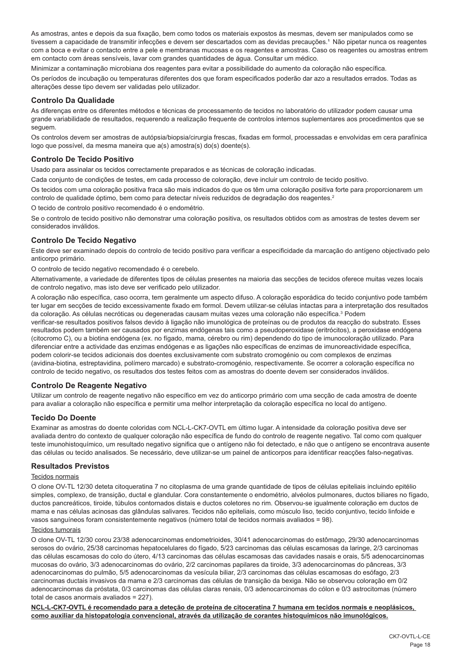As amostras, antes e depois da sua fixação, bem como todos os materiais expostos às mesmas, devem ser manipulados como se tivessem a capacidade de transmitir infecções e devem ser descartados com as devidas precauções.<sup>1</sup> Não pipetar nunca os reagentes com a boca e evitar o contacto entre a pele e membranas mucosas e os reagentes e amostras. Caso os reagentes ou amostras entrem em contacto com áreas sensíveis, lavar com grandes quantidades de água. Consultar um médico.

Minimizar a contaminação microbiana dos reagentes para evitar a possibilidade do aumento da coloração não específica.

Os períodos de incubação ou temperaturas diferentes dos que foram especificados poderão dar azo a resultados errados. Todas as alterações desse tipo devem ser validadas pelo utilizador.

## **Controlo Da Qualidade**

As diferenças entre os diferentes métodos e técnicas de processamento de tecidos no laboratório do utilizador podem causar uma grande variabilidade de resultados, requerendo a realização frequente de controlos internos suplementares aos procedimentos que se seguem.

Os controlos devem ser amostras de autópsia/biopsia/cirurgia frescas, fixadas em formol, processadas e envolvidas em cera parafínica logo que possível, da mesma maneira que a(s) amostra(s) do(s) doente(s).

## **Controlo De Tecido Positivo**

Usado para assinalar os tecidos correctamente preparados e as técnicas de coloração indicadas.

Cada conjunto de condições de testes, em cada processo de coloração, deve incluir um controlo de tecido positivo.

Os tecidos com uma coloração positiva fraca são mais indicados do que os têm uma coloração positiva forte para proporcionarem um controlo de qualidade óptimo, bem como para detectar níveis reduzidos de degradação dos reagentes.<sup>2</sup>

O tecido de controlo positivo recomendado é o endométrio.

Se o controlo de tecido positivo não demonstrar uma coloração positiva, os resultados obtidos com as amostras de testes devem ser considerados inválidos.

## **Controlo De Tecido Negativo**

Este deve ser examinado depois do controlo de tecido positivo para verificar a especificidade da marcação do antígeno objectivado pelo anticorpo primário.

O controlo de tecido negativo recomendado é o cerebelo.

Alternativamente, a variedade de diferentes tipos de células presentes na maioria das secções de tecidos oferece muitas vezes locais de controlo negativo, mas isto deve ser verificado pelo utilizador.

A coloração não específica, caso ocorra, tem geralmente um aspecto difuso. A coloração esporádica do tecido conjuntivo pode também ter lugar em secções de tecido excessivamente fixado em formol. Devem utilizar-se células intactas para a interpretação dos resultados da coloração. As células necróticas ou degeneradas causam muitas vezes uma coloração não específica.<sup>3</sup> Podem

verificar-se resultados positivos falsos devido à ligação não imunológica de proteínas ou de produtos da reacção do substrato. Esses resultados podem também ser causados por enzimas endógenas tais como a pseudoperoxidase (eritrócitos), a peroxidase endógena (citocromo C), ou a biotina endógena (ex. no fígado, mama, cérebro ou rim) dependendo do tipo de imunocoloração utilizado. Para diferenciar entre a actividade das enzimas endógenas e as ligações não específicas de enzimas de imunoreactividade específica, podem colorir-se tecidos adicionais dos doentes exclusivamente com substrato cromogénio ou com complexos de enzimas (avidina-biotina, estreptavidina, polímero marcado) e substrato-cromogénio, respectivamente. Se ocorrer a coloração específica no controlo de tecido negativo, os resultados dos testes feitos com as amostras do doente devem ser considerados inválidos.

## **Controlo De Reagente Negativo**

Utilizar um controlo de reagente negativo não específico em vez do anticorpo primário com uma secção de cada amostra de doente para avaliar a coloração não específica e permitir uma melhor interpretação da coloração específica no local do antígeno.

## **Tecido Do Doente**

Examinar as amostras do doente coloridas com NCL-L-CK7-OVTL em último lugar. A intensidade da coloração positiva deve ser avaliada dentro do contexto de qualquer coloração não específica de fundo do controlo de reagente negativo. Tal como com qualquer teste imunohistoquímico, um resultado negativo significa que o antígeno não foi detectado, e não que o antígeno se encontrava ausente das células ou tecido analisados. Se necessário, deve utilizar-se um painel de anticorpos para identificar reacções falso-negativas.

## **Resultados Previstos**

## Tecidos normais

O clone OV-TL 12/30 deteta citoqueratina 7 no citoplasma de uma grande quantidade de tipos de células epiteliais incluindo epitélio simples, complexo, de transição, ductal e glandular. Cora constantemente o endométrio, alvéolos pulmonares, ductos biliares no fígado, ductos pancreáticos, tiroide, túbulos contornados distais e ductos coletores no rim. Observou-se igualmente coloração em ductos de mama e nas células acinosas das glândulas salivares. Tecidos não epiteliais, como músculo liso, tecido conjuntivo, tecido linfoide e vasos sanguíneos foram consistentemente negativos (número total de tecidos normais avaliados = 98).

## Tecidos tumorais

O clone OV-TL 12/30 corou 23/38 adenocarcinomas endometrioides, 30/41 adenocarcinomas do estômago, 29/30 adenocarcinomas serosos do ovário, 25/38 carcinomas hepatocelulares do fígado, 5/23 carcinomas das células escamosas da laringe, 2/3 carcinomas das células escamosas do colo do útero, 4/13 carcinomas das células escamosas das cavidades nasais e orais, 5/5 adenocarcinomas mucosas do ovário, 3/3 adenocarcinomas do ovário, 2/2 carcinomas papilares da tiroide, 3/3 adenocarcinomas do pâncreas, 3/3 adenocarcinomas do pulmão, 5/5 adenocarcinomas da vesícula biliar, 2/3 carcinomas das células escamosas do esófago, 2/3 carcinomas ductais invasivos da mama e 2/3 carcinomas das células de transição da bexiga. Não se observou coloração em 0/2 adenocarcinomas da próstata, 0/3 carcinomas das células claras renais, 0/3 adenocarcinomas do cólon e 0/3 astrocitomas (número total de casos anormais avaliados = 227).

**NCL-L-CK7-OVTL é recomendado para a deteção de proteína de citoceratina 7 humana em tecidos normais e neoplásicos, como auxiliar da histopatologia convencional, através da utilização de corantes histoquímicos não imunológicos.**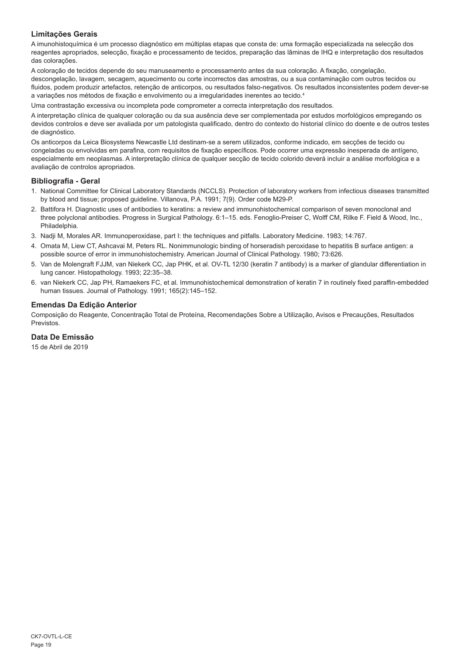## **Limitações Gerais**

A imunohistoquímica é um processo diagnóstico em múltiplas etapas que consta de: uma formação especializada na selecção dos reagentes apropriados, selecção, fixação e processamento de tecidos, preparação das lâminas de IHQ e interpretação dos resultados das colorações.

A coloração de tecidos depende do seu manuseamento e processamento antes da sua coloração. A fixação, congelação, descongelação, lavagem, secagem, aquecimento ou corte incorrectos das amostras, ou a sua contaminação com outros tecidos ou fluidos, podem produzir artefactos, retenção de anticorpos, ou resultados falso-negativos. Os resultados inconsistentes podem dever-se a variações nos métodos de fixação e envolvimento ou a irregularidades inerentes ao tecido.4

Uma contrastação excessiva ou incompleta pode comprometer a correcta interpretação dos resultados.

A interpretação clínica de qualquer coloração ou da sua ausência deve ser complementada por estudos morfológicos empregando os devidos controlos e deve ser avaliada por um patologista qualificado, dentro do contexto do historial clínico do doente e de outros testes de diagnóstico.

Os anticorpos da Leica Biosystems Newcastle Ltd destinam-se a serem utilizados, conforme indicado, em secções de tecido ou congeladas ou envolvidas em parafina, com requisitos de fixação específicos. Pode ocorrer uma expressão inesperada de antígeno, especialmente em neoplasmas. A interpretação clínica de qualquer secção de tecido colorido deverá incluir a análise morfológica e a avaliação de controlos apropriados.

## **Bibliografia - Geral**

- 1. National Committee for Clinical Laboratory Standards (NCCLS). Protection of laboratory workers from infectious diseases transmitted by blood and tissue; proposed guideline. Villanova, P.A. 1991; 7(9). Order code M29-P.
- 2. Battifora H. Diagnostic uses of antibodies to keratins: a review and immunohistochemical comparison of seven monoclonal and three polyclonal antibodies. Progress in Surgical Pathology. 6:1–15. eds. Fenoglio-Preiser C, Wolff CM, Rilke F. Field & Wood, Inc., Philadelphia.
- 3. Nadji M, Morales AR. Immunoperoxidase, part I: the techniques and pitfalls. Laboratory Medicine. 1983; 14:767.
- 4. Omata M, Liew CT, Ashcavai M, Peters RL. Nonimmunologic binding of horseradish peroxidase to hepatitis B surface antigen: a possible source of error in immunohistochemistry. American Journal of Clinical Pathology. 1980; 73:626.
- 5. Van de Molengraft FJJM, van Niekerk CC, Jap PHK, et al. OV-TL 12/30 (keratin 7 antibody) is a marker of glandular differentiation in lung cancer. Histopathology. 1993; 22:35–38.
- 6. van Niekerk CC, Jap PH, Ramaekers FC, et al. Immunohistochemical demonstration of keratin 7 in routinely fixed paraffin-embedded human tissues. Journal of Pathology. 1991; 165(2):145–152.

## **Emendas Da Edição Anterior**

Composição do Reagente, Concentração Total de Proteína, Recomendações Sobre a Utilização, Avisos e Precauções, Resultados Previstos.

## **Data De Emissão**

15 de Abril de 2019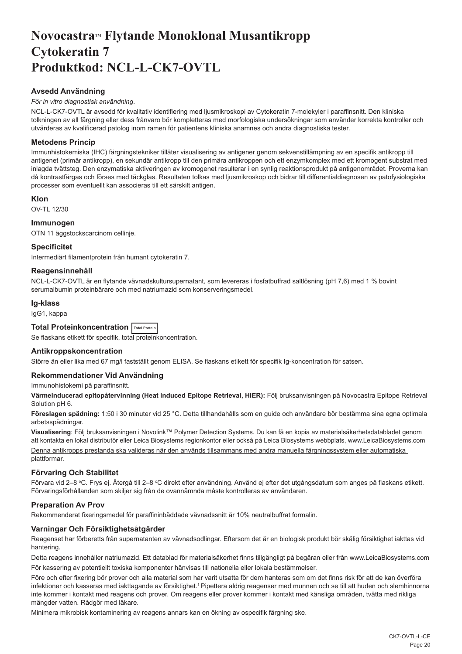## <span id="page-20-0"></span>Novocastra™ Flytande Monoklonal Musantikropp **Cytokeratin 7 Produktkod: NCL-L-CK7-OVTL**

## **Avsedd Användning**

## *För in vitro diagnostisk användning*.

NCL-L-CK7-OVTL är avsedd för kvalitativ identifiering med ljusmikroskopi av Cytokeratin 7-molekyler i paraffinsnitt. Den kliniska tolkningen av all färgning eller dess frånvaro bör kompletteras med morfologiska undersökningar som använder korrekta kontroller och utvärderas av kvalificerad patolog inom ramen för patientens kliniska anamnes och andra diagnostiska tester.

## **Metodens Princip**

Immunhistokemiska (IHC) färgningstekniker tillåter visualisering av antigener genom sekvenstillämpning av en specifik antikropp till antigenet (primär antikropp), en sekundär antikropp till den primära antikroppen och ett enzymkomplex med ett kromogent substrat med inlagda tvättsteg. Den enzymatiska aktiveringen av kromogenet resulterar i en synlig reaktionsprodukt på antigenområdet. Proverna kan då kontrastfärgas och förses med täckglas. Resultaten tolkas med ljusmikroskop och bidrar till differentialdiagnosen av patofysiologiska processer som eventuellt kan associeras till ett särskilt antigen.

## **Klon**

OV-TL 12/30

## **Immunogen**

OTN 11 äggstockscarcinom cellinje.

## **Specificitet**

Intermediärt filamentprotein från humant cytokeratin 7.

## **Reagensinnehåll**

NCL-L-CK7-OVTL är en flytande vävnadskultursupernatant, som levereras i fosfatbuffrad saltlösning (pH 7,6) med 1 % bovint serumalbumin proteinbärare och med natriumazid som konserveringsmedel.

## **Ig-klass**

IgG1, kappa

**Total Proteinkoncentration Total Protein**

Se flaskans etikett för specifik, total proteinkoncentration.

## **Antikroppskoncentration**

Större än eller lika med 67 mg/l fastställt genom ELISA. Se flaskans etikett för specifik Ig-koncentration för satsen.

## **Rekommendationer Vid Användning**

Immunohistokemi på paraffinsnitt.

**Värmeinducerad epitopåtervinning (Heat Induced Epitope Retrieval, HIER):** Följ bruksanvisningen på Novocastra Epitope Retrieval Solution pH 6.

**Föreslagen spädning:** 1:50 i 30 minuter vid 25 °C. Detta tillhandahålls som en guide och användare bör bestämma sina egna optimala arbetsspädningar.

**Visualisering**: Följ bruksanvisningen i Novolink™ Polymer Detection Systems. Du kan få en kopia av materialsäkerhetsdatabladet genom att kontakta en lokal distributör eller Leica Biosystems regionkontor eller också på Leica Biosystems webbplats, www.LeicaBiosystems.com Denna antikropps prestanda ska valideras när den används tillsammans med andra manuella färgningssystem eller automatiska plattformar.

## **Förvaring Och Stabilitet**

Förvara vid 2–8 °C. Frys ej. Atergå till 2–8 °C direkt efter användning. Använd ej efter det utgångsdatum som anges på flaskans etikett. Förvaringsförhållanden som skiljer sig från de ovannämnda måste kontrolleras av användaren.

## **Preparation Av Prov**

Rekommenderat fixeringsmedel för paraffininbäddade vävnadssnitt är 10% neutralbuffrat formalin.

## **Varningar Och Försiktighetsåtgärder**

Reagenset har förberetts från supernatanten av vävnadsodlingar. Eftersom det är en biologisk produkt bör skälig försiktighet iakttas vid hantering.

Detta reagens innehåller natriumazid. Ett datablad för materialsäkerhet finns tillgängligt på begäran eller från www.LeicaBiosystems.com För kassering av potentiellt toxiska komponenter hänvisas till nationella eller lokala bestämmelser.

Före och efter fixering bör prover och alla material som har varit utsatta för dem hanteras som om det finns risk för att de kan överföra infektioner och kasseras med iakttagande av försiktighet.<sup>1</sup> Pipettera aldrig reagenser med munnen och se till att huden och slemhinnorna inte kommer i kontakt med reagens och prover. Om reagens eller prover kommer i kontakt med känsliga områden, tvätta med rikliga mängder vatten. Rådgör med läkare.

Minimera mikrobisk kontaminering av reagens annars kan en ökning av ospecifik färgning ske.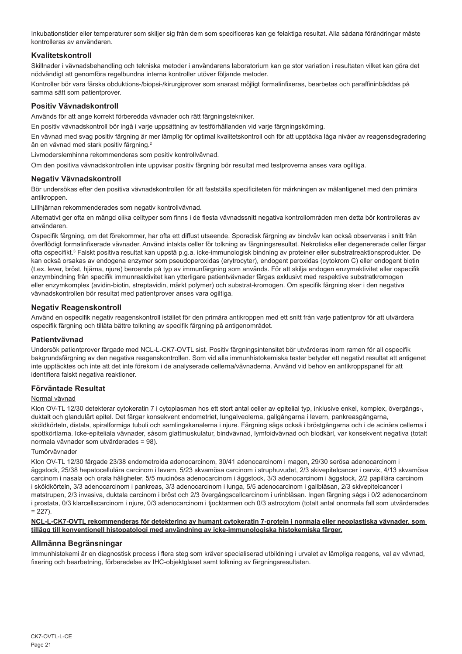Inkubationstider eller temperaturer som skiljer sig från dem som specificeras kan ge felaktiga resultat. Alla sådana förändringar måste kontrolleras av användaren.

## **Kvalitetskontroll**

Skillnader i vävnadsbehandling och tekniska metoder i användarens laboratorium kan ge stor variation i resultaten vilket kan göra det nödvändigt att genomföra regelbundna interna kontroller utöver följande metoder.

Kontroller bör vara färska obduktions-/biopsi-/kirurgiprover som snarast möjligt formalinfixeras, bearbetas och paraffininbäddas på samma sätt som patientprover.

## **Positiv Vävnadskontroll**

Används för att ange korrekt förberedda vävnader och rätt färgningstekniker.

En positiv vävnadskontroll bör ingå i varje uppsättning av testförhållanden vid varje färgningskörning.

En vävnad med svag positiv färgning är mer lämplig för optimal kvalitetskontroll och för att upptäcka låga nivåer av reagensdegradering än en vävnad med stark positiv färgning.<sup>2</sup>

Livmoderslemhinna rekommenderas som positiv kontrollvävnad.

Om den positiva vävnadskontrollen inte uppvisar positiv färgning bör resultat med testproverna anses vara ogiltiga.

## **Negativ Vävnadskontroll**

Bör undersökas efter den positiva vävnadskontrollen för att fastställa specificiteten för märkningen av målantigenet med den primära antikroppen

Lillhjärnan rekommenderades som negativ kontrollvävnad.

Alternativt ger ofta en mängd olika celltyper som finns i de flesta vävnadssnitt negativa kontrollområden men detta bör kontrolleras av användaren.

Ospecifik färgning, om det förekommer, har ofta ett diffust utseende. Sporadisk färgning av bindväv kan också observeras i snitt från överflödigt formalinfixerade vävnader. Använd intakta celler för tolkning av färgningsresultat. Nekrotiska eller degenererade celler färgar ofta ospecifikt.<sup>s</sup> Falskt positiva resultat kan uppstå p.g.a. icke-immunologisk bindning av proteiner eller substratreaktionsprodukter. De kan också orsakas av endogena enzymer som pseudoperoxidas (erytrocyter), endogent peroxidas (cytokrom C) eller endogent biotin (t.ex. lever, bröst, hjärna, njure) beroende på typ av immunfärgning som används. För att skilja endogen enzymaktivitet eller ospecifik enzymbindning från specifik immunreaktivitet kan ytterligare patientvävnader färgas exklusivt med respektive substratkromogen eller enzymkomplex (avidin-biotin, streptavidin, märkt polymer) och substrat-kromogen. Om specifik färgning sker i den negativa vävnadskontrollen bör resultat med patientprover anses vara ogiltiga.

## **Negativ Reagenskontroll**

Använd en ospecifik negativ reagenskontroll istället för den primära antikroppen med ett snitt från varje patientprov för att utvärdera ospecifik färgning och tillåta bättre tolkning av specifik färgning på antigenområdet.

## **Patientvävnad**

Undersök patientprover färgade med NCL-L-CK7-OVTL sist. Positiv färgningsintensitet bör utvärderas inom ramen för all ospecifik bakgrundsfärgning av den negativa reagenskontrollen. Som vid alla immunhistokemiska tester betyder ett negativt resultat att antigenet inte upptäcktes och inte att det inte förekom i de analyserade cellerna/vävnaderna. Använd vid behov en antikroppspanel för att identifiera falskt negativa reaktioner.

## **Förväntade Resultat**

## Normal vävnad

Klon OV-TL 12/30 detekterar cytokeratin 7 i cytoplasman hos ett stort antal celler av epitelial typ, inklusive enkel, komplex, övergångs-, duktalt och glandulärt epitel. Det färgar konsekvent endometriet, lungalveolerna, gallgångarna i levern, pankreasgångarna, sköldkörteln, distala, spiralformiga tubuli och samlingskanalerna i njure. Färgning sågs också i bröstgångarna och i de acinära cellerna i spottkörtlarna. Icke-epiteliala vävnader, såsom glattmuskulatur, bindvävnad, lymfoidvävnad och blodkärl, var konsekvent negativa (totalt normala vävnader som utvärderades = 98).

### Tumörvävnader

Klon OV-TL 12/30 färgade 23/38 endometroida adenocarcinom, 30/41 adenocarcinom i magen, 29/30 serösa adenocarcinom i äggstock, 25/38 hepatocellulära carcinom i levern, 5/23 skvamösa carcinom i struphuvudet, 2/3 skivepitelcancer i cervix, 4/13 skvamösa carcinom i nasala och orala håligheter, 5/5 mucinösa adenocarcinom i äggstock, 3/3 adenocarcinom i äggstock, 2/2 papillära carcinom i sköldkörteln, 3/3 adenocarcinom i pankreas, 3/3 adenocarcinom i lunga, 5/5 adenocarcinom i gallblåsan, 2/3 skivepitelcancer i matstrupen, 2/3 invasiva, duktala carcinom i bröst och 2/3 övergångscellcarcinom i urinblåsan. Ingen färgning sågs i 0/2 adenocarcinom i prostata, 0/3 klarcellscarcinom i njure, 0/3 adenocarcinom i tjocktarmen och 0/3 astrocytom (totalt antal onormala fall som utvärderades  $= 227$ 

### **NCL-L-CK7-OVTL rekommenderas för detektering av humant cytokeratin 7-protein i normala eller neoplastiska vävnader, som tillägg till konventionell histopatologi med användning av icke-immunologiska histokemiska färger.**

## **Allmänna Begränsningar**

Immunhistokemi är en diagnostisk process i flera steg som kräver specialiserad utbildning i urvalet av lämpliga reagens, val av vävnad, fixering och bearbetning, förberedelse av IHC-objektglaset samt tolkning av färgningsresultaten.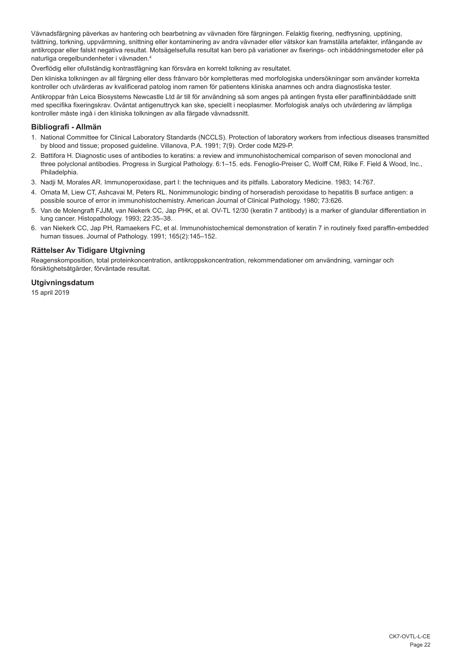Vävnadsfärgning påverkas av hantering och bearbetning av vävnaden före färgningen. Felaktig fixering, nedfrysning, upptining, tvättning, torkning, uppvärmning, snittning eller kontaminering av andra vävnader eller vätskor kan framställa artefakter, infångande av antikroppar eller falskt negativa resultat. Motsägelsefulla resultat kan bero på variationer av fixerings- och inbäddningsmetoder eller på naturliga oregelbundenheter i vävnaden.4

Överflödig eller ofullständig kontrastfägning kan försvåra en korrekt tolkning av resultatet.

Den kliniska tolkningen av all färgning eller dess frånvaro bör kompletteras med morfologiska undersökningar som använder korrekta kontroller och utvärderas av kvalificerad patolog inom ramen för patientens kliniska anamnes och andra diagnostiska tester.

Antikroppar från Leica Biosystems Newcastle Ltd är till för användning så som anges på antingen frysta eller paraffininbäddade snitt med specifika fixeringskrav. Oväntat antigenuttryck kan ske, speciellt i neoplasmer. Morfologisk analys och utvärdering av lämpliga kontroller måste ingå i den kliniska tolkningen av alla färgade vävnadssnitt.

## **Bibliografi - Allmän**

- 1. National Committee for Clinical Laboratory Standards (NCCLS). Protection of laboratory workers from infectious diseases transmitted by blood and tissue; proposed guideline. Villanova, P.A. 1991; 7(9). Order code M29-P.
- 2. Battifora H. Diagnostic uses of antibodies to keratins: a review and immunohistochemical comparison of seven monoclonal and three polyclonal antibodies. Progress in Surgical Pathology. 6:1–15. eds. Fenoglio-Preiser C, Wolff CM, Rilke F. Field & Wood, Inc., Philadelphia.
- 3. Nadji M, Morales AR. Immunoperoxidase, part I: the techniques and its pitfalls. Laboratory Medicine. 1983; 14:767.
- 4. Omata M, Liew CT, Ashcavai M, Peters RL. Nonimmunologic binding of horseradish peroxidase to hepatitis B surface antigen: a possible source of error in immunohistochemistry. American Journal of Clinical Pathology. 1980; 73:626.
- 5. Van de Molengraft FJJM, van Niekerk CC, Jap PHK, et al. OV-TL 12/30 (keratin 7 antibody) is a marker of glandular differentiation in lung cancer. Histopathology. 1993; 22:35–38.
- 6. van Niekerk CC, Jap PH, Ramaekers FC, et al. Immunohistochemical demonstration of keratin 7 in routinely fixed paraffin-embedded human tissues. Journal of Pathology. 1991; 165(2):145–152.

## **Rättelser Av Tidigare Utgivning**

Reagenskomposition, total proteinkoncentration, antikroppskoncentration, rekommendationer om användning, varningar och försiktighetsåtgärder, förväntade resultat.

## **Utgivningsdatum**

15 april 2019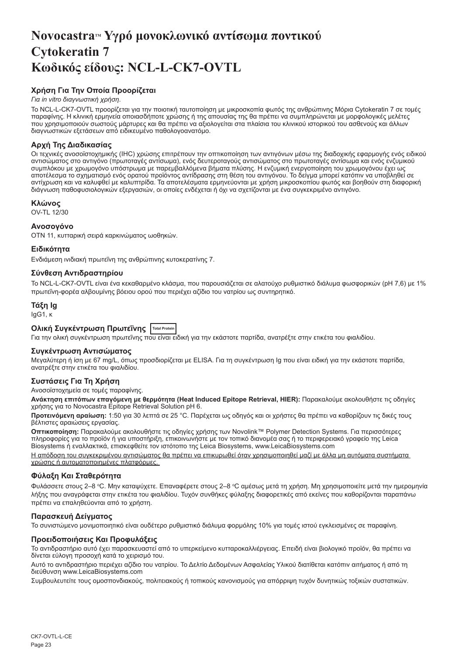## <span id="page-23-0"></span>**NovocastraTM Υγρό μονοκλωνικό αντίσωμα ποντικού Cytokeratin 7 Κωδικός είδους: NCL-L-CK7-OVTL**

## **Χρήση Για Την Οποία Προορίζεται**

## *Για in vitro διαγνωστική χρήση*.

Το NCL-L-CK7-OVTL προορίζεται για την ποιοτική ταυτοποίηση με μικροσκοπία φωτός της ανθρώπινης Μόρια Cytokeratin 7 σε τομές<br>παραφίνης. Η κλινική ερμηνεία οποιασδήποτε χρώσης ή της απουσίας της θα πρέπει να συμπληρώνεται μ που χρησιμοποιούν σωστούς μάρτυρες και θα πρέπει να αξιολογείται στα πλαίσια του κλινικού ιστορικού του ασθενούς και άλλων διαγνωστικών εξετάσεων από ειδικευμένο παθολογοανατόμο.

## **Αρχή Της Διαδικασίας**

Οι τεχνικές ανοσοϊστοχημικής (IHC) χρώσης επιτρέπουν την οπτικοποίηση των αντιγόνων μέσω της διαδοχικής εφαρμογής ενός ειδικού αντισώματος στο αντιγόνο (πρωτοταγές αντίσωμα), ενός δευτεροταγούς αντισώματος στο πρωτοταγές αντίσωμα και ενός ενζυμικού συμπλόκου με χρωμογόνο υπόστρωμα με παρεμβαλλόμενα βήματα πλύσης. Η ενζυμική ενεργοποίηση του χρωμογόνου έχει ως αποτέλεσμα το σχηματισμό ενός ορατού προϊόντος αντίδρασης στη θέση του αντιγόνου. Το δείγμα μπορεί κατόπιν να υποβληθεί σε αντίχρωση και να καλυφθεί με καλυπτρίδα. Τα αποτελέσματα ερμηνεύονται με χρήση μικροσκοπίου φωτός και βοηθούν στη διαφορική διάγνωση παθοφυσιολογικών εξεργασιών, οι οποίες ενδέχεται ή όχι να σχετίζονται με ένα συγκεκριμένο αντιγόνο.

## **Κλώνος**

OV-TL 12/30

## **Ανοσογόνο**

OTN 11, κυτταρική σειρά καρκινώματος ωοθηκών.

## **Ειδικότητα**

Ενδιάμεση ινιδιακή πρωτεΐνη της ανθρώπινης κυτοκερατίνης 7.

## **Σύνθεση Αντιδραστηρίου**

Το NCL-L-CK7-OVTL είναι ένα κεκαθαρμένο κλάσμα, που παρουσιάζεται σε αλατούχο ρυθμιστικό διάλυμα φωσφορικών (pH 7,6) με 1% πρωτεΐνη-φορέα αλβουμίνης βόειου ορού που περιέχει αζίδιο του νατρίου ως συντηρητικό.

## **Τάξη Ig**

IgG1, κ

## **Ολική Συγκέντρωση Πρωτεΐνης Total Protein**

Για την ολική συγκέντρωση πρωτεΐνης που είναι ειδική για την εκάστοτε παρτίδα, ανατρέξτε στην ετικέτα του φιαλιδίου.

## **Συγκέντρωση Αντισώματος**

Μεγαλύτερη ή ίση με 67 mg/L, όπως προσδιορίζεται με ELISA. Για τη συγκέντρωση Ig που είναι ειδική για την εκάστοτε παρτίδα, ανατρέξτε στην ετικέτα του φιαλιδίου.

## **Συστάσεις Για Τη Χρήση**

## Ανοσοϊστοχημεία σε τομές παραφίνης.

**Ανάκτηση επιτόπων επαγόμενη με θερμότητα (Heat Induced Epitope Retrieval, HIER):** Παρακαλούμε ακολουθήστε τις οδηγίες<br>χρήσης για το Novocastra Epitope Retrieval Solution pH 6.

**Προτεινόμενη αραίωση:** 1:50 για 30 λεπτά σε 25 °C. Παρέχεται ως οδηγός και οι χρήστες θα πρέπει να καθορίζουν τις δικές τους βέλτιστες αραιώσεις εργασίας.

**Οπτικοποίηση:** Παρακαλούμε ακολουθήστε τις οδηγίες χρήσης των Novolink™ Polymer Detection Systems. Για περισσότερες πληροφορίες για το προϊόν ή για υποστήριξη, επικοινωνήστε με τον τοπικό διανομέα σας ή το περιφερειακό γραφείο της Leica Biosystems ή εναλλακτικά, επισκεφθείτε τον ιστότοπο της Leica Biosystems, www.LeicaBiosystems.com

Η απόδοση του συγκεκριμένου αντισώματος θα πρέπει να επικυρωθεί όταν χρησιμοποιηθεί μαζί με άλλα μη αυτόματα συστήματα χρώσης ή αυτοματοποιημένες πλατφόρμες.

### **Φύλαξη Και Σταθερότητα**

Φυλάσσετε στους 2–8 °C. Μην καταψύχετε. Επαναφέρετε στους 2–8 °C αμέσως μετά τη χρήση. Μη χρησιμοποιείτε μετά την ημερομηνία λήξης που αναγράφεται στην ετικέτα του φιαλιδίου. Τυχόν συνθήκες φύλαξης διαφορετικές από εκείνες που καθορίζονται παραπάνω πρέπει να επαληθεύονται από το χρήστη.

### **Παρασκευή Δείγματος**

Το συνιστώμενο μονιμοποιητικό είναι ουδέτερο ρυθμιστικό διάλυμα φορμόλης 10% για τομές ιστού εγκλεισμένες σε παραφίνη.

## **Προειδοποιήσεις Και Προφυλάξεις**

Το αντιδραστήριο αυτό έχει παρασκευαστεί από το υπερκείμενο κυτταροκαλλιέργειας. Επειδή είναι βιολογικό προϊόν, θα πρέπει να δίνεται εύλογη προσοχή κατά το χειρισμό του.

Αυτό το αντιδραστήριο περιέχει αζίδιο του νατρίου. Το Δελτίο Δεδομένων Ασφαλείας Υλικού διατίθεται κατόπιν αιτήματος ή από τη διεύθυνση www.LeicaBiosystems.com

Συμβουλευτείτε τους ομοσπονδιακούς, πολιτειακούς ή τοπικούς κανονισμούς για απόρριψη τυχόν δυνητικώς τοξικών συστατικών.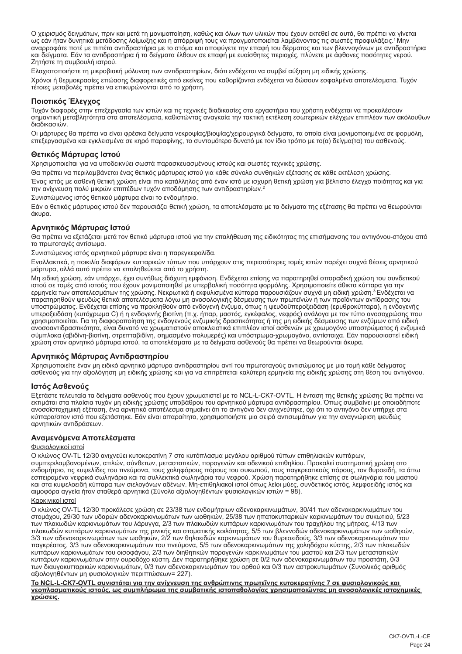Ο χειρισμός δειγμάτων, πριν και μετά τη μονιμοποίηση, καθώς και όλων των υλικών που έχουν εκτεθεί σε αυτά, θα πρέπει να γίνεται ως εάν ήταν δυνητικά μετάδοσης λοίμωξης και η απόρριψή τους να πραγματοποιείται λαμβάνοντας τις σωστές προφυλάξεις.<sup>1</sup>Μην αναρροφάτε ποτέ με πιπέτα αντιδραστήρια με το στόμα και αποφύγετε την επαφή του δέρματος και των βλεννογόνων με αντιδραστήρια και δείγματα. Εάν τα αντιδραστήρια ή τα δείγματα έλθουν σε επαφή με ευαίσθητες περιοχές, πλύνετε με άφθονες ποσότητες νερού. Ζητήστε τη συμβουλή ιατρού.

Ελαχιστοποιήστε τη μικροβιακή μόλυνση των αντιδραστηρίων, διότι ενδέχεται να συμβεί αύξηση μη ειδικής χρώσης.

Χρόνοι ή θερμοκρασίες επώασης διαφορετικές από εκείνες που καθορίζονται ενδέχεται να δώσουν εσφαλμένα αποτελέσματα. Τυχόν τέτοιες μεταβολές πρέπει να επικυρώνονται από το χρήστη.

## **Ποιοτικός Έλεγχος**

Τυχόν διαφορές στην επεξεργασία των ιστών και τις τεχνικές διαδικασίες στο εργαστήριο του χρήστη ενδέχεται να προκαλέσουν σημαντική μεταβλητότητα στα αποτελέσματα, καθιστώντας αναγκαία την τακτική εκτέλεση εσωτερικών ελέγχων επιπλέον των ακόλουθων διαδικασιών.

Οι μάρτυρες θα πρέπει να είναι φρέσκα δείγματα νεκροψίας/βιοψίας/χειρουργικά δείγματα, τα οποία είναι μονιμοποιημένα σε φορμόλη, επεξεργασμένα και εγκλεισμένα σε κηρό παραφίνης, το συντομότερο δυνατό με τον ίδιο τρόπο με το(α) δείγμα(τα) του ασθενούς.

## **Θετικός Μάρτυρας Ιστού**

Χρησιμοποιείται για να υποδεικνύει σωστά παρασκευασμένους ιστούς και σωστές τεχνικές χρώσης.

Θα πρέπει να περιλαμβάνεται ένας θετικός μάρτυρας ιστού για κάθε σύνολο συνθηκών εξέτασης σε κάθε εκτέλεση χρώσης. Ένας ιστός με ασθενή θετική χρώση είναι πιο κατάλληλος από έναν ιστό με ισχυρή θετική χρώση για βέλτιστο έλεγχο ποιότητας και για την ανίχνευση πολύ μικρών επιπέδων τυχόν αποδόμησης των αντιδραστηρίων.<sup>2</sup>

Συνιστώμενος ιστός θετικού μάρτυρα είναι το ενδομήτριο.

Εάν ο θετικός μάρτυρας ιστού δεν παρουσιάζει θετική χρώση, τα αποτελέσματα με τα δείγματα της εξέτασης θα πρέπει να θεωρούνται άκυρα.

## **Αρνητικός Μάρτυρας Ιστού**

Θα πρέπει να εξετάζεται μετά τον θετικό μάρτυρα ιστού για την επαλήθευση της ειδικότητας της επισήμανσης του αντιγόνου-στόχου από το πρωτοταγές αντίσωμα.

Συνιστώμενος ιστός αρνητικού μάρτυρα είναι η παρεγκεφαλίδα.

Εναλλακτικά, η ποικιλία διαφόρων κυτταρικών τύπων που υπάρχουν στις περισσότερες τομές ιστών παρέχει συχνά θέσεις αρνητικού μάρτυρα, αλλά αυτό πρέπει να επαληθεύεται από το χρήστη.

Μη ειδική χρώση, εάν υπάρχει, έχει συνήθως διάχυτη εμφάνιση. Ενδέχεται επίσης να παρατηρηθεί σποραδική χρώση του συνδετικού ιστού σε τομές από ιστούς που έχουν μονιμοποιηθεί με υπερβολική ποσότητα φορμόλης. Χρησιμοποιείτε άθικτα κύτταρα για την ερμηνεία των αποτελεσμάτων της χρώσης. Νεκρωτικά ή εκφυλισμένα κύτταρα παρουσιάζουν συχνά μη ειδική χρώση.<sup>3</sup>Ενδέχεται να παρατηρηθούν ψευδώς θετικά αποτελέσματα λόγω μη ανοσολογικής δέσμευσης των πρωτεϊνών ή των προϊόντων αντίδρασης του υποστρώματος. Ενδέχεται επίσης να προκληθούν από ενδογενή ένζυμα, όπως η ψευδοϋπεροξειδάση (ερυθροκύτταρα), η ενδογενής υπεροξειδάση (κυτόχρωμα C) ή η ενδογενής βιοτίνη (π.χ. ήπαρ, μαστός, εγκέφαλος, νεφρός) ανάλογα με τον τύπο ανοσοχρώσης που χρησιμοποιείται. Για τη διαφοροποίηση της ενδογενούς ενζυμικής δραστικότητας ή της μη ειδικής δέσμευσης των ενζύμων από ειδική ανοσοαντιδραστικότητα, είναι δυνατό να χρωματιστούν αποκλειστικά επιπλέον ιστοί ασθενών με χρωμογόνο υποστρώματος ή ενζυμικά σύμπλοκα (αβιδίνη-βιοτίνη, στρεπταβιδίνη, σημασμένο πολυμερές) και υπόστρωμα-χρωμογόνο, αντίστοιχα. Εάν παρουσιαστεί ειδική χρώση στον αρνητικό μάρτυρα ιστού, τα αποτελέσματα με τα δείγματα ασθενούς θα πρέπει να θεωρούνται άκυρα.

## **Αρνητικός Μάρτυρας Αντιδραστηρίου**

Χρησιμοποιείτε έναν μη ειδικό αρνητικό μάρτυρα αντιδραστηρίου αντί του πρωτοταγούς αντισώματος με μια τομή κάθε δείγματος ασθενούς για την αξιολόγηση μη ειδικής χρώσης και για να επιτρέπεται καλύτερη ερμηνεία της ειδικής χρώσης στη θέση του αντιγόνου.

## **Ιστός Ασθενούς**

Εξετάστε τελευταία τα δείγματα ασθενούς που έχουν χρωματιστεί με το NCL-L-CK7-OVTL. Η ένταση της θετικής χρώσης θα πρέπει να εκτιμάται στα πλαίσια τυχόν μη ειδικής χρώσης υποβάθρου του αρνητικού μάρτυρα αντιδραστηρίου. Όπως συμβαίνει με οποιαδήποτε ανοσοϊστοχημική εξέταση, ένα αρνητικό αποτέλεσμα σημαίνει ότι το αντιγόνο δεν ανιχνεύτηκε, όχι ότι το αντιγόνο δεν υπήρχε στα κύτταρα/στον ιστό που εξετάστηκε. Εάν είναι απαραίτητο, χρησιμοποιήστε μια σειρά αντισωμάτων για την αναγνώριση ψευδώς αρνητικών αντιδράσεων.

## **Αναμενόμενα Αποτελέσματα**

### Φυσιολογικοί ιστοί

Ο κλώνος OV-TL 12/30 ανιχνεύει κυτοκερατίνη 7 στο κυτόπλασμα μεγάλου αριθμού τύπων επιθηλιακών κυττάρων, συμπεριλαμβανομένων, απλών, σύνθετων, μεταστατικών, πορογενών και αδενικού επιθηλίου. Προκαλεί συστηματική χρώση στο ενδομήτριο, τις κυψελίδες του πνεύμονα, τους χοληφόρους πόρους του συκωτιού, τους παγκρεατικούς πόρους, τον θυροειδή, τα άπω εσπειραμένα νεφρικά σωληνάρια και τα συλλεκτικά σωληνάρια του νεφρού. Χρώση παρατηρήθηκε επίσης σε σωληνάρια του μαστού και στα κυψελοειδή κύτταρα των σιελογόνων αδένων. Μη-επιθηλιακοί ιστοί όπως λείοι μύες, συνδετικός ιστός, λεμφοειδής ιστός και αιμοφόρα αγγεία ήταν σταθερά αρνητικά (Σύνολο αξιολογηθέντων φυσιολογικών ιστών = 98).

### Καρκινικοί ιστοί

Ο κλώνος OV-TL 12/30 προκάλεσε χρώση σε 23/38 των ενδομήτριων αδενοκαρκινωμάτων, 30/41 των αδενοκαρκινωμάτων του στομάχου, 29/30 των υδαρών αδενοκαρκινωμάτων των ωοθηκών, 25/38 των ηπατοκυτταρικών καρκινωμάτων του συκωτιού, 5/23 των πλακωδών καρκινωμάτων του λάρυγγα, 2/3 των πλακωδών κυττάρων καρκινωμάτων του τραχήλου της μήτρας, 4/13 των πλακωδών κυττάρων καρκινωμάτων της ρινικής και στοματικής κοιλότητας, 5/5 των βλεννοδών αδενοκαρκινωμάτων των ωοθηκών, 3/3 των αδενοκαρκινωμάτων των ωοθηκών, 2/2 των θηλοειδών καρκινωμάτων του θυρεοειδούς, 3/3 των αδενοκαρκινωμάτων του παγκρέατος, 3/3 των αδενοκαρκινωμάτων του πνεύμονα, 5/5 των αδενοκαρκινωμάτων της χοληδόχου κύστης, 2/3 των πλακωδών κυττάρων καρκινωμάτων του οισοφάγου, 2/3 των διηθητικών πορογενών καρκινωμάτων του μαστού και 2/3 των μεταστατικών κυττάρων καρκινωμάτων στην ουροδόχο κύστη. Δεν παρατηρήθηκε χρώση σε 0/2 των αδενοκαρκινωμάτων του προστάτη, 0/3 των διαυγοκυτταρικών καρκινωμάτων, 0/3 των αδενοκαρκινωμάτων του ορθού και 0/3 των αστροκυτωμάτων (Συνολικός αριθμός αξιολογηθέντων μη φυσιολογικών περιπτώσεων= 227).

**Το NCL-L-CK7-OVTL συνιστάται για την ανίχνευση της ανθρώπινης πρωτεΐνης κυτοκερατίνης 7 σε φυσιολογικούς και νεοπλασματικούς ιστούς, ως συμπλήρωμα της συμβατικής ιστοπαθολογίας χρησιμοποιώντας μη ανοσολογικές ιστοχημικές χρώσεις.**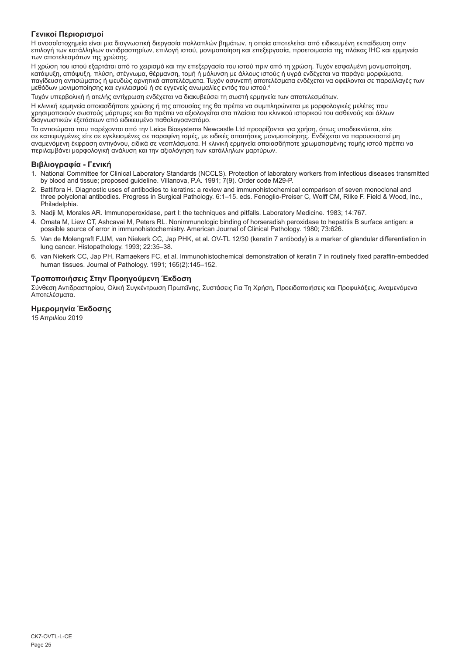## **Γενικοί Περιορισμοί**

Η ανοσοϊστοχημεία είναι μια διαγνωστική διεργασία πολλαπλών βημάτων, η οποία αποτελείται από ειδικευμένη εκπαίδευση στην επιλογή των κατάλληλων αντιδραστηρίων, επιλογή ιστού, μονιμοποίηση και επεξεργασία, προετοιμασία της πλάκας IHC και ερμηνεία των αποτελεσμάτων της χρώσης.

Η χρώση του ιστού εξαρτάται από το χειρισμό και την επεξεργασία του ιστού πριν από τη χρώση. Τυχόν εσφαλμένη μονιμοποίηση, κατάψυξη, απόψυξη, πλύση, στέγνωμα, θέρμανση, τομή ή μόλυνση με άλλους ιστούς ή υγρά ενδέχεται να παράγει μορφώματα, παγίδευση αντισώματος ή ψευδώς αρνητικά αποτελέσματα. Τυχόν ασυνεπή αποτελέσματα ενδέχεται να οφείλονται σε παραλλαγές των μεθόδων μονιμοποίησης και εγκλεισμού ή σε εγγενείς ανωμαλίες εντός του ιστού.4

Τυχόν υπερβολική ή ατελής αντίχρωση ενδέχεται να διακυβεύσει τη σωστή ερμηνεία των αποτελεσμάτων.

Η κλινική ερμηνεία οποιασδήποτε χρώσης ή της απουσίας της θα πρέπει να συμπληρώνεται με μορφολογικές μελέτες που χρησιμοποιούν σωστούς μάρτυρες και θα πρέπει να αξιολογείται στα πλαίσια του κλινικού ιστορικού του ασθενούς και άλλων διαγνωστικών εξετάσεων από ειδικευμένο παθολογοανατόμο.

Τα αντισώματα που παρέχονται από την Leica Biosystems Newcastle Ltd προορίζονται για χρήση, όπως υποδεικνύεται, είτε σε κατεψυγμένες είτε σε εγκλεισμένες σε παραφίνη τομές, με ειδικές απαιτήσεις μονιμοποίησης. Ενδέχεται να παρουσιαστεί μη αναμενόμενη έκφραση αντιγόνου, ειδικά σε νεοπλάσματα. Η κλινική ερμηνεία οποιασδήποτε χρωματισμένης τομής ιστού πρέπει να περιλαμβάνει μορφολογική ανάλυση και την αξιολόγηση των κατάλληλων μαρτύρων.

## **Βιβλιογραφία - Γενική**

- 1. National Committee for Clinical Laboratory Standards (NCCLS). Protection of laboratory workers from infectious diseases transmitted by blood and tissue; proposed guideline. Villanova, P.A. 1991; 7(9). Order code M29-P.
- 2. Battifora H. Diagnostic uses of antibodies to keratins: a review and immunohistochemical comparison of seven monoclonal and three polyclonal antibodies. Progress in Surgical Pathology. 6:1–15. eds. Fenoglio-Preiser C, Wolff CM, Rilke F. Field & Wood, Inc., Philadelphia.
- 3. Nadji M, Morales AR. Immunoperoxidase, part I: the techniques and pitfalls. Laboratory Medicine. 1983; 14:767.
- 4. Omata M, Liew CT, Ashcavai M, Peters RL. Nonimmunologic binding of horseradish peroxidase to hepatitis B surface antigen: a possible source of error in immunohistochemistry. American Journal of Clinical Pathology. 1980; 73:626.
- 5. Van de Molengraft FJJM, van Niekerk CC, Jap PHK, et al. OV-TL 12/30 (keratin 7 antibody) is a marker of glandular differentiation in lung cancer. Histopathology. 1993; 22:35–38.
- 6. van Niekerk CC, Jap PH, Ramaekers FC, et al. Immunohistochemical demonstration of keratin 7 in routinely fixed paraffin-embedded human tissues. Journal of Pathology. 1991; 165(2):145–152.

## **Τροποποιήσεις Στην Προηγούμενη Έκδοση**

Σύνθεση Αντιδραστηρίου, Ολική Συγκέντρωση Πρωτεΐνης, Συστάσεις Για Τη Χρήση, Προειδοποιήσεις και Προφυλάξεις, Αναμενόμενα Αποτελέσματα.

## **Ημερομηνία Έκδοσης**

15 Απριλίου 2019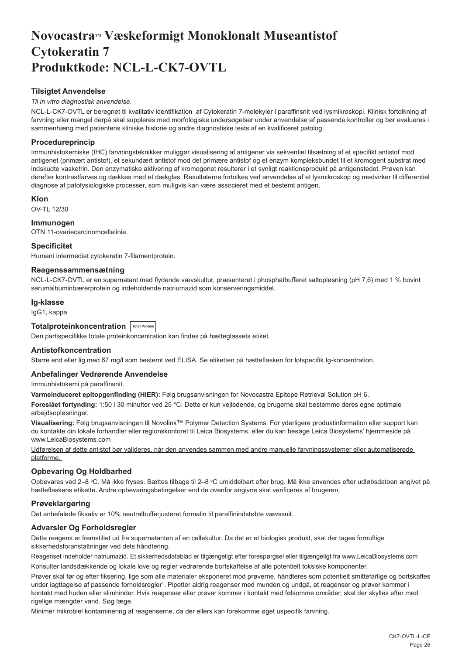## <span id="page-26-0"></span>**NovocastraTM Væskeformigt Monoklonalt Museantistof Cytokeratin 7 Produktkode: NCL-L-CK7-OVTL**

## **Tilsigtet Anvendelse**

## *Til in vitro diagnostisk anvendelse*.

NCL-L-CK7-OVTL er beregnet til kvalitativ identifikation af Cytokeratin 7-molekyler i paraffinsnit ved lysmikroskopi. Klinisk fortolkning af farvning eller mangel derpå skal suppleres med morfologiske undersøgelser under anvendelse af passende kontroller og bør evalueres i sammenhæng med patientens kliniske historie og andre diagnostiske tests af en kvalificeret patolog.

## **Procedureprincip**

Immunhistokemiske (IHC) farvningsteknikker muliggør visualisering af antigener via sekventiel tilsætning af et specifikt antistof mod antigenet (primært antistof), et sekundært antistof mod det primære antistof og et enzym kompleksbundet til et kromogent substrat med indskudte vasketrin. Den enzymatiske aktivering af kromogenet resulterer i et synligt reaktionsprodukt på antigenstedet. Prøven kan derefter kontrastfarves og dækkes med et dækglas. Resultaterne fortolkes ved anvendelse af et lysmikroskop og medvirker til differentiel diagnose af patofysiologiske processer, som muligvis kan være associeret med et bestemt antigen.

## **Klon**

OV-TL 12/30

## **Immunogen**

OTN 11-ovariecarcinomcellelinie.

## **Specificitet**

Humant intermediat cytokeratin 7-filamentprotein.

## **Reagenssammensætning**

NCL-L-CK7-OVTL er en supernatant med flydende vævskultur, præsenteret i phosphatbufferet saltopløsning (pH 7,6) med 1 % bovint serumalbuminbærerprotein og indeholdende natriumazid som konserveringsmiddel.

### **Ig-klasse**

IgG1, kappa

## **Totalproteinkoncentration Total Protein**

Den partispecifikke totale proteinkoncentration kan findes på hætteglassets etiket.

## **Antistofkoncentration**

Større end eller lig med 67 mg/l som bestemt ved ELISA. Se etiketten på hætteflasken for lotspecifik Ig-koncentration.

## **Anbefalinger Vedrørende Anvendelse**

Immunhistokemi på paraffinsnit.

**Varmeinduceret epitopgenfinding (HIER):** Følg brugsanvisningen for Novocastra Epitope Retrieval Solution pH 6.

**Foreslået fortynding:** 1:50 i 30 minutter ved 25 °C. Dette er kun vejledende, og brugerne skal bestemme deres egne optimale arbejdsopløsninger.

**Visualisering:** Følg brugsanvisningen til Novolink™ Polymer Detection Systems. For yderligere produktinformation eller support kan du kontakte din lokale forhandler eller regionskontoret til Leica Biosystems, eller du kan besøge Leica Biosystems' hjemmeside på www.LeicaBiosystems.com

Udførelsen af dette antistof bør valideres, når den anvendes sammen med andre manuelle farvningssystemer eller automatiserede platforme.

## **Opbevaring Og Holdbarhed**

Opbevares ved 2–8 ℃. Må ikke fryses. Sættes tilbage til 2–8 ℃ umiddelbart efter brug. Må ikke anvendes efter udløbsdatoen angivet på hætteflaskens etikette. Andre opbevaringsbetingelser end de ovenfor angivne skal verificeres af brugeren.

## **Prøveklargøring**

Det anbefalede fiksativ er 10% neutralbufferjusteret formalin til paraffinindstøbte vævssnit.

## **Advarsler Og Forholdsregler**

Dette reagens er fremstillet ud fra supernatanten af en cellekultur. Da det er et biologisk produkt, skal der tages fornuftige sikkerhedsforanstaltninger ved dets håndtering.

Reagenset indeholder natriumazid. Et sikkerhedsdatablad er tilgængeligt efter forespørgsel eller tilgængeligt fra www.LeicaBiosystems.com

Konsulter landsdækkende og lokale love og regler vedrørende bortskaffelse af alle potentielt toksiske komponenter.

Prøver skal før og efter fiksering, lige som alle materialer eksponeret mod prøverne, håndteres som potentielt smittefarlige og bortskaffes under iagttagelse af passende forholdsregler<sup>1</sup>. Pipetter aldrig reagenser med munden og undgå, at reagenser og prøver kommer i kontakt med huden eller slimhinder. Hvis reagenser eller prøver kommer i kontakt med følsomme områder, skal der skylles efter med rigelige mængder vand. Søg læge.

Minimer mikrobiel kontaminering af reagenserne, da der ellers kan forekomme øget uspecifik farvning.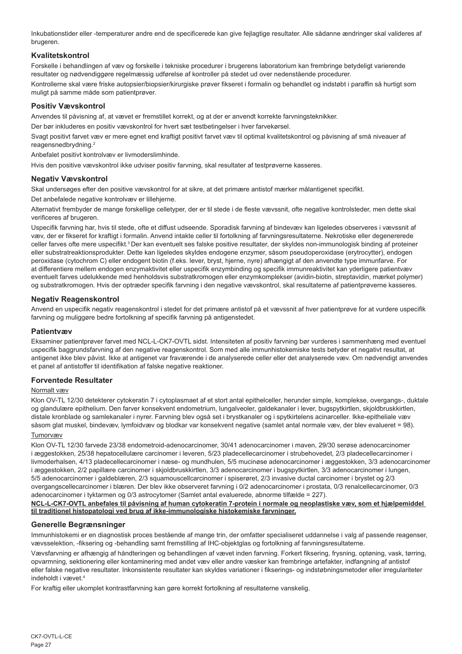Inkubationstider eller -temperaturer andre end de specificerede kan give fejlagtige resultater. Alle sådanne ændringer skal valideres af brugeren.

## **Kvalitetskontrol**

Forskelle i behandlingen af væv og forskelle i tekniske procedurer i brugerens laboratorium kan frembringe betydeligt varierende resultater og nødvendiggøre regelmæssig udførelse af kontroller på stedet ud over nedenstående procedurer.

Kontrollerne skal være friske autopsier/biopsier/kirurgiske prøver fikseret i formalin og behandlet og indstøbt i paraffin så hurtigt som muligt på samme måde som patientprøver.

## **Positiv Vævskontrol**

Anvendes til påvisning af, at vævet er fremstillet korrekt, og at der er anvendt korrekte farvningsteknikker.

Der bør inkluderes en positiv vævskontrol for hvert sæt testbetingelser i hver farvekørsel.

Svagt positivt farvet væv er mere egnet end kraftigt positivt farvet væv til optimal kvalitetskontrol og påvisning af små niveauer af reagensnedbrydning.<sup>2</sup>

Anbefalet positivt kontrolvæv er livmoderslimhinde.

Hvis den positive vævskontrol ikke udviser positiv farvning, skal resultater af testprøverne kasseres.

## **Negativ Vævskontrol**

Skal undersøges efter den positive vævskontrol for at sikre, at det primære antistof mærker målantigenet specifikt.

Det anbefalede negative kontrolvæv er lillehjerne.

Alternativt frembyder de mange forskellige celletyper, der er til stede i de fleste vævssnit, ofte negative kontrolsteder, men dette skal verificeres af brugeren.

Uspecifik farvning har, hvis til stede, ofte et diffust udseende. Sporadisk farvning af bindevæv kan ligeledes observeres i vævssnit af væv, der er fikseret for kraftigt i formalin. Anvend intakte celler til fortolkning af farvningsresultaterne. Nekrotiske eller degenererede celler farves ofte mere uspecifikt.<sup>3</sup>Der kan eventuelt ses falske positive resultater, der skyldes non-immunologisk binding af proteiner eller substratreaktionsprodukter. Dette kan ligeledes skyldes endogene enzymer, såsom pseudoperoxidase (erytrocytter), endogen peroxidase (cytochrom C) eller endogent biotin (f.eks. lever, bryst, hjerne, nyre) afhængigt af den anvendte type immunfarve. For at differentiere mellem endogen enzymaktivitet eller uspecifik enzymbinding og specifik immunreaktivitet kan yderligere patientvæv eventuelt farves udelukkende med henholdsvis substratkromogen eller enzymkomplekser (avidin-biotin, streptavidin, mærket polymer) og substratkromogen. Hvis der optræder specifik farvning i den negative vævskontrol, skal resultaterne af patientprøverne kasseres.

## **Negativ Reagenskontrol**

Anvend en uspecifik negativ reagenskontrol i stedet for det primære antistof på et vævssnit af hver patientprøve for at vurdere uspecifik farvning og muliggøre bedre fortolkning af specifik farvning på antigenstedet.

## **Patientvæv**

Eksaminer patientprøver farvet med NCL-L-CK7-OVTL sidst. Intensiteten af positiv farvning bør vurderes i sammenhæng med eventuel uspecifik baggrundsfarvning af den negative reagenskontrol. Som med alle immunhistokemiske tests betyder et negativt resultat, at antigenet ikke blev påvist. Ikke at antigenet var fraværende i de analyserede celler eller det analyserede væv. Om nødvendigt anvendes et panel af antistoffer til identifikation af falske negative reaktioner.

## **Forventede Resultater**

## Normalt væv

Klon OV-TL 12/30 detekterer cytokeratin 7 i cytoplasmaet af et stort antal epithelceller, herunder simple, komplekse, overgangs-, duktale og glandulære epithelium. Den farver konsekvent endometrium, lungalveoler, galdekanaler i lever, bugspytkirtlen, skjoldbruskkirtlen, distale kronblade og samlekanaler i nyrer. Farvning blev også set i brystkanaler og i spytkirtelens acinarceller. Ikke-epitheliale væv såsom glat muskel, bindevæv, lymfoidvæv og blodkar var konsekvent negative (samlet antal normale væv, der blev evalueret = 98).

## Tumorvæv

Klon OV-TL 12/30 farvede 23/38 endometroid-adenocarcinomer, 30/41 adenocarcinomer i maven, 29/30 serøse adenocarcinomer i æggestokken, 25/38 hepatocellulære carcinomer i leveren, 5/23 pladecellecarcinomer i strubehovedet, 2/3 pladecellecarcinomer i livmoderhalsen, 4/13 pladecellecarcinomer i næse- og mundhulen, 5/5 mucinøse adenocarcinomer i æggestokken, 3/3 adenocarcinomer i æggestokken, 2/2 papillære carcinomer i skjoldbruskkirtlen, 3/3 adenocarcinomer i bugspytkirtlen, 3/3 adenocarcinomer i lungen, 5/5 adenocarcinomer i galdeblæren, 2/3 squamouscellcarcinomer i spiserøret, 2/3 invasive ductal carcinomer i brystet og 2/3 overgangscellecarcinomer i blæren. Der blev ikke observeret farvning i 0/2 adenocarcinomer i prostata, 0/3 renalcellecarcinomer, 0/3 adenocarcinomer i tyktarmen og 0/3 astrocytomer (Samlet antal evaluerede, abnorme tilfælde = 227).

### **NCL-L-CK7-OVTL anbefales til påvisning af human cytokeratin 7-protein i normale og neoplastiske væv, som et hjælpemiddel til traditionel histopatologi ved brug af ikke-immunologiske histokemiske farvninger.**

### **Generelle Begrænsninger**

Immunhistokemi er en diagnostisk proces bestående af mange trin, der omfatter specialiseret uddannelse i valg af passende reagenser, vævsselektion, -fiksering og -behandling samt fremstilling af IHC-objektglas og fortolkning af farvningsresultaterne.

Vævsfarvning er afhængig af håndteringen og behandlingen af vævet inden farvning. Forkert fiksering, frysning, optøning, vask, tørring, opvarmning, sektionering eller kontaminering med andet væv eller andre væsker kan frembringe artefakter, indfangning af antistof eller falske negative resultater. Inkonsistente resultater kan skyldes variationer i fikserings- og indstøbningsmetoder eller irregulariteter indeholdt i vævet.4

For kraftig eller ukomplet kontrastfarvning kan gøre korrekt fortolkning af resultaterne vanskelig.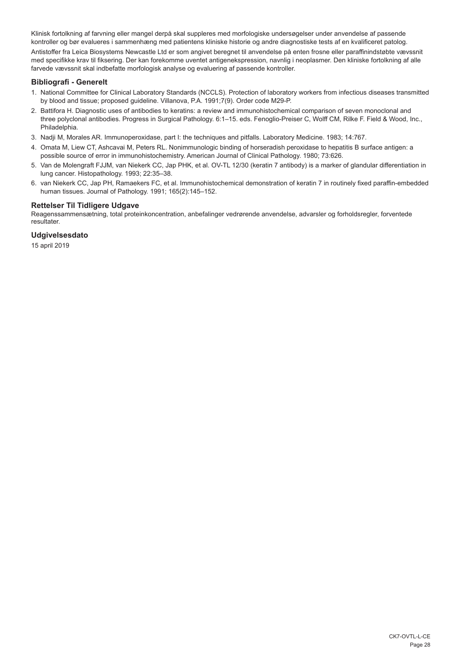Klinisk fortolkning af farvning eller mangel derpå skal suppleres med morfologiske undersøgelser under anvendelse af passende kontroller og bør evalueres i sammenhæng med patientens kliniske historie og andre diagnostiske tests af en kvalificeret patolog.

Antistoffer fra Leica Biosystems Newcastle Ltd er som angivet beregnet til anvendelse på enten frosne eller paraffinindstøbte vævssnit med specifikke krav til fiksering. Der kan forekomme uventet antigenekspression, navnlig i neoplasmer. Den kliniske fortolkning af alle farvede vævssnit skal indbefatte morfologisk analyse og evaluering af passende kontroller.

## **Bibliografi - Generelt**

- 1. National Committee for Clinical Laboratory Standards (NCCLS). Protection of laboratory workers from infectious diseases transmitted by blood and tissue; proposed guideline. Villanova, P.A. 1991;7(9). Order code M29-P.
- 2. Battifora H. Diagnostic uses of antibodies to keratins: a review and immunohistochemical comparison of seven monoclonal and three polyclonal antibodies. Progress in Surgical Pathology. 6:1–15. eds. Fenoglio-Preiser C, Wolff CM, Rilke F. Field & Wood, Inc., Philadelphia.
- 3. Nadji M, Morales AR. Immunoperoxidase, part I: the techniques and pitfalls. Laboratory Medicine. 1983; 14:767.
- 4. Omata M, Liew CT, Ashcavai M, Peters RL. Nonimmunologic binding of horseradish peroxidase to hepatitis B surface antigen: a possible source of error in immunohistochemistry. American Journal of Clinical Pathology. 1980; 73:626.
- 5. Van de Molengraft FJJM, van Niekerk CC, Jap PHK, et al. OV-TL 12/30 (keratin 7 antibody) is a marker of glandular differentiation in lung cancer. Histopathology. 1993; 22:35–38.
- 6. van Niekerk CC, Jap PH, Ramaekers FC, et al. Immunohistochemical demonstration of keratin 7 in routinely fixed paraffin-embedded human tissues. Journal of Pathology. 1991; 165(2):145–152.

## **Rettelser Til Tidligere Udgave**

Reagenssammensætning, total proteinkoncentration, anbefalinger vedrørende anvendelse, advarsler og forholdsregler, forventede resultater.

## **Udgivelsesdato**

15 april 2019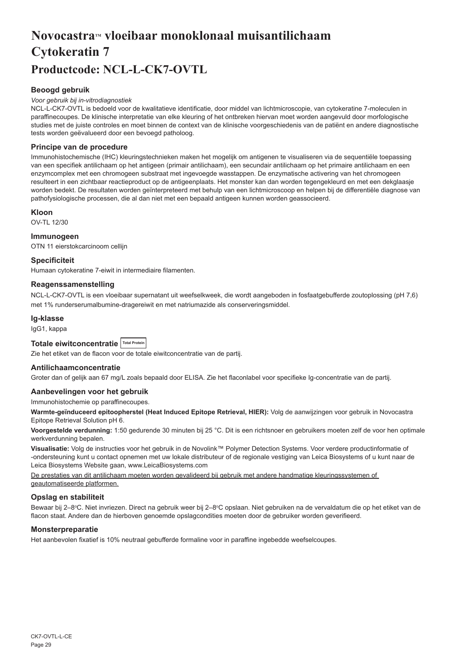## <span id="page-29-0"></span>**NovocastraTM vloeibaar monoklonaal muisantilichaam Cytokeratin 7 Productcode: NCL-L-CK7-OVTL**

## **Beoogd gebruik**

### *Voor gebruik bij in-vitrodiagnostiek*

NCL-L-CK7-OVTL is bedoeld voor de kwalitatieve identificatie, door middel van lichtmicroscopie, van cytokeratine 7-moleculen in paraffinecoupes. De klinische interpretatie van elke kleuring of het ontbreken hiervan moet worden aangevuld door morfologische studies met de juiste controles en moet binnen de context van de klinische voorgeschiedenis van de patiënt en andere diagnostische tests worden geëvalueerd door een bevoegd patholoog.

## **Principe van de procedure**

Immunohistochemische (IHC) kleuringstechnieken maken het mogelijk om antigenen te visualiseren via de sequentiële toepassing van een specifiek antilichaam op het antigeen (primair antilichaam), een secundair antilichaam op het primaire antilichaam en een enzymcomplex met een chromogeen substraat met ingevoegde wasstappen. De enzymatische activering van het chromogeen resulteert in een zichtbaar reactieproduct op de antigeenplaats. Het monster kan dan worden tegengekleurd en met een dekglaasje worden bedekt. De resultaten worden geïnterpreteerd met behulp van een lichtmicroscoop en helpen bij de differentiële diagnose van pathofysiologische processen, die al dan niet met een bepaald antigeen kunnen worden geassocieerd.

## **Kloon**

OV-TL 12/30

## **Immunogeen**

OTN 11 eierstokcarcinoom cellijn

## **Specificiteit**

Humaan cytokeratine 7-eiwit in intermediaire filamenten.

## **Reagenssamenstelling**

NCL-L-CK7-OVTL is een vloeibaar supernatant uit weefselkweek, die wordt aangeboden in fosfaatgebufferde zoutoplossing (pH 7,6) met 1% runderserumalbumine-dragereiwit en met natriumazide als conserveringsmiddel.

## **Ig-klasse**

IgG1, kappa

## Totale eiwitconcentratie Total Protein

Zie het etiket van de flacon voor de totale eiwitconcentratie van de partij.

### **Antilichaamconcentratie**

Groter dan of gelijk aan 67 mg/L zoals bepaald door ELISA. Zie het flaconlabel voor specifieke Ig-concentratie van de partij.

### **Aanbevelingen voor het gebruik**

Immunohistochemie op paraffinecoupes.

**Warmte-geïnduceerd epitoopherstel (Heat Induced Epitope Retrieval, HIER):** Volg de aanwijzingen voor gebruik in Novocastra Epitope Retrieval Solution pH 6.

**Voorgestelde verdunning:** 1:50 gedurende 30 minuten bij 25 °C. Dit is een richtsnoer en gebruikers moeten zelf de voor hen optimale werkverdunning bepalen.

**Visualisatie:** Volg de instructies voor het gebruik in de Novolink™ Polymer Detection Systems. Voor verdere productinformatie of -ondersteuning kunt u contact opnemen met uw lokale distributeur of de regionale vestiging van Leica Biosystems of u kunt naar de Leica Biosystems Website gaan, www.LeicaBiosystems.com

De prestaties van dit antilichaam moeten worden gevalideerd bij gebruik met andere handmatige kleuringssystemen of geautomatiseerde platformen.

## **Opslag en stabiliteit**

Bewaar bij 2–8℃. Niet invriezen. Direct na gebruik weer bij 2–8℃ opslaan. Niet gebruiken na de vervaldatum die op het etiket van de flacon staat. Andere dan de hierboven genoemde opslagcondities moeten door de gebruiker worden geverifieerd.

## **Monsterpreparatie**

Het aanbevolen fixatief is 10% neutraal gebufferde formaline voor in paraffine ingebedde weefselcoupes.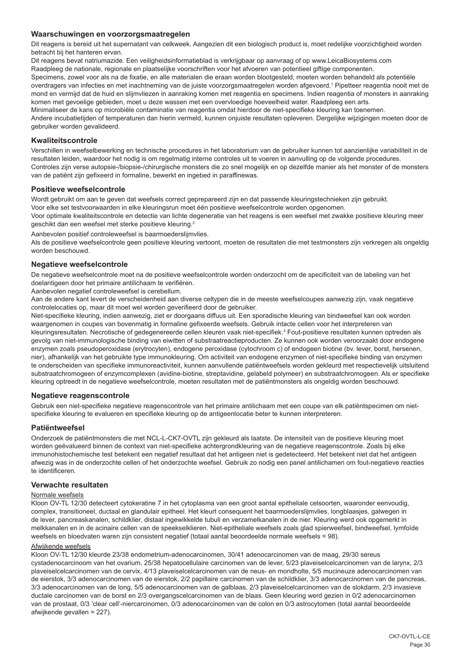## **Waarschuwingen en voorzorgsmaatregelen**

Dit reagens is bereid uit het supernatant van celkweek. Aangezien dit een biologisch product is, moet redelijke voorzichtigheid worden betracht bij het hanteren ervan.

Dit reagens bevat natriumazide. Een veiligheidsinformatieblad is verkrijgbaar op aanvraag of op www.LeicaBiosystems.com Raadpleeg de nationale, regionale en plaatselijke voorschriften voor het afvoeren van potentieel giftige componenten.

Specimens, zowel voor als na de fixatie, en alle materialen die eraan worden blootgesteld, moeten worden behandeld als potentiële overdragers van infecties en met inachtneming van de juiste voorzorgsmaatregelen worden afgevoerd.1 Pipetteer reagentia nooit met de mond en vermijd dat de huid en slijmvliezen in aanraking komen met reagentia en specimens. Indien reagentia of monsters in aanraking komen met gevoelige gebieden, moet u deze wassen met een overvloedige hoeveelheid water. Raadpleeg een arts.

Minimaliseer de kans op microbiële contaminatie van reagentia omdat hierdoor de niet-specifieke kleuring kan toenemen.

Andere incubatietijden of temperaturen dan hierin vermeld, kunnen onjuiste resultaten opleveren. Dergelijke wijzigingen moeten door de gebruiker worden gevalideerd.

## **Kwaliteitscontrole**

Verschillen in weefselbewerking en technische procedures in het laboratorium van de gebruiker kunnen tot aanzienlijke variabiliteit in de resultaten leiden, waardoor het nodig is om regelmatig interne controles uit te voeren in aanvulling op de volgende procedures. Controles zijn verse autopsie-/biopsie-/chirurgische monsters die zo snel mogelijk en op dezelfde manier als het monster of de monsters van de patiënt zijn gefixeerd in formaline, bewerkt en ingebed in paraffinewas.

### **Positieve weefselcontrole**

Wordt gebruikt om aan te geven dat weefsels correct geprepareerd zijn en dat passende kleuringstechnieken zijn gebruikt. Voor elke set testvoorwaarden in elke kleuringsrun moet één positieve weefselcontrole worden opgenomen.

Voor optimale kwaliteitscontrole en detectie van lichte degeneratie van het reagens is een weefsel met zwakke positieve kleuring meer geschikt dan een weefsel met sterke positieve kleuring.<sup>2</sup>

Aanbevolen positief controleweefsel is baarmoederslijmvlies.

Als de positieve weefselcontrole geen positieve kleuring vertoont, moeten de resultaten die met testmonsters zijn verkregen als ongeldig worden beschouwd.

## **Negatieve weefselcontrole**

De negatieve weefselcontrole moet na de positieve weefselcontrole worden onderzocht om de specificiteit van de labeling van het doelantigeen door het primaire antilichaam te verifiëren.

Aanbevolen negatief controleweefsel is cerebellum.

Aan de andere kant levert de verscheidenheid aan diverse celtypen die in de meeste weefselcoupes aanwezig zijn, vaak negatieve controlelocaties op, maar dit moet wel worden geverifieerd door de gebruiker.

Niet-specifieke kleuring, indien aanwezig, ziet er doorgaans diffuus uit. Een sporadische kleuring van bindweefsel kan ook worden waargenomen in coupes van bovenmatig in formaline gefixeerde weefsels. Gebruik intacte cellen voor het interpreteren van kleuringsresultaten. Necrotische of gedegenereerde cellen kleuren vaak niet-specifiek.<sup>3</sup> Fout-positieve resultaten kunnen optreden als gevolg van niet-immunologische binding van eiwitten of substraatreactieproducten. Ze kunnen ook worden veroorzaakt door endogene enzymen zoals pseudoperoxidase (erytrocyten), endogene peroxidase (cytochroom c) of endogeen biotine (bv. lever, borst, hersenen, nier), afhankelijk van het gebruikte type immunokleuring. Om activiteit van endogene enzymen of niet-specifieke binding van enzymen te onderscheiden van specifieke immunoreactiviteit, kunnen aanvullende patiëntweefsels worden gekleurd met respectievelijk uitsluitend substraatchromogeen of enzymcomplexen (avidine-biotine, streptavidine, gelabeld polymeer) en substraatchromogeen. Als er specifieke kleuring optreedt in de negatieve weefselcontrole, moeten resultaten met de patiëntmonsters als ongeldig worden beschouwd.

### **Negatieve reagenscontrole**

Gebruik een niet-specifieke negatieve reagenscontrole van het primaire antilichaam met een coupe van elk patiëntspecimen om nietspecifieke kleuring te evalueren en specifieke kleuring op de antigeenlocatie beter te kunnen interpreteren.

## **Patiëntweefsel**

Onderzoek de patiëntmonsters die met NCL-L-CK7-OVTL zijn gekleurd als laatste. De intensiteit van de positieve kleuring moet worden geëvalueerd binnen de context van niet-specifieke achtergrondkleuring van de negatieve reagenscontrole. Zoals bij elke immunohistochemische test betekent een negatief resultaat dat het antigeen niet is gedetecteerd. Het betekent niet dat het antigeen afwezig was in de onderzochte cellen of het onderzochte weefsel. Gebruik zo nodig een panel antilichamen om fout-negatieve reacties te identificeren.

## **Verwachte resultaten**

### Normale weefsels

Kloon OV-TL 12/30 detecteert cytokeratine 7 in het cytoplasma van een groot aantal epitheliale celsoorten, waaronder eenvoudig, complex, transitioneel, ductaal en glandulair epitheel. Het kleurt consequent het baarmoederslijmvlies, longblaasjes, galwegen in de lever, pancreaskanalen, schildklier, distaal ingewikkelde tubuli en verzamelkanalen in de nier. Kleuring werd ook opgemerkt in melkkanalen en in de acinaire cellen van de speekselklieren. Niet-epitheliale weefsels zoals glad spierweefsel, bindweefsel, lymfoïde weefsels en bloedvaten waren zijn consistent negatief (totaal aantal beoordeelde normale weefsels = 98).

### Afwijkende weefsels

Kloon OV-TL 12/30 kleurde 23/38 endometrium-adenocarcinomen, 30/41 adenocarcinomen van de maag, 29/30 sereus cystadenocarcinoom van het ovarium, 25/38 hepatocellulaire carcinomen van de lever, 5/23 plaveiselcelcarcinomen van de larynx, 2/3 plaveiselcelcarcinomen van de cervix, 4/13 plaveiselcelcarcinomen van de neus- en mondholte, 5/5 mucineuze adenocarcinomen van de eierstok, 3/3 adenocarcinomen van de eierstok, 2/2 papillaire carcinomen van de schildklier, 3/3 adenocarcinomen van de pancreas, 3/3 adenocarcinomen van de long, 5/5 adenocarcinomen van de galblaas, 2/3 plaveiselcelcarcinomen van de slokdarm, 2/3 invasieve ductale carcinomen van de borst en 2/3 overgangscelcarcinomen van de blaas. Geen kleuring werd gezien in 0/2 adenocarcinomen van de prostaat, 0/3 'clear cell'-niercarcinomen, 0/3 adenocarcinomen van de colon en 0/3 astrocytomen (total aantal beoordeelde afwijkende gevallen = 227).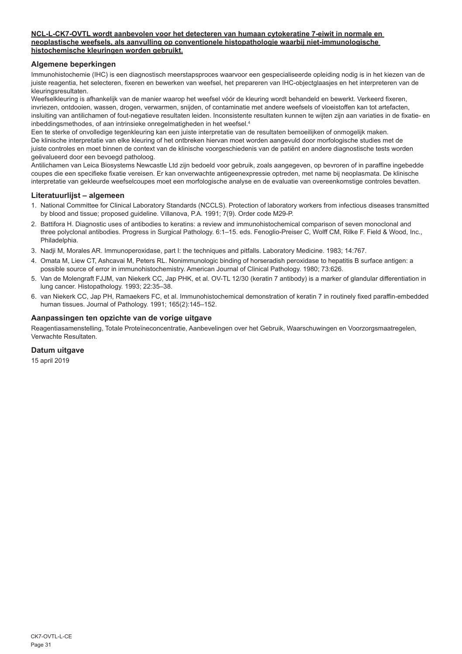## **NCL-L-CK7-OVTL wordt aanbevolen voor het detecteren van humaan cytokeratine 7-eiwit in normale en neoplastische weefsels, als aanvulling op conventionele histopathologie waarbij niet-immunologische histochemische kleuringen worden gebruikt.**

## **Algemene beperkingen**

Immunohistochemie (IHC) is een diagnostisch meerstapsproces waarvoor een gespecialiseerde opleiding nodig is in het kiezen van de juiste reagentia, het selecteren, fixeren en bewerken van weefsel, het prepareren van IHC-objectglaasjes en het interpreteren van de kleuringsresultaten.

Weefselkleuring is afhankelijk van de manier waarop het weefsel vóór de kleuring wordt behandeld en bewerkt. Verkeerd fixeren, invriezen, ontdooien, wassen, drogen, verwarmen, snijden, of contaminatie met andere weefsels of vloeistoffen kan tot artefacten, insluiting van antilichamen of fout-negatieve resultaten leiden. Inconsistente resultaten kunnen te wijten zijn aan variaties in de fixatie- en inbeddingsmethodes, of aan intrinsieke onregelmatigheden in het weefsel.4

Een te sterke of onvolledige tegenkleuring kan een juiste interpretatie van de resultaten bemoeilijken of onmogelijk maken. De klinische interpretatie van elke kleuring of het ontbreken hiervan moet worden aangevuld door morfologische studies met de juiste controles en moet binnen de context van de klinische voorgeschiedenis van de patiënt en andere diagnostische tests worden geëvalueerd door een bevoegd patholoog.

Antilichamen van Leica Biosystems Newcastle Ltd zijn bedoeld voor gebruik, zoals aangegeven, op bevroren of in paraffine ingebedde coupes die een specifieke fixatie vereisen. Er kan onverwachte antigeenexpressie optreden, met name bij neoplasmata. De klinische interpretatie van gekleurde weefselcoupes moet een morfologische analyse en de evaluatie van overeenkomstige controles bevatten.

## **Literatuurlijst – algemeen**

- 1. National Committee for Clinical Laboratory Standards (NCCLS). Protection of laboratory workers from infectious diseases transmitted by blood and tissue; proposed guideline. Villanova, P.A. 1991; 7(9). Order code M29-P.
- 2. Battifora H. Diagnostic uses of antibodies to keratins: a review and immunohistochemical comparison of seven monoclonal and three polyclonal antibodies. Progress in Surgical Pathology. 6:1–15. eds. Fenoglio-Preiser C, Wolff CM, Rilke F. Field & Wood, Inc., Philadelphia.
- 3. Nadji M, Morales AR. Immunoperoxidase, part I: the techniques and pitfalls. Laboratory Medicine. 1983; 14:767.
- 4. Omata M, Liew CT, Ashcavai M, Peters RL. Nonimmunologic binding of horseradish peroxidase to hepatitis B surface antigen: a possible source of error in immunohistochemistry. American Journal of Clinical Pathology. 1980; 73:626.
- 5. Van de Molengraft FJJM, van Niekerk CC, Jap PHK, et al. OV-TL 12/30 (keratin 7 antibody) is a marker of glandular differentiation in lung cancer. Histopathology. 1993; 22:35–38.
- 6. van Niekerk CC, Jap PH, Ramaekers FC, et al. Immunohistochemical demonstration of keratin 7 in routinely fixed paraffin-embedded human tissues. Journal of Pathology. 1991; 165(2):145–152.

## **Aanpassingen ten opzichte van de vorige uitgave**

Reagentiasamenstelling, Totale Proteïneconcentratie, Aanbevelingen over het Gebruik, Waarschuwingen en Voorzorgsmaatregelen, Verwachte Resultaten.

### **Datum uitgave**

15 april 2019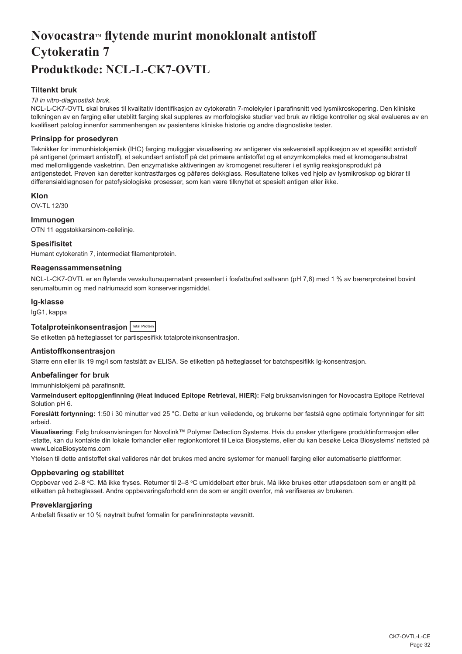## <span id="page-32-0"></span>Novocastra<sup>*M*</sup> flytende murint monoklonalt antistoff **Cytokeratin 7 Produktkode: NCL-L-CK7-OVTL**

## **Tiltenkt bruk**

### *Til in vitro-diagnostisk bruk.*

NCL-L-CK7-OVTL skal brukes til kvalitativ identifikasjon av cytokeratin 7-molekyler i parafinsnitt ved lysmikroskopering. Den kliniske tolkningen av en farging eller uteblitt farging skal suppleres av morfologiske studier ved bruk av riktige kontroller og skal evalueres av en kvalifisert patolog innenfor sammenhengen av pasientens kliniske historie og andre diagnostiske tester.

## **Prinsipp for prosedyren**

Teknikker for immunhistokjemisk (IHC) farging muliggjør visualisering av antigener via sekvensiell applikasjon av et spesifikt antistoff på antigenet (primært antistoff), et sekundært antistoff på det primære antistoffet og et enzymkompleks med et kromogensubstrat med mellomliggende vasketrinn. Den enzymatiske aktiveringen av kromogenet resulterer i et synlig reaksjonsprodukt på antigenstedet. Prøven kan deretter kontrastfarges og påføres dekkglass. Resultatene tolkes ved hjelp av lysmikroskop og bidrar til differensialdiagnosen for patofysiologiske prosesser, som kan være tilknyttet et spesielt antigen eller ikke.

### **Klon**

OV-TL 12/30

## **Immunogen**

OTN 11 eggstokkarsinom-cellelinje.

### **Spesifisitet**

Humant cytokeratin 7, intermediat filamentprotein.

## **Reagenssammensetning**

NCL-L-CK7-OVTL er en flytende vevskultursupernatant presentert i fosfatbufret saltvann (pH 7,6) med 1 % av bærerproteinet bovint serumalbumin og med natriumazid som konserveringsmiddel.

### **Ig-klasse**

IgG1, kappa

## **Totalproteinkonsentrasjon Total Protein**

Se etiketten på hetteglasset for partispesifikk totalproteinkonsentrasjon.

## **Antistoffkonsentrasjon**

Større enn eller lik 19 mg/l som fastslått av ELISA. Se etiketten på hetteglasset for batchspesifikk Ig-konsentrasjon.

## **Anbefalinger for bruk**

Immunhistokjemi på parafinsnitt.

**Varmeindusert epitopgjenfinning (Heat Induced Epitope Retrieval, HIER):** Følg bruksanvisningen for Novocastra Epitope Retrieval Solution pH 6.

**Foreslått fortynning:** 1:50 i 30 minutter ved 25 °C. Dette er kun veiledende, og brukerne bør fastslå egne optimale fortynninger for sitt arbeid.

**Visualisering**: Følg bruksanvisningen for Novolink™ Polymer Detection Systems. Hvis du ønsker ytterligere produktinformasjon eller -støtte, kan du kontakte din lokale forhandler eller regionkontoret til Leica Biosystems, eller du kan besøke Leica Biosystems' nettsted på www.LeicaBiosystems.com

Ytelsen til dette antistoffet skal valideres når det brukes med andre systemer for manuell farging eller automatiserte plattformer.

## **Oppbevaring og stabilitet**

Oppbevar ved 2–8 °C. Må ikke fryses. Returner til 2–8 °C umiddelbart etter bruk. Må ikke brukes etter utløpsdatoen som er angitt på etiketten på hetteglasset. Andre oppbevaringsforhold enn de som er angitt ovenfor, må verifiseres av brukeren.

## **Prøveklargjøring**

Anbefalt fiksativ er 10 % nøytralt bufret formalin for parafininnstøpte vevsnitt.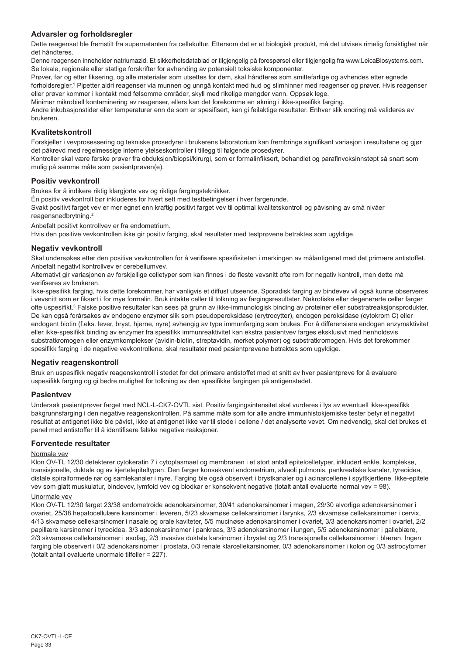## **Advarsler og forholdsregler**

Dette reagenset ble fremstilt fra supernatanten fra cellekultur. Ettersom det er et biologisk produkt, må det utvises rimelig forsiktighet når det håndteres.

Denne reagensen inneholder natriumazid. Et sikkerhetsdatablad er tilgjengelig på forespørsel eller tilgjengelig fra www.LeicaBiosystems.com. Se lokale, regionale eller statlige forskrifter for avhending av potensielt toksiske komponenter.

Prøver, før og etter fiksering, og alle materialer som utsettes for dem, skal håndteres som smittefarlige og avhendes etter egnede forholdsregler.<sup>1</sup> Pipetter aldri reagenser via munnen og unngå kontakt med hud og slimhinner med reagenser og prøver. Hvis reagenser eller prøver kommer i kontakt med følsomme områder, skyll med rikelige mengder vann. Oppsøk lege.

Minimer mikrobiell kontaminering av reagenser, ellers kan det forekomme en økning i ikke-spesifikk farging.

Andre inkubasjonstider eller temperaturer enn de som er spesifisert, kan gi feilaktige resultater. Enhver slik endring må valideres av brukeren.

## **Kvalitetskontroll**

Forskjeller i vevprosessering og tekniske prosedyrer i brukerens laboratorium kan frembringe signifikant variasjon i resultatene og gjør det påkrevd med regelmessige interne ytelseskontroller i tillegg til følgende prosedyrer.

Kontroller skal være ferske prøver fra obduksjon/biopsi/kirurgi, som er formalinfiksert, behandlet og parafinvoksinnstøpt så snart som mulig på samme måte som pasientprøven(e).

## **Positiv vevkontroll**

Brukes for å indikere riktig klargjorte vev og riktige fargingsteknikker.

Én positiv vevkontroll bør inkluderes for hvert sett med testbetingelser i hver fargerunde.

Svakt positivt farget vev er mer egnet enn kraftig positivt farget vev til optimal kvalitetskontroll og påvisning av små nivåer reagensnedbrytning.<sup>2</sup>

Anbefalt positivt kontrollvev er fra endometrium.

Hvis den positive vevkontrollen ikke gir positiv farging, skal resultater med testprøvene betraktes som ugyldige.

## **Negativ vevkontroll**

Skal undersøkes etter den positive vevkontrollen for å verifisere spesifisiteten i merkingen av målantigenet med det primære antistoffet. Anbefalt negativt kontrollvev er cerebellumvev.

Alternativt gir variasjonen av forskjellige celletyper som kan finnes i de fleste vevsnitt ofte rom for negativ kontroll, men dette må verifiseres av brukeren.

Ikke-spesifikk farging, hvis dette forekommer, har vanligvis et diffust utseende. Sporadisk farging av bindevev vil også kunne observeres i vevsnitt som er fiksert i for mye formalin. Bruk intakte celler til tolkning av fargingsresultater. Nekrotiske eller degenererte celler farger ofte uspesifikt.<sup>3</sup> Falske positive resultater kan sees på grunn av ikke-immunologisk binding av proteiner eller substratreaksjonsprodukter. De kan også forårsakes av endogene enzymer slik som pseudoperoksidase (erytrocytter), endogen peroksidase (cytokrom C) eller endogent biotin (f.eks. lever, bryst, hjerne, nyre) avhengig av type immunfarging som brukes. For å differensiere endogen enzymaktivitet eller ikke-spesifikk binding av enzymer fra spesifikk immunreaktivitet kan ekstra pasientvev farges eksklusivt med henholdsvis substratkromogen eller enzymkomplekser (avidin-biotin, streptavidin, merket polymer) og substratkromogen. Hvis det forekommer spesifikk farging i de negative vevkontrollene, skal resultater med pasientprøvene betraktes som ugyldige.

## **Negativ reagenskontroll**

Bruk en uspesifikk negativ reagenskontroll i stedet for det primære antistoffet med et snitt av hver pasientprøve for å evaluere uspesifikk farging og gi bedre mulighet for tolkning av den spesifikke fargingen på antigenstedet.

## **Pasientvev**

Undersøk pasientprøver farget med NCL-L-CK7-OVTL sist. Positiv fargingsintensitet skal vurderes i lys av eventuell ikke-spesifikk bakgrunnsfarging i den negative reagenskontrollen. På samme måte som for alle andre immunhistokjemiske tester betyr et negativt resultat at antigenet ikke ble påvist, ikke at antigenet ikke var til stede i cellene / det analyserte vevet. Om nødvendig, skal det brukes et panel med antistoffer til å identifisere falske negative reaksjoner.

## **Forventede resultater**

## Normale vev

Klon OV-TL 12/30 detekterer cytokeratin 7 i cytoplasmaet og membranen i et stort antall epitelcelletyper, inkludert enkle, komplekse, transisjonelle, duktale og av kjertelepiteltypen. Den farger konsekvent endometrium, alveoli pulmonis, pankreatiske kanaler, tyreoidea, distale spiralformede rør og samlekanaler i nyre. Farging ble også observert i brystkanaler og i acinarcellene i spyttkjertlene. Ikke-epitele vev som glatt muskulatur, bindevev, lymfoid vev og blodkar er konsekvent negative (totalt antall evaluerte normal vev = 98).

## Unormale vev

Klon OV-TL 12/30 farget 23/38 endometroide adenokarsinomer, 30/41 adenokarsinomer i magen, 29/30 alvorlige adenokarsinomer i ovariet, 25/38 hepatocellulære karsinomer i leveren, 5/23 skvamøse cellekarsinomer i larynks, 2/3 skvamøse cellekarsinomer i cervix, 4/13 skvamøse cellekarsinomer i nasale og orale kaviteter, 5/5 mucinøse adenokarsinomer i ovariet, 3/3 adenokarsinomer i ovariet, 2/2 papillære karsinomer i tyreoidea, 3/3 adenokarsinomer i pankreas, 3/3 adenokarsinomer i lungen, 5/5 adenokarsinomer i galleblære, 2/3 skvamøse cellekarsinomer i øsofag, 2/3 invasive duktale karsinomer i brystet og 2/3 transisjonelle cellekarsinomer i blæren. Ingen farging ble observert i 0/2 adenokarsinomer i prostata, 0/3 renale klarcellekarsinomer, 0/3 adenokarsinomer i kolon og 0/3 astrocytomer (totalt antall evaluerte unormale tilfeller = 227).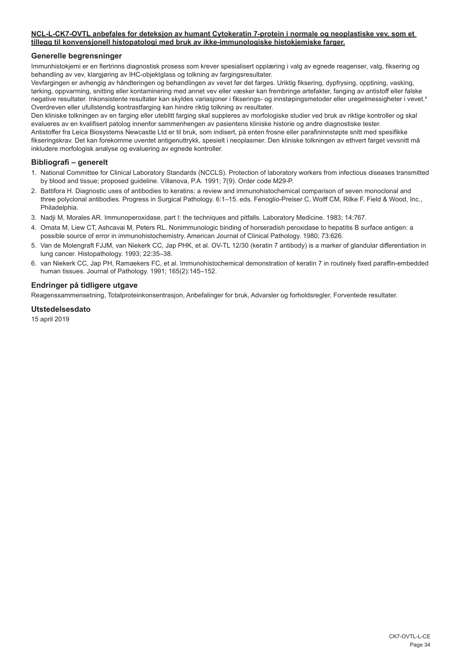## **NCL-L-CK7-OVTL anbefales for deteksjon av humant Cytokeratin 7-protein i normale og neoplastiske vev, som et tillegg til konvensjonell histopatologi med bruk av ikke-immunologiske histokjemiske farger.**

## **Generelle begrensninger**

Immunhistokjemi er en flertrinns diagnostisk prosess som krever spesialisert opplæring i valg av egnede reagenser, valg, fiksering og behandling av vev, klargjøring av IHC-objektglass og tolkning av fargingsresultater.

Vevfargingen er avhengig av håndteringen og behandlingen av vevet før det farges. Uriktig fiksering, dypfrysing, opptining, vasking, tørking, oppvarming, snitting eller kontaminering med annet vev eller væsker kan frembringe artefakter, fanging av antistoff eller falske negative resultater. Inkonsistente resultater kan skyldes variasjoner i fikserings- og innstøpingsmetoder eller uregelmessigheter i vevet.4 Overdreven eller ufullstendig kontrastfarging kan hindre riktig tolkning av resultater.

Den kliniske tolkningen av en farging eller uteblitt farging skal suppleres av morfologiske studier ved bruk av riktige kontroller og skal evalueres av en kvalifisert patolog innenfor sammenhengen av pasientens kliniske historie og andre diagnostiske tester. Antistoffer fra Leica Biosystems Newcastle Ltd er til bruk, som indisert, på enten frosne eller parafininnstøpte snitt med spesifikke

fikseringskrav. Det kan forekomme uventet antigenuttrykk, spesielt i neoplasmer. Den kliniske tolkningen av ethvert farget vevsnitt må inkludere morfologisk analyse og evaluering av egnede kontroller.

## **Bibliografi – generelt**

- 1. National Committee for Clinical Laboratory Standards (NCCLS). Protection of laboratory workers from infectious diseases transmitted by blood and tissue; proposed guideline. Villanova, P.A. 1991; 7(9). Order code M29-P.
- 2. Battifora H. Diagnostic uses of antibodies to keratins: a review and immunohistochemical comparison of seven monoclonal and three polyclonal antibodies. Progress in Surgical Pathology. 6:1–15. eds. Fenoglio-Preiser C, Wolff CM, Rilke F. Field & Wood, Inc., Philadelphia.
- 3. Nadji M, Morales AR. Immunoperoxidase, part I: the techniques and pitfalls. Laboratory Medicine. 1983; 14:767.
- 4. Omata M, Liew CT, Ashcavai M, Peters RL. Nonimmunologic binding of horseradish peroxidase to hepatitis B surface antigen: a possible source of error in immunohistochemistry. American Journal of Clinical Pathology. 1980; 73:626.
- 5. Van de Molengraft FJJM, van Niekerk CC, Jap PHK, et al. OV-TL 12/30 (keratin 7 antibody) is a marker of glandular differentiation in lung cancer. Histopathology. 1993; 22:35–38.
- 6. van Niekerk CC, Jap PH, Ramaekers FC, et al. Immunohistochemical demonstration of keratin 7 in routinely fixed paraffin-embedded human tissues. Journal of Pathology. 1991; 165(2):145–152.

## **Endringer på tidligere utgave**

Reagenssammensetning, Totalproteinkonsentrasjon, Anbefalinger for bruk, Advarsler og forholdsregler, Forventede resultater.

## **Utstedelsesdato**

15 april 2019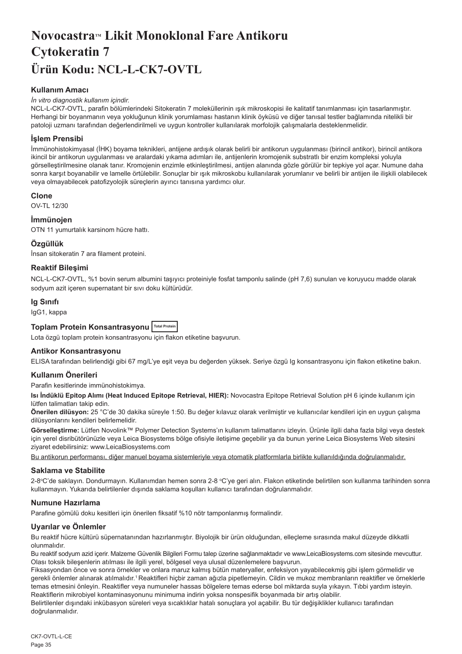## <span id="page-35-0"></span>**Novocastra™ Likit Monoklonal Fare Antikoru Cytokeratin 7 Ürün Kodu: NCL-L-CK7-OVTL**

## **Kullanım Amacı**

## *İn vitro diagnostik kullanım içindir.*

NCL-L-CK7-OVTL, parafin bölümlerindeki Sitokeratin 7 moleküllerinin ışık mikroskopisi ile kalitatif tanımlanması için tasarlanmıştır. Herhangi bir boyanmanın veya yokluğunun klinik yorumlaması hastanın klinik öyküsü ve diğer tanısal testler bağlamında nitelikli bir patoloji uzmanı tarafından değerlendirilmeli ve uygun kontroller kullanılarak morfolojik çalışmalarla desteklenmelidir.

## **İşlem Prensibi**

İmmünohistokimyasal (İHK) boyama teknikleri, antijene ardışık olarak belirli bir antikorun uygulanması (birincil antikor), birincil antikora ikincil bir antikorun uygulanması ve aralardaki yıkama adımları ile, antijenlerin kromojenik substratlı bir enzim kompleksi yoluyla görselleştirilmesine olanak tanır. Kromojenin enzimle etkinleştirilmesi, antijen alanında gözle görülür bir tepkiye yol açar. Numune daha sonra karşıt boyanabilir ve lamelle örtülebilir. Sonuçlar bir ışık mikroskobu kullanılarak yorumlanır ve belirli bir antijen ile ilişkili olabilecek veya olmayabilecek patofizyolojik süreçlerin ayırıcı tanısına yardımcı olur.

## **Clone**

OV-TL 12/30

## **İmmünojen**

OTN 11 yumurtalık karsinom hücre hattı.

## **Özgüllük**

İnsan sitokeratin 7 ara filament proteini.

## **Reaktif Bileşimi**

NCL-L-CK7-OVTL, %1 bovin serum albumini taşıyıcı proteiniyle fosfat tamponlu salinde (pH 7,6) sunulan ve koruyucu madde olarak sodyum azit içeren supernatant bir sıvı doku kültürüdür.

## **Ig Sınıfı**

IgG1, kappa

## **Toplam Protein Konsantrasyonu Total Protein**

Lota özgü toplam protein konsantrasyonu için flakon etiketine başvurun.

## **Antikor Konsantrasyonu**

ELISA tarafından belirlendiği gibi 67 mg/L'ye eşit veya bu değerden yüksek. Seriye özgü Ig konsantrasyonu için flakon etiketine bakın.

## **Kullanım Önerileri**

Parafin kesitlerinde immünohistokimya.

**Isı İndüklü Epitop Alımı (Heat Induced Epitope Retrieval, HIER):** Novocastra Epitope Retrieval Solution pH 6 içinde kullanım için lütfen talimatları takip edin.

**Önerilen dilüsyon:** 25 °C'de 30 dakika süreyle 1:50. Bu değer kılavuz olarak verilmiştir ve kullanıcılar kendileri için en uygun çalışma dilüsyonlarını kendileri belirlemelidir.

**Görselleştirme:** Lütfen Novolink™ Polymer Detection Systems'ın kullanım talimatlarını izleyin. Ürünle ilgili daha fazla bilgi veya destek için yerel disribütörünüzle veya Leica Biosystems bölge ofisiyle iletişime geçebilir ya da bunun yerine Leica Biosystems Web sitesini ziyaret edebilirsiniz: www.LeicaBiosystems.com

Bu antikorun performansı, diğer manuel boyama sistemleriyle veya otomatik platformlarla birlikte kullanıldığında doğrulanmalıdır.

## **Saklama ve Stabilite**

2-8ºC'de saklayın. Dondurmayın. Kullanımdan hemen sonra 2-8 °C'ye geri alın. Flakon etiketinde belirtilen son kullanma tarihinden sonra kullanmayın. Yukarıda belirtilenler dışında saklama koşulları kullanıcı tarafından doğrulanmalıdır.

## **Numune Hazırlama**

Parafine gömülü doku kesitleri için önerilen fiksatif %10 nötr tamponlanmış formalindir.

## **Uyarılar ve Önlemler**

Bu reaktif hücre kültürü süpernatanından hazırlanmıştır. Biyolojik bir ürün olduğundan, elleçleme sırasında makul düzeyde dikkatli olunmalıdır.

Bu reaktif sodyum azid içerir. Malzeme Güvenlik Bilgileri Formu talep üzerine sağlanmaktadır ve www.LeicaBiosystems.com sitesinde mevcuttur. Olası toksik bileşenlerin atılması ile ilgili yerel, bölgesel veya ulusal düzenlemelere başvurun.

Fiksasyondan önce ve sonra örnekler ve onlara maruz kalmış bütün materyaller, enfeksiyon yayabilecekmiş gibi işlem görmelidir ve gerekli önlemler alınarak atılmalıdır.<sup>1</sup>Reaktifleri hiçbir zaman ağızla pipetlemeyin. Cildin ve mukoz membranların reaktifler ve örneklerle temas etmesini önleyin. Reaktifler veya numuneler hassas bölgelere temas ederse bol miktarda suyla yıkayın. Tıbbi yardım isteyin. Reaktiflerin mikrobiyel kontaminasyonunu minimuma indirin yoksa nonspesifik boyanmada bir artış olabilir.

Belirtilenler dışındaki inkübasyon süreleri veya sıcaklıklar hatalı sonuçlara yol açabilir. Bu tür değişiklikler kullanıcı tarafından doğrulanmalıdır.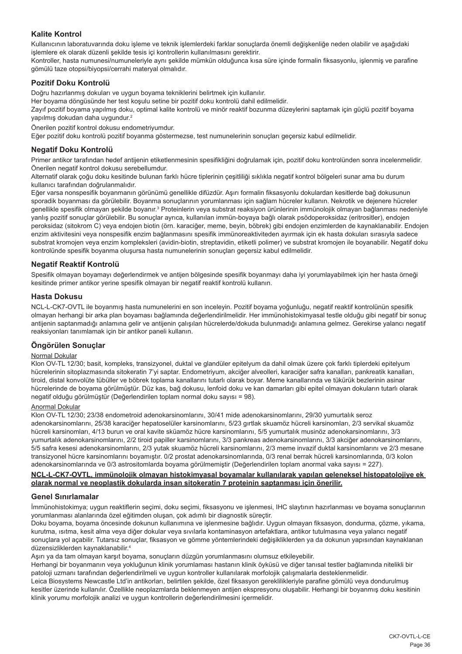## **Kalite Kontrol**

Kullanıcının laboratuvarında doku işleme ve teknik işlemlerdeki farklar sonuçlarda önemli değişkenliğe neden olabilir ve aşağıdaki işlemlere ek olarak düzenli şekilde tesis içi kontrollerin kullanılmasını gerektirir.

Kontroller, hasta numunesi/numuneleriyle aynı şekilde mümkün olduğunca kısa süre içinde formalin fiksasyonlu, işlenmiş ve parafine gömülü taze otopsi/biyopsi/cerrahi materyal olmalıdır.

## **Pozitif Doku Kontrolü**

Doğru hazırlanmış dokuları ve uygun boyama tekniklerini belirtmek için kullanılır.

Her boyama döngüsünde her test koşulu setine bir pozitif doku kontrolü dahil edilmelidir.

Zayıf pozitif boyama yapılmış doku, optimal kalite kontrolü ve minör reaktif bozunma düzeylerini saptamak için güçlü pozitif boyama yapılmış dokudan daha uygundur.<sup>2</sup>

Önerilen pozitif kontrol dokusu endometriyumdur.

Eğer pozitif doku kontrolü pozitif boyanma göstermezse, test numunelerinin sonuçları geçersiz kabul edilmelidir.

## **Negatif Doku Kontrolü**

Primer antikor tarafından hedef antijenin etiketlenmesinin spesifikliğini doğrulamak için, pozitif doku kontrolünden sonra incelenmelidir. Önerilen negatif kontrol dokusu serebellumdur.

Alternatif olarak çoğu doku kesitinde bulunan farklı hücre tiplerinin çeşitliliği sıklıkla negatif kontrol bölgeleri sunar ama bu durum kullanıcı tarafından doğrulanmalıdır.

Eğer varsa nonspesifik boyanmanın görünümü genellikle difüzdür. Aşırı formalin fiksasyonlu dokulardan kesitlerde bağ dokusunun sporadik boyanması da görülebilir. Boyanma sonuçlarının yorumlanması için sağlam hücreler kullanın. Nekrotik ve dejenere hücreler genellikle spesifik olmayan şekilde boyanır.<sup>3</sup> Proteinlerin veya substrat reaksiyon ürünlerinin immünolojik olmayan bağlanması nedeniyle yanlış pozitif sonuçlar görülebilir. Bu sonuçlar ayrıca, kullanılan immün-boyaya bağlı olarak psödoperoksidaz (eritrositler), endojen peroksidaz (sitokrom C) veya endojen biotin (örn. karaciğer, meme, beyin, böbrek) gibi endojen enzimlerden de kaynaklanabilir. Endojen enzim aktivitesini veya nonspesifik enzim bağlanmasını spesifik immünoreaktiviteden ayırmak için ek hasta dokuları sırasıyla sadece substrat kromojen veya enzim kompleksleri (avidin-biotin, streptavidin, etiketli polimer) ve substrat kromojen ile boyanabilir. Negatif doku kontrolünde spesifik boyanma oluşursa hasta numunelerinin sonuçları geçersiz kabul edilmelidir.

## **Negatif Reaktif Kontrolü**

Spesifik olmayan boyamayı değerlendirmek ve antijen bölgesinde spesifik boyanmayı daha iyi yorumlayabilmek için her hasta örneği kesitinde primer antikor yerine spesifik olmayan bir negatif reaktif kontrolü kullanın.

## **Hasta Dokusu**

NCL-L-CK7-OVTL ile boyanmış hasta numunelerini en son inceleyin. Pozitif boyama yoğunluğu, negatif reaktif kontrolünün spesifik olmayan herhangi bir arka plan boyaması bağlamında değerlendirilmelidir. Her immünohistokimyasal testle olduğu gibi negatif bir sonuç antijenin saptanmadığı anlamına gelir ve antijenin çalışılan hücrelerde/dokuda bulunmadığı anlamına gelmez. Gerekirse yalancı negatif reaksiyonları tanımlamak için bir antikor paneli kullanın.

## **Öngörülen Sonuçlar**

## Normal Dokular

Klon OV-TL 12/30; basit, kompleks, transizyonel, duktal ve glandüler epitelyum da dahil olmak üzere çok farklı tiplerdeki epitelyum hücrelerinin sitoplazmasında sitokeratin 7'yi saptar. Endometriyum, akciğer alveolleri, karaciğer safra kanalları, pankreatik kanalları, tiroid, distal konvolüte tübüller ve böbrek toplama kanallarını tutarlı olarak boyar. Meme kanallarında ve tükürük bezlerinin asinar hücrelerinde de boyama görülmüştür. Düz kas, bağ dokusu, lenfoid doku ve kan damarları gibi epitel olmayan dokuların tutarlı olarak negatif olduğu görülmüştür (Değerlendirilen toplam normal doku sayısı = 98).

### Anormal Dokular

Klon OV-TL 12/30; 23/38 endometroid adenokarsinomlarını, 30/41 mide adenokarsinomlarını, 29/30 yumurtalık seroz adenokarsinomlarını, 25/38 karaciğer hepatoselüler karsinomlarını, 5/23 gırtlak skuamöz hücreli karsinomları, 2/3 servikal skuamöz hücreli karsinomları, 4/13 burun ve oral kavite sküamöz hücre karsinomlarını, 5/5 yumurtalık musinöz adenokarsinomlarını, 3/3 yumurtalık adenokarsinomlarını, 2/2 tiroid papiller karsinomlarını, 3/3 pankreas adenokarsinomlarını, 3/3 akciğer adenokarsinomlarını, 5/5 safra kesesi adenokarsinomlarını, 2/3 yutak skuamöz hücreli karsinomlarını, 2/3 meme invazif duktal karsinomlarını ve 2/3 mesane transizyonel hücre karsinomlarını boyamıştır. 0/2 prostat adenokarsinomlarında, 0/3 renal berrak hücreli karsinomlarında, 0/3 kolon adenokarsinomlarında ve 0/3 astrositomlarda boyama görülmemiştir (Değerlendirilen toplam anormal vaka sayısı = 227).

## **NCL-L-CK7-OVTL, immünolojik olmayan histokimyasal boyamalar kullanılarak yapılan geleneksel histopatolojiye ek olarak normal ve neoplastik dokularda insan sitokeratin 7 proteinin saptanması için önerilir.**

## **Genel Sınırlamalar**

İmmünohistokimya; uygun reaktiflerin seçimi, doku seçimi, fiksasyonu ve işlenmesi, IHC slaytının hazırlanması ve boyama sonuçlarının yorumlanması alanlarında özel eğitimden oluşan, çok adımlı bir diagnostik süreçtir.

Doku boyama, boyama öncesinde dokunun kullanımına ve işlenmesine bağlıdır. Uygun olmayan fiksasyon, dondurma, çözme, yıkama, kurutma, ısıtma, kesit alma veya diğer dokular veya sıvılarla kontaminasyon artefaktlara, antikor tutulmasına veya yalancı negatif sonuçlara yol açabilir. Tutarsız sonuçlar, fiksasyon ve gömme yöntemlerindeki değişikliklerden ya da dokunun yapısından kaynaklanan düzensizliklerden kaynaklanabilir.4

Aşırı ya da tam olmayan karşıt boyama, sonuçların düzgün yorumlanmasını olumsuz etkileyebilir.

Herhangi bir boyanmanın veya yokluğunun klinik yorumlaması hastanın klinik öyküsü ve diğer tanısal testler bağlamında nitelikli bir patoloji uzmanı tarafından değerlendirilmeli ve uygun kontroller kullanılarak morfolojik çalışmalarla desteklenmelidir.

Leica Biosystems Newcastle Ltd'in antikorları, belirtilen şekilde, özel fiksasyon gereklilikleriyle parafine gömülü veya dondurulmuş kesitler üzerinde kullanılır. Özellikle neoplazmlarda beklenmeyen antijen ekspresyonu oluşabilir. Herhangi bir boyanmış doku kesitinin klinik yorumu morfolojik analizi ve uygun kontrollerin değerlendirilmesini içermelidir.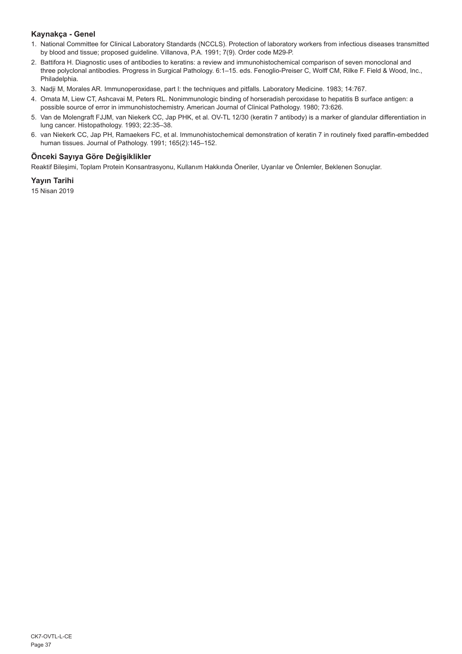## **Kaynakça - Genel**

- 1. National Committee for Clinical Laboratory Standards (NCCLS). Protection of laboratory workers from infectious diseases transmitted by blood and tissue; proposed guideline. Villanova, P.A. 1991; 7(9). Order code M29-P.
- 2. Battifora H. Diagnostic uses of antibodies to keratins: a review and immunohistochemical comparison of seven monoclonal and three polyclonal antibodies. Progress in Surgical Pathology. 6:1–15. eds. Fenoglio-Preiser C, Wolff CM, Rilke F. Field & Wood, Inc., Philadelphia.
- 3. Nadji M, Morales AR. Immunoperoxidase, part I: the techniques and pitfalls. Laboratory Medicine. 1983; 14:767.
- 4. Omata M, Liew CT, Ashcavai M, Peters RL. Nonimmunologic binding of horseradish peroxidase to hepatitis B surface antigen: a possible source of error in immunohistochemistry. American Journal of Clinical Pathology. 1980; 73:626.
- 5. Van de Molengraft FJJM, van Niekerk CC, Jap PHK, et al. OV-TL 12/30 (keratin 7 antibody) is a marker of glandular differentiation in lung cancer. Histopathology. 1993; 22:35–38.
- 6. van Niekerk CC, Jap PH, Ramaekers FC, et al. Immunohistochemical demonstration of keratin 7 in routinely fixed paraffin-embedded human tissues. Journal of Pathology. 1991; 165(2):145–152.

## **Önceki Sayıya Göre Değişiklikler**

Reaktif Bileşimi, Toplam Protein Konsantrasyonu, Kullanım Hakkında Öneriler, Uyarılar ve Önlemler, Beklenen Sonuçlar.

## **Yayın Tarihi**

15 Nisan 2019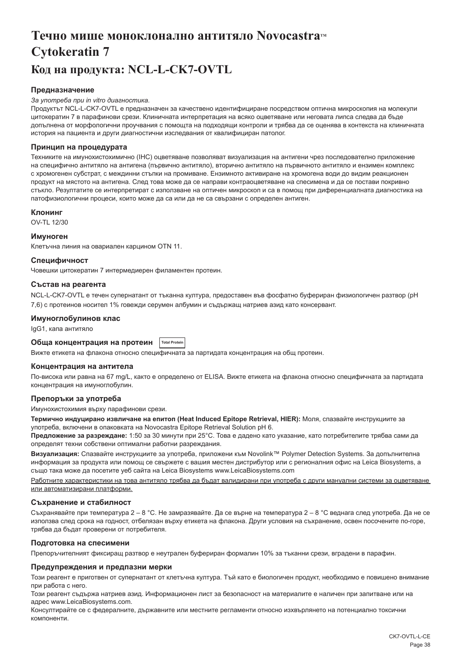## <span id="page-38-0"></span>**Течно мише моноклонално антитяло Novocastra™ Cytokeratin 7 Код на продукта: NCL-L-CK7-OVTL**

## **Предназначение**

#### *За употреба при in vitro диагностика.*

Продуктът NCL-L-CK7-OVTL е предназначен за качествено идентифициране посредством оптична микроскопия на молекули цитокератин 7 в парафинови срези. Клиничната интерпретация на всяко оцветяване или неговата липса следва да бъде допълнена от морфологични проучвания с помощта на подходящи контроли и трябва да се оценява в контекста на клиничната история на пациента и други диагностични изследвания от квалифициран патолог.

### **Принцип на процедурата**

Техниките на имунохистохимично (IHC) оцветяване позволяват визуализация на антигени чрез последователно приложение на специфично антитяло на антигена (първично антитяло), вторично антитяло на първичното антитяло и ензимен комплекс с хромогенен субстрат, с междинни стъпки на промиване. Ензимното активиране на хромогена води до видим реакционен продукт на мястото на антигена. След това може да се направи контраоцветяване на спесимена и да се постави покривно стъкло. Резултатите се интерпретират с използване на оптичен микроскоп и са в помощ при диференциалната диагностика на патофизиологични процеси, които може да са или да не са свързани с определен антиген.

## **Клонинг**

OV-TL 12/30

### **Имуноген**

Клетъчна линия на овариален карцином OTN 11.

### **Специфичност**

Човешки цитокератин 7 интермедиерен филаментен протеин.

## **Състав на реагента**

NCL-L-CK7-OVTL е течен супернатант от тъканна култура, предоставен във фосфатно буфериран физиологичен разтвор (pH 7,6) с протеинов носител 1% говежди серумен албумин и съдържащ натриев азид като консервант.

### **Имуноглобулинов клас**

IgG1, капа антитяло

## **Обща концентрация на протеин Total Protein**

Вижте етикета на флакона относно специфичната за партидата концентрация на общ протеин.

## **Концентрация на антитела**

По-висока или равна на 67 mg/L, както е определено от ELISA. Вижте етикета на флакона относно специфичната за партидата концентрация на имуноглобулин.

### **Препоръки за употреба**

Имунохистохимия върху парафинови срези.

**Термично индуцирано извличане на епитоп (Heat Induced Epitope Retrieval, HIER):** Моля, спазвайте инструкциите за употреба, включени в опаковката на Novocastra Epitope Retrieval Solution pH 6.

**Предложение за разреждане:** 1:50 за 30 минути при 25°C. Това е дадено като указание, като потребителите трябва сами да определят техни собствени оптимални работни разреждания.

**Визуализация:** Спазвайте инструкциите за употреба, приложени към Novolink™ Polymer Detection Systems. За допълнителна информация за продукта или помощ се свържете с вашия местен дистрибутор или с регионалния офис на Leica Biosystems, а също така може да посетите уеб сайта на Leica Biosystems www.LeicaBiosystems.com

Работните характеристики на това антитяло трябва да бъдат валидирани при употреба с други мануални системи за оцветяване или автоматизирани платформи.

## **Съхранение и стабилност**

Съхранявайте при температура 2 – 8 °C. Не замразявайте. Да се върне на температура 2 – 8 °C веднага след употреба. Да не се използва след срока на годност, отбелязан върху етикета на флакона. Други условия на съхранение, освен посочените по-горе, трябва да бъдат проверени от потребителя.

### **Подготовка на спесимени**

Препоръчителният фиксиращ разтвор е неутрален буфериран формалин 10% за тъканни срези, вградени в парафин.

### **Предупреждения и предпазни мерки**

Този реагент е приготвен от супернатант от клетъчна култура. Тъй като е биологичен продукт, необходимо е повишено внимание при работа с него.

Този реагент съдържа натриев азид. Информационен лист за безопасност на материалите е наличен при запитване или на адрес www.LeicaBiosystems.com.

Консултирайте се с федералните, държавните или местните регламенти относно изхвърлянето на потенциално токсични компоненти.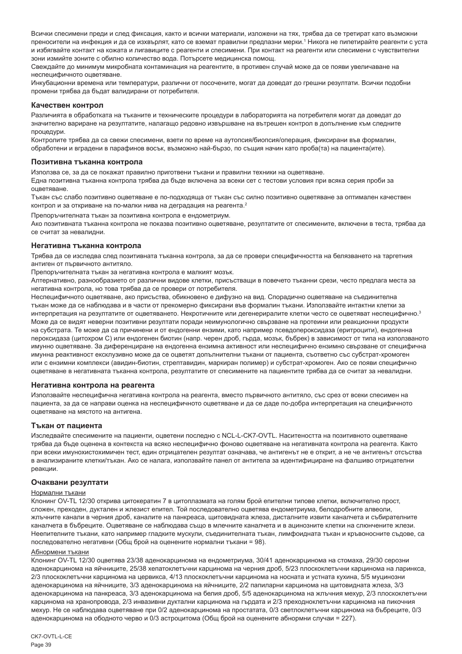Всички спесимени преди и след фиксация, както и всички материали, изложени на тях, трябва да се третират като възможни преносители на инфекция и да се изхвърлят, като се вземат правилни предпазни мерки.' Никога не пипетирайте реагенти с уста и избягвайте контакт на кожата и лигавиците с реагенти и спесимени. При контакт на реагенти или спесимени с чувствителни зони измийте зоните с обилно количество вода. Потърсете медицинска помощ.

Свеждайте до минимум микробната контаминация на реагентите, в противен случай може да се появи увеличаване на неспецифичното оцветяване.

Инкубационни времена или температури, различни от посочените, могат да доведат до грешни резултати. Всички подобни промени трябва да бъдат валидирани от потребителя.

#### **Качествен контрол**

Различията в обработката на тъканите и техническите процедури в лабораторията на потребителя могат да доведат до значително вариране на резултатите, налагащо редовно извършване на вътрешен контрол в допълнение към следните процедури.

Контролите трябва да са свежи спесимени, взети по време на аутопсия/биопсия/операция, фиксирани във формалин, обработени и вградени в парафинов восък, възможно най-бързо, по същия начин като проба(та) на пациента(ите).

#### **Позитивна тъканна контрола**

Използва се, за да се покажат правилно приготвени тъкани и правилни техники на оцветяване.

Една позитивна тъканна контрола трябва да бъде включена за всеки сет с тестови условия при всяка серия проби за оцветяване.

Тъкан със слабо позитивно оцветяване е по-подходяща от тъкан със силно позитивно оцветяване за оптимален качествен контрол и за откриване на по-малки нива на деградация на реагента.<sup>2</sup>

Препоръчителната тъкан за позитивна контрола е ендометриум.

Ако позитивната тъканна контрола не показва позитивно оцветяване, резултатите от спесимените, включени в теста, трябва да се считат за невалидни.

#### **Негативна тъканна контрола**

Трябва да се изследва след позитивната тъканна контрола, за да се провери специфичността на белязването на таргетния антиген от първичното антитяло.

Препоръчителната тъкан за негативна контрола е малкият мозък.

Алтернативно, разнообразието от различни видове клетки, присъстващи в повечето тъканни срези, често предлага места за негативна контрола, но това трябва да се провери от потребителя.

Неспецифичното оцветяване, ако присъства, обикновено е дифузно на вид. Спорадично оцветяване на съединителна тъкан може да се наблюдава и в части от прекомерно фиксирани във формалин тъкани. Използвайте интактни клетки за интерпретация на резултатите от оцветяването. Некротичните или дегенериралите клетки често се оцветяват неспецифично.<sup>3</sup> Може да се видят неверни позитивни резултати поради неимунологично свързване на протеини или реакционни продукти на субстрата. Те може да са причинени и от ендогенни ензими, като например псевдопероксидаза (еритроцити), ендогенна пероксидаза (цитохром C) или ендогенен биотин (напр. черен дроб, гърда, мозък, бъбрек) в зависимост от типа на използваното имунно оцветяване. За диференциране на ендогенна ензимна активност или неспецифично ензимно свързване от специфична имунна реактивност ексклузивно може да се оцветят допълнителни тъкани от пациента, съответно със субстрат-хромоген или с ензимни комплекси (авидин-биотин, стрептавидин, маркиран полимер) и субстрат-хромоген. Ако се появи специфично оцветяване в негативната тъканна контрола, резултатите от спесимените на пациентите трябва да се считат за невалидни.

### **Негативна контрола на реагента**

Използвайте неспецифична негативна контрола на реагента, вместо първичното антитяло, със срез от всеки спесимен на пациента, за да се направи оценка на неспецифичното оцветяване и да се даде по-добра интерпретация на специфичното оцветяване на мястото на антигена.

## **Тъкан от пациента**

Изследвайте спесимените на пациенти, оцветени последно с NCL-L-CK7-OVTL. Наситеността на позитивното оцветяване трябва да бъде оценена в контекста на всяко неспецифично фоново оцветяване на негативната контрола на реагента. Както при всеки имунохистохимичен тест, един отрицателен резултат означава, че антигенът не е открит, а не че антигенът отсъства в анализираните клетки/тъкан. Ако се налага, използвайте панел от антитела за идентифициране на фалшиво отрицателни реакции.

## **Очаквани резултати**

#### Нормални тъкани

Клонинг OV-TL 12/30 открива цитокератин 7 в цитоплазмата на голям брой епителни типове клетки, включително прост, сложен, преходен, дуктален и жлезист епител. Той последователно оцветява ендометриума, белодробните алвеоли, жлъчните канали в черния дроб, каналите на панкреаса, щитовидната жлеза, дисталните извити каналчета и събирателните каналчета в бъбреците. Оцветяване се наблюдава също в млечните каналчета и в ацинозните клетки на слюнчените жлези. Неепителните тъкани, като например гладките мускули, съединителната тъкан, лимфоидната тъкан и кръвоносните съдове, са последователно негативни (Общ брой на оценените нормални тъкани = 98).

#### Абнормени тъкани

Клонинг OV-TL 12/30 оцветява 23/38 аденокарцинома на ендометриума, 30/41 аденокарцинома на стомаха, 29/30 серозни аденокарцинома на яйчниците, 25/38 хепатоклетъчни карцинома на черния дроб, 5/23 плоскоклетъчни карцинома на ларинкса, 2/3 плоскоклетъчни карцинома на цервикса, 4/13 плоскоклетъчни карцинома на носната и устната кухина, 5/5 муцинозни аденокарцинома на яйчниците, 3/3 аденокарцинома на яйчниците, 2/2 папиларни карцинома на щитовидната жлеза, 3/3 аденокарцинома на панкреаса, 3/3 аденокарцинома на белия дроб, 5/5 аденокарцинома на жлъчния мехур, 2/3 плоскоклетъчни карцинома на хранопровода, 2/3 инвазивни дуктални карцинома на гърдата и 2/3 преходноклетъчни карцинома на пикочния мехур. Не се наблюдава оцветяване при 0/2 аденокарцинома на простатата, 0/3 светлоклетъчни карцинома на бъбреците, 0/3 аденокарцинома на ободното черво и 0/3 астроцитома (Общ брой на оценените абнормни случаи = 227).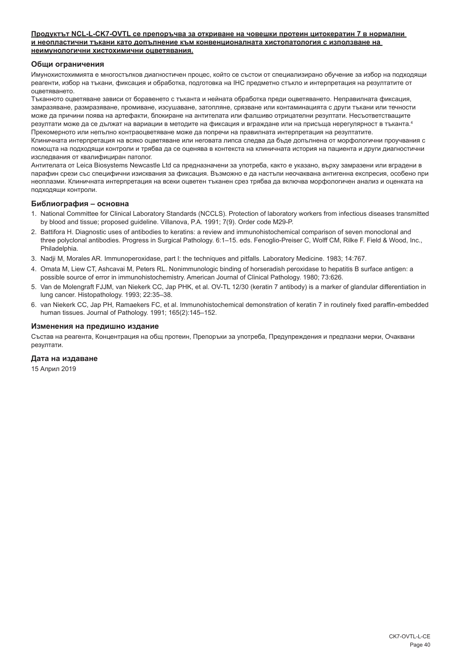## **Продуктът NCL-L-CK7-OVTL се препоръчва за откриване на човешки протеин цитокератин 7 в нормални и неопластични тъкани като допълнение към конвенционалната хистопатология с използване на неимунологични хистохимични оцветявания.**

## **Общи ограничения**

Имунохистохимията е многостъпков диагностичен процес, който се състои от специализирано обучение за избор на подходящи реагенти, избор на тъкани, фиксация и обработка, подготовка на IHC предметно стъкло и интерпретация на резултатите от оцветяването.

Тъканното оцветяване зависи от боравенето с тъканта и нейната обработка преди оцветяването. Неправилната фиксация, замразяване, размразяване, промиване, изсушаване, затопляне, срязване или контаминацията с други тъкани или течности може да причини поява на артефакти, блокиране на антителата или фалшиво отрицателни резултати. Несъответстващите резултати може да се дължат на вариации в методите на фиксация и вграждане или на присъща нерегулярност в тъканта.4 Прекомерното или непълно контраоцветяване може да попречи на правилната интерпретация на резултатите.

Клиничната интерпретация на всяко оцветяване или неговата липса следва да бъде допълнена от морфологични проучвания с помощта на подходящи контроли и трябва да се оценява в контекста на клиничната история на пациента и други диагностични изследвания от квалифициран патолог.

Антителата от Leica Biosystems Newcastle Ltd са предназначени за употреба, както е указано, върху замразени или вградени в парафин срези със специфични изисквания за фиксация. Възможно е да настъпи неочаквана антигенна експресия, особено при неоплазми. Клиничната интерпретация на всеки оцветен тъканен срез трябва да включва морфологичен анализ и оценката на подходящи контроли.

### **Библиография – основна**

- 1. National Committee for Clinical Laboratory Standards (NCCLS). Protection of laboratory workers from infectious diseases transmitted by blood and tissue; proposed guideline. Villanova, P.A. 1991; 7(9). Order code M29-P.
- 2. Battifora H. Diagnostic uses of antibodies to keratins: a review and immunohistochemical comparison of seven monoclonal and three polyclonal antibodies. Progress in Surgical Pathology. 6:1–15. eds. Fenoglio-Preiser C, Wolff CM, Rilke F. Field & Wood, Inc., Philadelphia.
- 3. Nadji M, Morales AR. Immunoperoxidase, part I: the techniques and pitfalls. Laboratory Medicine. 1983; 14:767.
- 4. Omata M, Liew CT, Ashcavai M, Peters RL. Nonimmunologic binding of horseradish peroxidase to hepatitis B surface antigen: a possible source of error in immunohistochemistry. American Journal of Clinical Pathology. 1980; 73:626.
- 5. Van de Molengraft FJJM, van Niekerk CC, Jap PHK, et al. OV-TL 12/30 (keratin 7 antibody) is a marker of glandular differentiation in lung cancer. Histopathology. 1993; 22:35–38.
- 6. van Niekerk CC, Jap PH, Ramaekers FC, et al. Immunohistochemical demonstration of keratin 7 in routinely fixed paraffin-embedded human tissues. Journal of Pathology. 1991; 165(2):145–152.

#### **Изменения на предишно издание**

Състав на реагента, Концентрация на общ протеин, Препоръки за употреба, Предупреждения и предпазни мерки, Очаквани резултати.

## **Дата на издаване**

15 Април 2019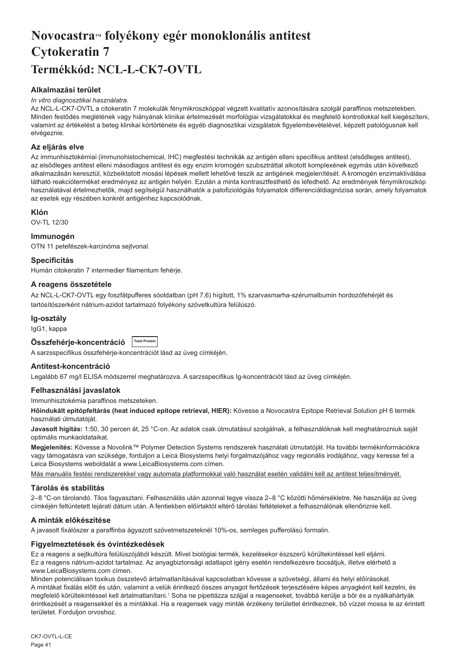## <span id="page-41-0"></span>Novocastra™ folyékony egér monoklonális antitest **Cytokeratin 7 Termékkód: NCL-L-CK7-OVTL**

## **Alkalmazási terület**

## *In vitro diagnosztikai használatra.*

Az NCL-L-CK7-OVTL a citokeratin 7 molekulák fénymikroszkóppal végzett kvalitatív azonosítására szolgál paraffinos metszetekben. Minden festődés meglétének vagy hiányának klinikai értelmezését morfológiai vizsgálatokkal és megfelelő kontrollokkal kell kiegészíteni, valamint az értékelést a beteg klinikai kórtörténete és egyéb diagnosztikai vizsgálatok figyelembevételével, képzett patológusnak kell elvégeznie.

## **Az eljárás elve**

Az immunhisztokémiai (immunohistochemical, IHC) megfestési technikák az antigén elleni specifikus antitest (elsődleges antitest), az elsődleges antitest elleni másodlagos antitest és egy enzim kromogén szubsztráttal alkotott komplexének egymás után következő alkalmazásán keresztül, közbeiktatott mosási lépések mellett lehetővé teszik az antigének megjelenítését. A kromogén enzimaktiválása látható reakcióterméket eredményez az antigén helyén. Ezután a minta kontrasztfesthető és lefedhető. Az eredmények fénymikroszkóp használatával értelmezhetők, majd segítségül használhatók a patofiziológiás folyamatok differenciáldiagnózisa során, amely folyamatok az esetek egy részében konkrét antigénhez kapcsolódnak.

## **Klón**

OV-TL 12/30

## **Immunogén**

OTN 11 petefészek-karcinóma sejtvonal.

## **Specificitás**

Humán citokeratin 7 intermedier filamentum fehérje.

## **A reagens összetétele**

Az NCL-L-CK7-OVTL egy foszfátpufferes sóoldatban (pH 7,6) hígított, 1% szarvasmarha-szérumalbumin hordozófehérjét és tartósítószerként nátrium-azidot tartalmazó folyékony szövetkultúra felülúszó.

## **Ig-osztály**

IgG1, kappa

## **Összfehérje-koncentráció Total Protein**

A sarzsspecifikus összfehérje-koncentrációt lásd az üveg címkéjén.

## **Antitest-koncentráció**

Legalább 67 mg/l ELISA módszerrel meghatározva. A sarzsspecifikus Ig-koncentrációt lásd az üveg címkéjén.

## **Felhasználási javaslatok**

Immunhisztokémia paraffinos metszeteken.

**Hőindukált epitópfeltárás (heat induced epitope retrieval, HIER):** Kövesse a Novocastra Epitope Retrieval Solution pH 6 termék használati útmutatóját.

**Javasolt hígítás:** 1:50, 30 percen át, 25 °C-on. Az adatok csak útmutatásul szolgálnak, a felhasználóknak kell meghatározniuk saját optimális munkaoldataikat.

**Megjelenítés:** Kövesse a Novolink™ Polymer Detection Systems rendszerek használati útmutatóját. Ha további termékinformációkra vagy támogatásra van szüksége, forduljon a Leica Biosystems helyi forgalmazójához vagy regionális irodájához, vagy keresse fel a Leica Biosystems weboldalát a www.LeicaBiosystems.com címen.

Más manuális festési rendszerekkel vagy automata platformokkal való használat esetén validálni kell az antitest teljesítményét.

## **Tárolás és stabilitás**

2–8 °C-on tárolandó. Tilos fagyasztani. Felhasználás után azonnal tegye vissza 2–8 °C közötti hőmérsékletre. Ne használja az üveg címkéjén feltüntetett lejárati dátum után. A fentiekben előírtaktól eltérő tárolási feltételeket a felhasználónak ellenőriznie kell.

## **A minták előkészítése**

A javasolt fixálószer a paraffinba ágyazott szövetmetszeteknél 10%-os, semleges pufferolású formalin.

### **Figyelmeztetések és óvintézkedések**

Ez a reagens a sejtkultúra felülúszójából készült. Mivel biológiai termék, kezelésekor észszerű körültekintéssel kell eljárni. Ez a reagens nátrium-azidot tartalmaz. Az anyagbiztonsági adatlapot igény esetén rendelkezésre bocsátjuk, illetve elérhető a www.LeicaBiosystems.com címen.

Minden potenciálisan toxikus összetevő ártalmatlanításával kapcsolatban kövesse a szövetségi, állami és helyi előírásokat. A mintákat fixálás előtt és után, valamint a velük érintkező összes anyagot fertőzések terjesztésére képes anyagként kell kezelni, és megfelelő körültekintéssel kell ártalmatlanítani.<sup>1</sup> Soha ne pipettázza szájjal a reagenseket, továbbá kerülje a bőr és a nyálkahártyák érintkezését a reagensekkel és a mintákkal. Ha a reagensek vagy minták érzékeny területtel érintkeznek, bő vízzel mossa le az érintett területet. Forduljon orvoshoz.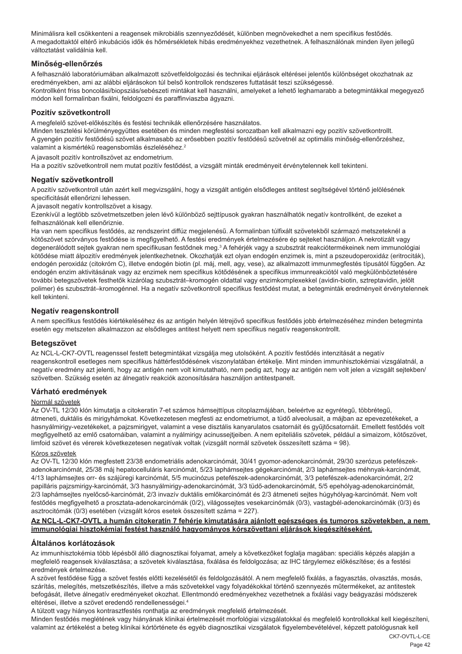Minimálisra kell csökkenteni a reagensek mikrobiális szennyeződését, különben megnövekedhet a nem specifikus festődés. A megadottaktól eltérő inkubációs idők és hőmérsékletek hibás eredményekhez vezethetnek. A felhasználónak minden ilyen jellegű változtatást validálnia kell.

## **Minőség-ellenőrzés**

A felhasználó laboratóriumában alkalmazott szövetfeldolgozási és technikai eljárások eltérései jelentős különbséget okozhatnak az eredményekben, ami az alábbi eljárásokon túl belső kontrollok rendszeres futtatását teszi szükségessé. Kontrollként friss boncolási/biopsziás/sebészeti mintákat kell használni, amelyeket a lehető leghamarabb a betegmintákkal megegyező módon kell formalinban fixálni, feldolgozni és paraffinviaszba ágyazni.

## **Pozitív szövetkontroll**

A megfelelő szövet-előkészítés és festési technikák ellenőrzésére használatos.

Minden tesztelési körülményegyüttes esetében és minden megfestési sorozatban kell alkalmazni egy pozitív szövetkontrollt. A gyengén pozitív festődésű szövet alkalmasabb az erősebben pozitív festődésű szövetnél az optimális minőség-ellenőrzéshez, valamint a kismértékű reagensbomlás észleléséhez.<sup>2</sup>

A javasolt pozitív kontrollszövet az endometrium.

Ha a pozitív szövetkontroll nem mutat pozitív festődést, a vizsgált minták eredményeit érvénytelennek kell tekinteni.

## **Negatív szövetkontroll**

A pozitív szövetkontroll után azért kell megvizsgálni, hogy a vizsgált antigén elsődleges antitest segítségével történő jelölésének specificitását ellenőrizni lehessen.

A javasolt negatív kontrollszövet a kisagy.

Ezenkívül a legtöbb szövetmetszetben jelen lévő különböző sejttípusok gyakran használhatók negatív kontrollként, de ezeket a felhasználónak kell ellenőriznie.

Ha van nem specifikus festődés, az rendszerint diffúz megjelenésű. A formalinban túlfixált szövetekből származó metszeteknél a kötőszövet szórványos festődése is megfigyelhető. A festési eredmények értelmezésére ép sejteket használjon. A nekrotizált vagy degenerálódott sejtek gyakran nem specifikusan festődnek meg.<sup>3</sup> A fehérjék vagy a szubsztrát reakciótermékeinek nem immunológiai kötődése miatt álpozitív eredmények jelentkezhetnek. Okozhatják ezt olyan endogén enzimek is, mint a pszeudoperoxidáz (eritrociták), endogén peroxidáz (citokróm C), illetve endogén biotin (pl. máj, mell, agy, vese), az alkalmazott immunmegfestés típusától függően. Az endogén enzim aktivitásának vagy az enzimek nem specifikus kötődésének a specifikus immunreakciótól való megkülönböztetésére további betegszövetek festhetők kizárólag szubsztrát–kromogén oldattal vagy enzimkomplexekkel (avidin-biotin, sztreptavidin, jelölt polimer) és szubsztrát–kromogénnel. Ha a negatív szövetkontroll specifikus festődést mutat, a betegminták eredményeit érvénytelennek kell tekinteni.

## **Negatív reagenskontroll**

A nem specifikus festődés kiértékeléséhez és az antigén helyén létrejövő specifikus festődés jobb értelmezéséhez minden betegminta esetén egy metszeten alkalmazzon az elsődleges antitest helyett nem specifikus negatív reagenskontrollt.

### **Betegszövet**

Az NCL-L-CK7-OVTL reagenssel festett betegmintákat vizsgálja meg utolsóként. A pozitív festődés intenzitását a negatív reagenskontroll esetleges nem specifikus háttérfestődésének viszonylatában értékelje. Mint minden immunhisztokémiai vizsgálatnál, a negatív eredmény azt jelenti, hogy az antigén nem volt kimutatható, nem pedig azt, hogy az antigén nem volt jelen a vizsgált sejtekben/ szövetben. Szükség esetén az álnegatív reakciók azonosítására használjon antitestpanelt.

### **Várható eredmények**

### Normál szövetek

Az OV-TL 12/30 klón kimutatja a citokeratin 7-et számos hámsejttípus citoplazmájában, beleértve az egyrétegű, többrétegű, átmeneti, duktális és mirigyhámokat. Következetesen megfesti az endometriumot, a tüdő alveolusait, a májban az epevezetékeket, a hasnyálmirigy-vezetékeket, a pajzsmirigyet, valamint a vese disztális kanyarulatos csatornáit és gyűjtőcsatornáit. Emellett festődés volt megfigyelhető az emlő csatornáiban, valamint a nyálmirigy acinussejtjeiben. A nem epiteliális szövetek, például a simaizom, kötőszövet, limfoid szövet és vérerek következetesen negatívak voltak (vizsgált normál szövetek összesített száma = 98).

### Kóros szövetek

Az OV-TL 12/30 klón megfestett 23/38 endometriális adenokarcinómát, 30/41 gyomor-adenokarcinómát, 29/30 szerózus petefészekadenokarcinómát, 25/38 máj hepatocelluláris karcinómát, 5/23 laphámsejtes gégekarcinómát, 2/3 laphámsejtes méhnyak-karcinómát, 4/13 laphámsejtes orr- és szájüregi karcinómát, 5/5 mucinózus petefészek-adenokarcinómát, 3/3 petefészek-adenokarcinómát, 2/2 papilláris pajzsmirigy-karcinómát, 3/3 hasnyálmirigy-adenokarcinómát, 3/3 tüdő-adenokarcinómát, 5/5 epehólyag-adenokarcinómát, 2/3 laphámsejtes nyelőcső-karcinómát, 2/3 invazív duktális emlőkarcinómát és 2/3 átmeneti sejtes húgyhólyag-karcinómát. Nem volt festődés megfigyelhető a prosztata-adenokarcinómák (0/2), világossejtes vesekarcinómák (0/3), vastagbél-adenokarcinómák (0/3) és asztrocitómák (0/3) esetében (vizsgált kóros esetek összesített száma = 227).

## **Az NCL-L-CK7-OVTL a humán citokeratin 7 fehérje kimutatására ajánlott egészséges és tumoros szövetekben, a nem immunológiai hisztokémiai festést használó hagyományos kórszövettani eljárások kiegészítéseként.**

## **Általános korlátozások**

Az immunhisztokémia több lépésből álló diagnosztikai folyamat, amely a következőket foglalja magában: speciális képzés alapján a megfelelő reagensek kiválasztása; a szövetek kiválasztása, fixálása és feldolgozása; az IHC tárgylemez előkészítése; és a festési eredmények értelmezése.

A szövet festődése függ a szövet festés előtti kezelésétől és feldolgozásától. A nem megfelelő fixálás, a fagyasztás, olvasztás, mosás, szárítás, melegítés, metszetkészítés, illetve a más szövetekkel vagy folyadékokkal történő szennyezés műtermékeket, az antitestek befogását, illetve álnegatív eredményeket okozhat. Ellentmondó eredményekhez vezethetnek a fixálási vagy beágyazási módszerek eltérései, illetve a szövet eredendő rendellenességei.4

A túlzott vagy hiányos kontrasztfestés ronthatja az eredmények megfelelő értelmezését.

Minden festődés meglétének vagy hiányának klinikai értelmezését morfológiai vizsgálatokkal és megfelelő kontrollokkal kell kiegészíteni, valamint az értékelést a beteg klinikai kórtörténete és egyéb diagnosztikai vizsgálatok figyelembevételével, képzett patológusnak kell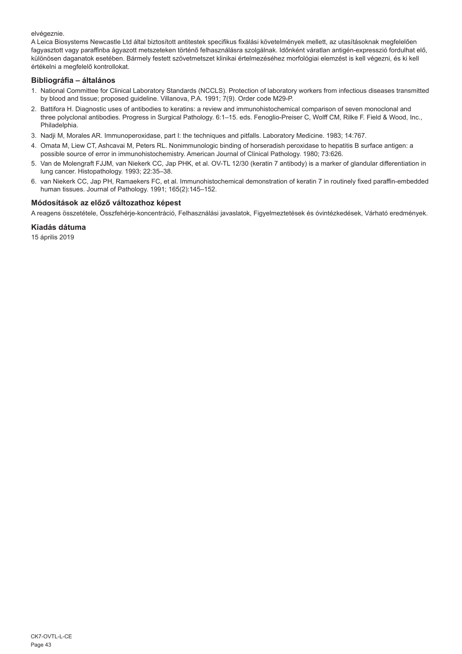elvégeznie.

A Leica Biosystems Newcastle Ltd által biztosított antitestek specifikus fixálási követelmények mellett, az utasításoknak megfelelően fagyasztott vagy paraffinba ágyazott metszeteken történő felhasználásra szolgálnak. Időnként váratlan antigén-expresszió fordulhat elő, különösen daganatok esetében. Bármely festett szövetmetszet klinikai értelmezéséhez morfológiai elemzést is kell végezni, és ki kell értékelni a megfelelő kontrollokat.

## **Bibliográfia – általános**

- 1. National Committee for Clinical Laboratory Standards (NCCLS). Protection of laboratory workers from infectious diseases transmitted by blood and tissue; proposed guideline. Villanova, P.A. 1991; 7(9). Order code M29-P.
- 2. Battifora H. Diagnostic uses of antibodies to keratins: a review and immunohistochemical comparison of seven monoclonal and three polyclonal antibodies. Progress in Surgical Pathology. 6:1–15. eds. Fenoglio-Preiser C, Wolff CM, Rilke F. Field & Wood, Inc., Philadelphia.
- 3. Nadji M, Morales AR. Immunoperoxidase, part I: the techniques and pitfalls. Laboratory Medicine. 1983; 14:767.
- 4. Omata M, Liew CT, Ashcavai M, Peters RL. Nonimmunologic binding of horseradish peroxidase to hepatitis B surface antigen: a possible source of error in immunohistochemistry. American Journal of Clinical Pathology. 1980; 73:626.
- 5. Van de Molengraft FJJM, van Niekerk CC, Jap PHK, et al. OV-TL 12/30 (keratin 7 antibody) is a marker of glandular differentiation in lung cancer. Histopathology. 1993; 22:35–38.
- 6. van Niekerk CC, Jap PH, Ramaekers FC, et al. Immunohistochemical demonstration of keratin 7 in routinely fixed paraffin-embedded human tissues. Journal of Pathology. 1991; 165(2):145–152.

## **Módosítások az előző változathoz képest**

A reagens összetétele, Összfehérje-koncentráció, Felhasználási javaslatok, Figyelmeztetések és óvintézkedések, Várható eredmények.

## **Kiadás dátuma**

15 április 2019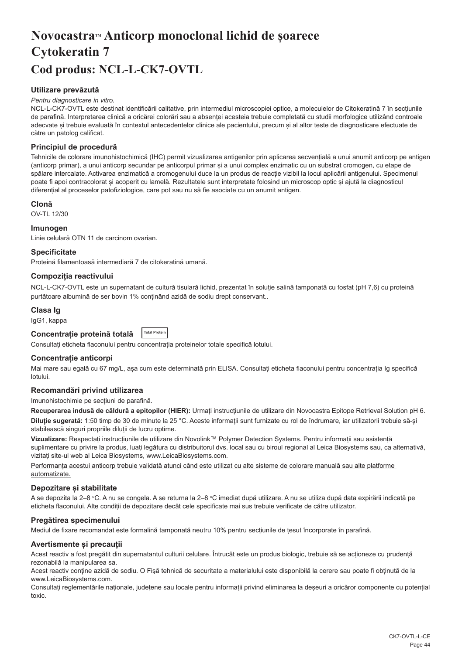## <span id="page-44-0"></span>**NovocastraTM Anticorp monoclonal lichid de șoarece Cytokeratin 7 Cod produs: NCL-L-CK7-OVTL**

## **Utilizare prevăzută**

#### *Pentru diagnosticare in vitro.*

NCL-L-CK7-OVTL este destinat identificării calitative, prin intermediul microscopiei optice, a moleculelor de Citokeratină 7 în secțiunile de parafină. Interpretarea clinică a oricărei colorări sau a absenței acesteia trebuie completată cu studii morfologice utilizând controale adecvate și trebuie evaluată în contextul antecedentelor clinice ale pacientului, precum și al altor teste de diagnosticare efectuate de către un patolog calificat.

## **Principiul de procedură**

Tehnicile de colorare imunohistochimică (IHC) permit vizualizarea antigenilor prin aplicarea secvențială a unui anumit anticorp pe antigen (anticorp primar), a unui anticorp secundar pe anticorpul primar și a unui complex enzimatic cu un substrat cromogen, cu etape de spălare intercalate. Activarea enzimatică a cromogenului duce la un produs de reacție vizibil la locul aplicării antigenului. Specimenul poate fi apoi contracolorat și acoperit cu lamelă. Rezultatele sunt interpretate folosind un microscop optic și ajută la diagnosticul diferențial al proceselor patofiziologice, care pot sau nu să fie asociate cu un anumit antigen.

### **Clonă**

OV-TL 12/30

## **Imunogen**

Linie celulară OTN 11 de carcinom ovarian.

## **Specificitate**

Proteină filamentoasă intermediară 7 de citokeratină umană.

## **Compoziția reactivului**

NCL-L-CK7-OVTL este un supernatant de cultură tisulară lichid, prezentat în soluție salină tamponată cu fosfat (pH 7,6) cu proteină purtătoare albumină de ser bovin 1% conținând azidă de sodiu drept conservant..

### **Clasa Ig**

IgG1, kappa

| Concentrație proteină totală | <b>Total Protein</b> |
|------------------------------|----------------------|
|------------------------------|----------------------|

Consultați eticheta flaconului pentru concentrația proteinelor totale specifică lotului.

## **Concentrație anticorpi**

Mai mare sau egală cu 67 mg/L, asa cum este determinată prin ELISA. Consultati eticheta flaconului pentru concentratia Ig specifică lotului.

## **Recomandări privind utilizarea**

Imunohistochimie pe secțiuni de parafină.

**Recuperarea indusă de căldură a epitopilor (HIER):** Urmați instrucțiunile de utilizare din Novocastra Epitope Retrieval Solution pH 6. **Diluție sugerată:** 1:50 timp de 30 de minute la 25 °C. Aceste informații sunt furnizate cu rol de îndrumare, iar utilizatorii trebuie să-și stabilească singuri propriile diluții de lucru optime.

**Vizualizare:** Respectați instrucțiunile de utilizare din Novolink™ Polymer Detection Systems. Pentru informații sau asistență suplimentare cu privire la produs, luați legătura cu distribuitorul dvs. local sau cu biroul regional al Leica Biosystems sau, ca alternativă, vizitați site-ul web al Leica Biosystems, www.LeicaBiosystems.com.

Performanța acestui anticorp trebuie validată atunci când este utilizat cu alte sisteme de colorare manuală sau alte platforme automatizate.

## **Depozitare și stabilitate**

A se depozita la 2–8 °C. A nu se congela. A se returna la 2–8 °C imediat după utilizare. A nu se utiliza după data expirării indicată pe eticheta flaconului. Alte condiții de depozitare decât cele specificate mai sus trebuie verificate de către utilizator.

### **Pregătirea specimenului**

Mediul de fixare recomandat este formalină tamponată neutru 10% pentru secțiunile de țesut încorporate în parafină.

### **Avertismente și precauții**

Acest reactiv a fost pregătit din supernatantul culturii celulare. Întrucât este un produs biologic, trebuie să se acționeze cu prudență rezonabilă la manipularea sa.

Acest reactiv conține azidă de sodiu. O Fişă tehnică de securitate a materialului este disponibilă la cerere sau poate fi obținută de la www.LeicaBiosystems.com.

Consultați reglementările naționale, județene sau locale pentru informații privind eliminarea la deșeuri a oricăror componente cu potențial toxic.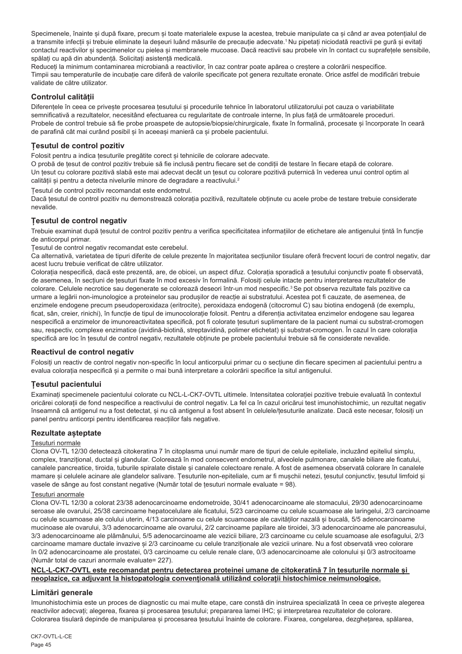Specimenele, înainte și după fixare, precum și toate materialele expuse la acestea, trebuie manipulate ca și când ar avea potențialul de a transmite infecții și trebuie eliminate la deșeuri luând măsurile de precauție adecvate.<sup>1</sup>Nu pipetați niciodată reactivii pe gură și evitați contactul reactivilor și specimenelor cu pielea și membranele mucoase. Dacă reactivii sau probele vin în contact cu suprafețele sensibile, spălați cu apă din abundență. Solicitați asistență medicală.

Reduceți la minimum contaminarea microbiană a reactivilor, în caz contrar poate apărea o creștere a colorării nespecifice. Timpii sau temperaturile de incubație care diferă de valorile specificate pot genera rezultate eronate. Orice astfel de modificări trebuie validate de către utilizator.

## **Controlul calității**

Diferențele în ceea ce privește procesarea țesutului și procedurile tehnice în laboratorul utilizatorului pot cauza o variabilitate semnificativă a rezultatelor, necesitând efectuarea cu regularitate de controale interne, în plus față de următoarele proceduri. Probele de control trebuie să fie probe proaspete de autopsie/biopsie/chirurgicale, fixate în formalină, procesate și încorporate în ceară de parafină cât mai curând posibil și în aceeași manieră ca și probele pacientului.

## **Țesutul de control pozitiv**

Folosit pentru a indica țesuturile pregătite corect și tehnicile de colorare adecvate.

O probă de țesut de control pozitiv trebuie să fie inclusă pentru fiecare set de condiții de testare în fiecare etapă de colorare. Un țesut cu colorare pozitivă slabă este mai adecvat decât un țesut cu colorare pozitivă puternică în vederea unui control optim al calității și pentru a detecta nivelurile minore de degradare a reactivului.<sup>2</sup>

Țesutul de control pozitiv recomandat este endometrul.

Dacă tesutul de control pozitiv nu demonstrează coloratia pozitivă, rezultatele obtinute cu acele probe de testare trebuie considerate nevalide.

## **Țesutul de control negativ**

Trebuie examinat după țesutul de control pozitiv pentru a verifica specificitatea informațiilor de etichetare ale antigenului țintă în funcție de anticorpul primar.

Țesutul de control negativ recomandat este cerebelul.

Ca alternativă, varietatea de tipuri diferite de celule prezente în majoritatea secțiunilor tisulare oferă frecvent locuri de control negativ, dar acest lucru trebuie verificat de către utilizator.

Colorația nespecifică, dacă este prezentă, are, de obicei, un aspect difuz. Colorația sporadică a țesutului conjunctiv poate fi observată, de asemenea, în secțiuni de țesuturi fixate în mod excesiv în formalină. Folosiți celule intacte pentru interpretarea rezultatelor de colorare. Celulele necrotice sau degenerate se colorează deseori într-un mod nespecific.<sup>3</sup>Se pot observa rezultate fals pozitive ca urmare a legării non-imunologice a proteinelor sau produșilor de reacție ai substratului. Acestea pot fi cauzate, de asemenea, de enzimele endogene precum pseudoperoxidaza (eritrocite), peroxidaza endogenă (citocromul C) sau biotina endogenă (de exemplu, ficat, sân, creier, rinichi), în funcție de tipul de imunocolorație folosit. Pentru a diferenția activitatea enzimelor endogene sau legarea nespecifică a enzimelor de imunoreactivitatea specifică, pot fi colorate țesuturi suplimentare de la pacient numai cu substrat-cromogen sau, respectiv, complexe enzimatice (avidină-biotină, streptavidină, polimer etichetat) și substrat-cromogen. În cazul în care colorația specifică are loc în țesutul de control negativ, rezultatele obținute pe probele pacientului trebuie să fie considerate nevalide.

## **Reactivul de control negativ**

Folosiți un reactiv de control negativ non-specific în locul anticorpului primar cu o secțiune din fiecare specimen al pacientului pentru a evalua colorația nespecifică și a permite o mai bună interpretare a colorării specifice la situl antigenului.

## **Țesutul pacientului**

Examinați specimenele pacientului colorate cu NCL-L-CK7-OVTL ultimele. Intensitatea colorației pozitive trebuie evaluată în contextul oricărei colorații de fond nespecifice a reactivului de control negativ. La fel ca în cazul oricărui test imunohistochimic, un rezultat negativ înseamnă că antigenul nu a fost detectat, și nu că antigenul a fost absent în celulele/țesuturile analizate. Dacă este necesar, folosiți un panel pentru anticorpi pentru identificarea reacțiilor fals negative.

## **Rezultate așteptate**

## Țesuturi normale

Clona OV-TL 12/30 detectează citokeratina 7 în citoplasma unui număr mare de tipuri de celule epiteliale, incluzând epiteliul simplu, complex, tranzițional, ductal și glandular. Colorează în mod consecvent endometrul, alveolele pulmonare, canalele biliare ale ficatului, canalele pancreatice, tiroida, tuburile spiralate distale și canalele colectoare renale. A fost de asemenea observată colorare în canalele mamare și celulele acinare ale glandelor salivare. Tesuturile non-epiteliale, cum ar fi mușchii netezi, tesutul conjunctiv, tesutul limfoid și vasele de sânge au fost constant negative (Număr total de țesuturi normale evaluate = 98).

### Țesuturi anormale

Clona OV-TL 12/30 a colorat 23/38 adenocarcinoame endometroide, 30/41 adenocarcinoame ale stomacului, 29/30 adenocarcinoame seroase ale ovarului, 25/38 carcinoame hepatocelulare ale ficatului, 5/23 carcinoame cu celule scuamoase ale laringelui, 2/3 carcinoame cu celule scuamoase ale colului uterin, 4/13 carcinoame cu celule scuamoase ale cavităților nazală și bucală, 5/5 adenocarcinoame mucinoase ale ovarului, 3/3 adenocarcinoame ale ovarului, 2/2 carcinoame papilare ale tiroidei, 3/3 adenocarcinoame ale pancreasului, 3/3 adenocarcinoame ale plămânului, 5/5 adenocarcinoame ale vezicii biliare, 2/3 carcinoame cu celule scuamoase ale esofagului, 2/3 carcinoame mamare ductale invazive și 2/3 carcinoame cu celule tranziționale ale vezicii urinare. Nu a fost observată vreo colorare în 0/2 adenocarcinoame ale prostatei, 0/3 carcinoame cu celule renale clare, 0/3 adenocarcinoame ale colonului și 0/3 astrocitoame (Număr total de cazuri anormale evaluate= 227).

## **NCL-L-CK7-OVTL este recomandat pentru detectarea proteinei umane de citokeratină 7 în țesuturile normale și neoplazice, ca adjuvant la histopatologia convențională utilizând colorații histochimice neimunologice.**

## **Limitări generale**

Imunohistochimia este un proces de diagnostic cu mai multe etape, care constă din instruirea specializată în ceea ce privește alegerea reactivilor adecvați; alegerea, fixarea și procesarea țesutului; prepararea lamei IHC; și interpretarea rezultatelor de colorare. Colorarea tisulară depinde de manipularea și procesarea țesutului înainte de colorare. Fixarea, congelarea, dezghețarea, spălarea,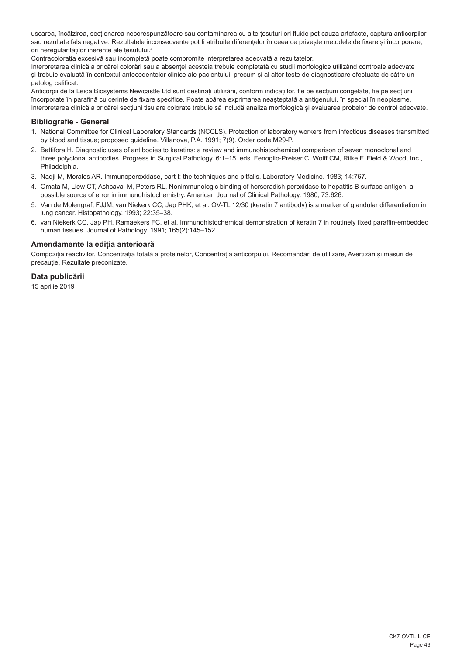uscarea, încălzirea, secționarea necorespunzătoare sau contaminarea cu alte țesuturi ori fluide pot cauza artefacte, captura anticorpilor sau rezultate fals negative. Rezultatele inconsecvente pot fi atribuite diferențelor în ceea ce privește metodele de fixare și încorporare, ori neregularităților inerente ale țesutului.4

Contracolorația excesivă sau incompletă poate compromite interpretarea adecvată a rezultatelor.

Interpretarea clinică a oricărei colorări sau a absenței acesteia trebuie completată cu studii morfologice utilizând controale adecvate și trebuie evaluată în contextul antecedentelor clinice ale pacientului, precum și al altor teste de diagnosticare efectuate de către un patolog calificat.

Anticorpii de la Leica Biosystems Newcastle Ltd sunt destinați utilizării, conform indicațiilor, fie pe secțiuni congelate, fie pe secțiuni încorporate în parafină cu cerințe de fixare specifice. Poate apărea exprimarea neașteptată a antigenului, în special în neoplasme. Interpretarea clinică a oricărei secțiuni tisulare colorate trebuie să includă analiza morfologică și evaluarea probelor de control adecvate.

## **Bibliografie - General**

- 1. National Committee for Clinical Laboratory Standards (NCCLS). Protection of laboratory workers from infectious diseases transmitted by blood and tissue; proposed guideline. Villanova, P.A. 1991; 7(9). Order code M29-P.
- 2. Battifora H. Diagnostic uses of antibodies to keratins: a review and immunohistochemical comparison of seven monoclonal and three polyclonal antibodies. Progress in Surgical Pathology. 6:1–15. eds. Fenoglio-Preiser C, Wolff CM, Rilke F. Field & Wood, Inc., Philadelphia.
- 3. Nadji M, Morales AR. Immunoperoxidase, part I: the techniques and pitfalls. Laboratory Medicine. 1983; 14:767.
- 4. Omata M, Liew CT, Ashcavai M, Peters RL. Nonimmunologic binding of horseradish peroxidase to hepatitis B surface antigen: a possible source of error in immunohistochemistry. American Journal of Clinical Pathology. 1980; 73:626.
- 5. Van de Molengraft FJJM, van Niekerk CC, Jap PHK, et al. OV-TL 12/30 (keratin 7 antibody) is a marker of glandular differentiation in lung cancer. Histopathology. 1993; 22:35–38.
- 6. van Niekerk CC, Jap PH, Ramaekers FC, et al. Immunohistochemical demonstration of keratin 7 in routinely fixed paraffin-embedded human tissues. Journal of Pathology. 1991; 165(2):145–152.

### **Amendamente la ediția anterioară**

Compoziția reactivilor, Concentrația totală a proteinelor, Concentrația anticorpului, Recomandări de utilizare, Avertizări și măsuri de precauție, Rezultate preconizate.

## **Data publicării**

15 aprilie 2019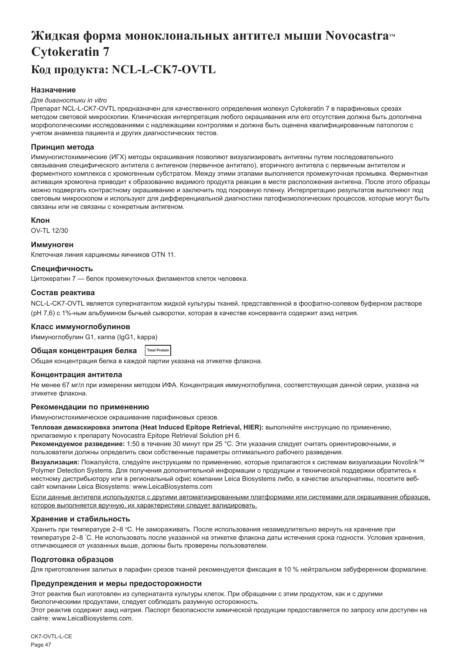## <span id="page-47-0"></span>Жидкая форма моноклональных антител мыши Novocastra<sup>™</sup> **Cytokeratin 7 Код продукта: NCL-L-CK7-OVTL**

## **Назначение**

#### *Для диагностики in vitro*

Препарат NCL-L-CK7-OVTL предназначен для качественного определения молекул Cytokeratin 7 в парафиновых срезах методом световой микроскопии. Клиническая интерпретация любого окрашивания или его отсутствия должна быть дополнена морфологическими исследованиями с надлежащими контролями и должна быть оценена квалифицированным патологом с учетом анамнеза пациента и других диагностических тестов.

### **Принцип метода**

Иммуногистохимические (ИГХ) методы окрашивания позволяют визуализировать антигены путем последовательного связывания специфического антитела с антигеном (первичное антитело), вторичного антитела с первичным антителом и ферментного комплекса с хромогенным субстратом. Между этими этапами выполняется промежуточная промывка. Ферментная активация хромогена приводит к образованию видимого продукта реакции в месте расположения антигена. После этого образцы можно подвергать контрастному окрашиванию и заключить под покровную пленку. Интерпретацию результатов выполняют под световым микроскопом и используют для дифференциальной диагностики патофизиологических процессов, которые могут быть связаны или не связаны с конкретным антигеном.

### **Клон**

OV-TL 12/30

### **Иммуноген**

Клеточная линия карциномы яичников OTN 11.

### **Специфичность**

Цитокератин 7 — белок промежуточных филаментов клеток человека.

### **Состав реактива**

NCL-L-CK7-OVTL является супернатантом жидкой культуры тканей, представленной в фосфатно-солевом буферном растворе (рН 7,6) с 1%-ным альбумином бычьей сыворотки, которая в качестве консерванта содержит азид натрия.

### **Класс иммуноглобулинов**

Иммуноглобулин G1, каппа (IgG1, kappa)

**Общая концентрация белка Total Protein**

Общая концентрация белка в каждой партии указана на этикетке флакона.

### **Концентрация антитела**

Не менее 67 мг/л при измерении методом ИФА. Концентрация иммуноглобулина, соответствующая данной серии, указана на этикетке флакона.

## **Рекомендации по применению**

Иммуногистохимическое окрашивание парафиновых срезов.

**Тепловая демаскировка эпитопа (Heat Induced Epitope Retrieval, HIER):** выполняйте инструкцию по применению, прилагаемую к препарату Novocastra Epitope Retrieval Solution pH 6.

**Рекомендуемое разведение:** 1:50 в течение 30 минут при 25 °C. Эти указания следует считать ориентировочными, и пользователи должны определить свои собственные параметры оптимального рабочего разведения.

**Визуализация:** Пожалуйста, следуйте инструкциям по применению, которые прилагаются к системам визуализации Novolink™ Polymer Detection Systems. Для получения дополнительной информации о продукции и технической поддержки обратитесь к местному дистрибьютору или в региональный офис компании Leica Biosystems либо, в качестве альтернативы, посетите вебсайт компании Leica Biosystems: www.LeicaBiosystems.com

Если данные антитела используются с другими автоматизированными платформами или системами для окрашивания образцов, которое выполняется вручную, их характеристики следует валидировать.

### **Хранение и стабильность**

Хранить при температуре 2–8 °C. Не замораживать. После использования незамедлительно вернуть на хранение при температуре 2–8 ° C. Не использовать после указанной на этикетке флакона даты истечения срока годности. Условия хранения, отличающиеся от указанных выше, должны быть проверены пользователем.

### **Подготовка образцов**

Для приготовления залитых в парафин срезов тканей рекомендуется фиксация в 10 % нейтральном забуференном формалине.

## **Предупреждения и меры предосторожности**

Этот реактив был изготовлен из супернатанта культуры клеток. При обращении с этим продуктом, как и с другими биологическими продуктами, следует соблюдать разумную осторожность.

Этот реактив содержит азид натрия. Паспорт безопасности химической продукции предоставляется по запросу или доступен на сайте: www.LeicaBiosystems.com.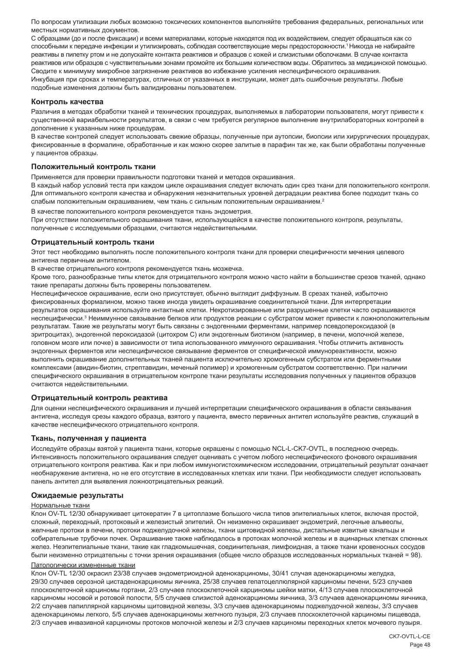По вопросам утилизации любых возможно токсических компонентов выполняйте требования федеральных, региональных или местных нормативных документов.

С образцами (до и после фиксации) и всеми материалами, которые находятся под их воздействием, следует обращаться как со способными к передаче инфекции и утилизировать, соблюдая соответствующие меры предосторожности.<sup>1</sup>Никогда не набирайте реактивы в пипетку ртом и не допускайте контакта реактивов и образцов с кожей и слизистыми оболочками. В случае контакта реактивов или образцов с чувствительными зонами промойте их большим количеством воды. Обратитесь за медицинской помощью. Сводите к минимуму микробное загрязнение реактивов во избежание усиления неспецифического окрашивания. Инкубация при сроках и температурах, отличных от указанных в инструкции, может дать ошибочные результаты. Любые подобные изменения должны быть валидированы пользователем.

#### **Контроль качества**

Различия в методах обработки тканей и технических процедурах, выполняемых в лаборатории пользователя, могут привести к существенной вариабельности результатов, в связи с чем требуется регулярное выполнение внутрилабораторных контролей в дополнение к указанным ниже процедурам.

В качестве контролей следует использовать свежие образцы, полученные при аутопсии, биопсии или хирургических процедурах, фиксированные в формалине, обработанные и как можно скорее залитые в парафин так же, как были обработаны полученные у пациентов образцы.

#### **Положительный контроль ткани**

Применяется для проверки правильности подготовки тканей и методов окрашивания.

В каждый набор условий теста при каждом цикле окрашивания следует включать один срез ткани для положительного контроля. Для оптимального контроля качества и обнаружения незначительных уровней деградации реактива более подходит ткань со слабым положительным окрашиванием, чем ткань с сильным положительным окрашиванием.<sup>2</sup>

В качестве положительного контроля рекомендуется ткань эндометрия.

При отсутствии положительного окрашивания ткани, использующейся в качестве положительного контроля, результаты, полученные с исследуемыми образцами, считаются недействительными.

#### **Отрицательный контроль ткани**

Этот тест необходимо выполнять после положительного контроля ткани для проверки специфичности мечения целевого антигена первичным антителом.

В качестве отрицательного контроля рекомендуется ткань мозжечка.

Кроме того, разнообразные типы клеток для отрицательного контроля можно часто найти в большинстве срезов тканей, однако такие препараты должны быть проверены пользователем.

Неспецифическое окрашивание, если оно присутствует, обычно выглядит диффузным. В срезах тканей, избыточно фиксированных формалином, можно также иногда увидеть окрашивание соединительной ткани. Для интерпретации результатов окрашивания используйте интактные клетки. Некротизированные или разрушенные клетки часто окрашиваются неспецифически.<sup>з</sup> Неиммунное связывание белков или продуктов реакции с субстратом может привести к ложноположительным результатам. Такие же результаты могут быть связаны с эндогенными ферментами, например псевдопероксидазой (в эритроцитах), эндогенной пероксидазой (цитохром C) или эндогенным биотином (например, в печени, молочной железе, головном мозге или почке) в зависимости от типа использованного иммунного окрашивания. Чтобы отличить активность эндогенных ферментов или неспецифическое связывание ферментов от специфической иммунореактивности, можно выполнить окрашивание дополнительных тканей пациента исключительно хромогенным субстратом или ферментными комплексами (авидин-биотин, стрептавидин, меченый полимер) и хромогенным субстратом соответственно. При наличии специфического окрашивания в отрицательном контроле ткани результаты исследования полученных у пациентов образцов считаются недействительными.

## **Отрицательный контроль реактива**

Для оценки неспецифического окрашивания и лучшей интерпретации специфического окрашивания в области связывания антигена, исследуя срезы каждого образца, взятого у пациента, вместо первичных антител используйте реактив, служащий в качестве неспецифического отрицательного контроля.

### **Ткань, полученная у пациента**

Исследуйте образцы взятой у пациента ткани, которые окрашены с помощью NCL-L-CK7-OVTL, в последнюю очередь. Интенсивность положительного окрашивания следует оценивать с учетом любого неспецифического фонового окрашивания отрицательного контроля реактива. Как и при любом иммуногистохимическом исследовании, отрицательный результат означает необнаружение антигена, но не его отсутствие в исследованных клетках или ткани. При необходимости следует использовать панель антител для выявления ложноотрицательных реакций.

#### **Ожидаемые результаты**

#### Нормальные ткани

Клон OV-TL 12/30 обнаруживает цитокератин 7 в цитоплазме большого числа типов эпителиальных клеток, включая простой, сложный, переходный, протоковый и железистый эпителий. Он неизменно окрашивает эндометрий, легочные альвеолы, желчные протоки в печени, протоки поджелудочной железы, ткани щитовидной железы, дистальные извитые канальцы и собирательные трубочки почек. Окрашивание также наблюдалось в протоках молочной железы и в ацинарных клетках слюнных желез. Неэпителиальные ткани, такие как гладкомышечная, соединительная, лимфоидная, а также ткани кровеносных сосудов были неизменно отрицательны с точки зрения окрашивания (общее число образцов исследованных нормальных тканей = 98).

## Патологически измененные ткани

Клон OV-TL 12/30 окрасил 23/38 случаев эндометриоидной аденокарциномы, 30/41 случая аденокарциномы желудка, 29/30 случаев серозной цистаденокарциномы яичника, 25/38 случаев гепатоцеллюлярной карциномы печени, 5/23 случаев плоскоклеточной карциномы гортани, 2/3 случаев плоскоклеточной карциномы шейки матки, 4/13 случаев плоскоклеточной карциномы носовой и ротовой полости, 5/5 случаев слизистой аденокарциномы яичника, 3/3 случаев аденокарциномы яичника, 2/2 случаев папиллярной карциномы щитовидной железы, 3/3 случаев аденокарциномы поджелудочной железы, 3/3 случаев аденокарциномы легкого, 5/5 случаев аденокарциномы желчного пузыря, 2/3 случаев плоскоклеточной карциномы пищевода, 2/3 случаев инвазивной карциномы протоков молочной железы и 2/3 случаев карциномы переходных клеток мочевого пузыря.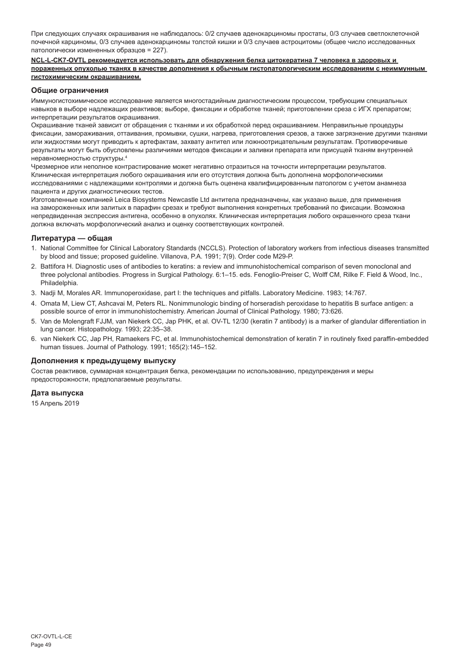При следующих случаях окрашивания не наблюдалось: 0/2 случаев аденокарциномы простаты, 0/3 случаев светлоклеточной почечной карциномы, 0/3 случаев аденокарциномы толстой кишки и 0/3 случаев астроцитомы (общее число исследованных патологически измененных образцов = 227).

#### **NCL-L-CK7-OVTL рекомендуется использовать для обнаружения белка цитокератина 7 человека в здоровых и пораженных опухолью тканях в качестве дополнения к обычным гистопатологическим исследованиям с неиммунным гистохимическим окрашиванием.**

## **Общие ограничения**

Иммуногистохимическое исследование является многостадийным диагностическим процессом, требующим специальных навыков в выборе надлежащих реактивов; выборе, фиксации и обработке тканей; приготовлении среза с ИГХ препаратом; интерпретации результатов окрашивания.

Окрашивание тканей зависит от обращения с тканями и их обработкой перед окрашиванием. Неправильные процедуры фиксации, замораживания, оттаивания, промывки, сушки, нагрева, приготовления срезов, а также загрязнение другими тканями или жидкостями могут приводить к артефактам, захвату антител или ложноотрицательным результатам. Противоречивые результаты могут быть обусловлены различиями методов фиксации и заливки препарата или присущей тканям внутренней неравномерностью структуры.4

Чрезмерное или неполное контрастирование может негативно отразиться на точности интерпретации результатов. Клиническая интерпретация любого окрашивания или его отсутствия должна быть дополнена морфологическими исследованиями с надлежащими контролями и должна быть оценена квалифицированным патологом с учетом анамнеза пациента и других диагностических тестов.

Изготовленные компанией Leica Biosystems Newcastle Ltd антитела предназначены, как указано выше, для применения на замороженных или залитых в парафин срезах и требуют выполнения конкретных требований по фиксации. Возможна непредвиденная экспрессия антигена, особенно в опухолях. Клиническая интерпретация любого окрашенного среза ткани должна включать морфологический анализ и оценку соответствующих контролей.

## **Литература — общая**

- 1. National Committee for Clinical Laboratory Standards (NCCLS). Protection of laboratory workers from infectious diseases transmitted by blood and tissue; proposed guideline. Villanova, P.A. 1991; 7(9). Order code M29-P.
- 2. Battifora H. Diagnostic uses of antibodies to keratins: a review and immunohistochemical comparison of seven monoclonal and three polyclonal antibodies. Progress in Surgical Pathology. 6:1–15. eds. Fenoglio-Preiser C, Wolff CM, Rilke F. Field & Wood, Inc., Philadelphia.
- 3. Nadji M, Morales AR. Immunoperoxidase, part I: the techniques and pitfalls. Laboratory Medicine. 1983; 14:767.
- 4. Omata M, Liew CT, Ashcavai M, Peters RL. Nonimmunologic binding of horseradish peroxidase to hepatitis B surface antigen: a possible source of error in immunohistochemistry. American Journal of Clinical Pathology. 1980; 73:626.
- 5. Van de Molengraft FJJM, van Niekerk CC, Jap PHK, et al. OV-TL 12/30 (keratin 7 antibody) is a marker of glandular differentiation in lung cancer. Histopathology. 1993; 22:35–38.
- 6. van Niekerk CC, Jap PH, Ramaekers FC, et al. Immunohistochemical demonstration of keratin 7 in routinely fixed paraffin-embedded human tissues. Journal of Pathology. 1991; 165(2):145–152.

## **Дополнения к предыдущему выпуску**

Состав реактивов, суммарная концентрация белка, рекомендации по использованию, предупреждения и меры предосторожности, предполагаемые результаты.

## **Дата выпуска**

15 Апрель 2019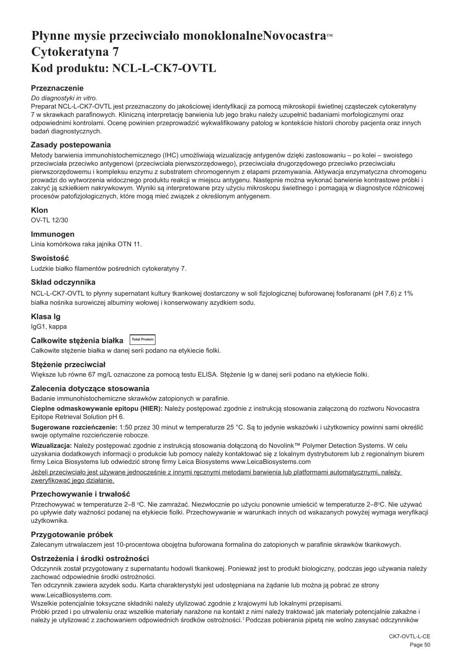## <span id="page-50-0"></span>**Płynne mysie przeciwciało monoklonalneNovocastram Cytokeratyna 7 Kod produktu: NCL-L-CK7-OVTL**

## **Przeznaczenie**

#### *Do diagnostyki in vitro.*

Preparat NCL-L-CK7-OVTL jest przeznaczony do jakościowej identyfikacji za pomocą mikroskopii świetlnej cząsteczek cytokeratyny 7 w skrawkach parafinowych. Kliniczną interpretację barwienia lub jego braku należy uzupełnić badaniami morfologicznymi oraz odpowiednimi kontrolami. Ocenę powinien przeprowadzić wykwalifikowany patolog w kontekście historii choroby pacjenta oraz innych badań diagnostycznych.

## **Zasady postepowania**

Metody barwienia immunohistochemicznego (IHC) umożliwiają wizualizację antygenów dzięki zastosowaniu – po kolei – swoistego przeciwciała przeciwko antygenowi (przeciwciała pierwszorzędowego), przeciwciała drugorzędowego przeciwko przeciwciału pierwszorzędowemu i kompleksu enzymu z substratem chromogennym z etapami przemywania. Aktywacja enzymatyczna chromogenu prowadzi do wytworzenia widocznego produktu reakcji w miejscu antygenu. Następnie można wykonać barwienie kontrastowe próbki i zakryć ją szkiełkiem nakrywkowym. Wyniki są interpretowane przy użyciu mikroskopu świetlnego i pomagają w diagnostyce różnicowej procesów patofizjologicznych, które mogą mieć związek z określonym antygenem.

## **Klon**

OV-TL 12/30

### **Immunogen**

Linia komórkowa raka jajnika OTN 11.

### **Swoistość**

Ludzkie białko filamentów pośrednich cytokeratyny 7.

## **Skład odczynnika**

NCL-L-CK7-OVTL to płynny supernatant kultury tkankowej dostarczony w soli fizjologicznej buforowanej fosforanami (pH 7,6) z 1% białka nośnika surowiczej albuminy wołowej i konserwowany azydkiem sodu.

### **Klasa Ig**

IgG1, kappa

## **Całkowite stężenia białka Total Protein**

Całkowite stężenie białka w danej serii podano na etykiecie fiolki.

### **Stężenie przeciwciał**

Większe lub równe 67 mg/L oznaczone za pomocą testu ELISA. Stężenie Ig w danej serii podano na etykiecie fiolki.

### **Zalecenia dotyczące stosowania**

Badanie immunohistochemiczne skrawków zatopionych w parafinie.

**Cieplne odmaskowywanie epitopu (HIER):** Należy postępować zgodnie z instrukcją stosowania załączoną do roztworu Novocastra Epitope Retrieval Solution pH 6.

**Sugerowane rozcieńczenie:** 1:50 przez 30 minut w temperaturze 25 °C. Są to jedynie wskazówki i użytkownicy powinni sami określić swoje optymalne rozcieńczenie robocze.

**Wizualizacja:** Należy postępować zgodnie z instrukcją stosowania dołączoną do Novolink™ Polymer Detection Systems. W celu uzyskania dodatkowych informacji o produkcie lub pomocy należy kontaktować się z lokalnym dystrybutorem lub z regionalnym biurem firmy Leica Biosystems lub odwiedzić stronę firmy Leica Biosystems www.LeicaBiosystems.com

Jeżeli przeciwciało jest używane jednocześnie z innymi ręcznymi metodami barwienia lub platformami automatycznymi, należy zweryfikować jego działanie.

### **Przechowywanie i trwałość**

Przechowywać w temperaturze 2–8 °C. Nie zamrażać. Niezwłocznie po użyciu ponownie umieścić w temperaturze 2–8°C. Nie używać po upływie daty ważności podanej na etykiecie fiolki. Przechowywanie w warunkach innych od wskazanych powyżej wymaga weryfikacji użytkownika.

## **Przygotowanie próbek**

Zalecanym utrwalaczem jest 10-procentowa obojetna buforowana formalina do zatopionych w parafinie skrawków tkankowych.

### **Ostrzeżenia i środki ostrożności**

Odczynnik został przygotowany z supernatantu hodowli tkankowej. Ponieważ jest to produkt biologiczny, podczas jego używania należy zachować odpowiednie środki ostrożności.

Ten odczynnik zawiera azydek sodu. Karta charakterystyki jest udostępniana na żądanie lub można ją pobrać ze strony

#### www.LeicaBiosystems.com.

Wszelkie potencjalnie toksyczne składniki należy utylizować zgodnie z krajowymi lub lokalnymi przepisami. Próbki przed i po utrwaleniu oraz wszelkie materiały narażone na kontakt z nimi należy traktować jak materiały potencjalnie zakaźne i należy je utylizować z zachowaniem odpowiednich środków ostrożności.<sup>1</sup>Podczas pobierania pipetą nie wolno zasysać odczynników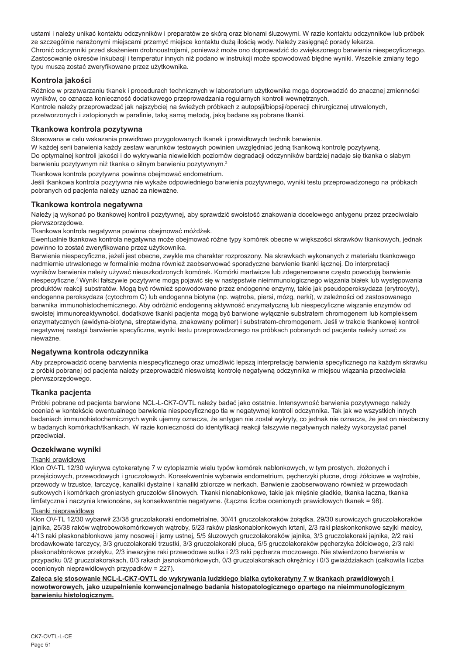ustami i należy unikać kontaktu odczynników i preparatów ze skórą oraz błonami śluzowymi. W razie kontaktu odczynników lub próbek ze szczególnie narażonymi miejscami przemyć miejsce kontaktu dużą ilością wody. Należy zasięgnąć porady lekarza. Chronić odczynniki przed skażeniem drobnoustrojami, ponieważ może ono doprowadzić do zwiększonego barwienia niespecyficznego. Zastosowanie okresów inkubacji i temperatur innych niż podano w instrukcji może spowodować błędne wyniki. Wszelkie zmiany tego typu muszą zostać zweryfikowane przez użytkownika.

## **Kontrola jakości**

Różnice w przetwarzaniu tkanek i procedurach technicznych w laboratorium użytkownika mogą doprowadzić do znacznej zmienności wyników, co oznacza konieczność dodatkowego przeprowadzania regularnych kontroli wewnętrznych. Kontrole należy przeprowadzać jak najszybciej na świeżych próbkach z autopsji/biopsji/operacji chirurgicznej utrwalonych, przetworzonych i zatopionych w parafinie, taką samą metodą, jaką badane są pobrane tkanki.

## **Tkankowa kontrola pozytywna**

Stosowana w celu wskazania prawidłowo przygotowanych tkanek i prawidłowych technik barwienia.

W każdej serii barwienia każdy zestaw warunków testowych powinien uwzględniać jedną tkankową kontrolę pozytywną. Do optymalnej kontroli jakości i do wykrywania niewielkich poziomów degradacji odczynników bardziej nadaje się tkanka o słabym barwieniu pozytywnym niż tkanka o silnym barwieniu pozytywnym.<sup>2</sup>

Tkankowa kontrola pozytywna powinna obejmować endometrium.

Jeśli tkankowa kontrola pozytywna nie wykaże odpowiedniego barwienia pozytywnego, wyniki testu przeprowadzonego na próbkach pobranych od pacjenta należy uznać za nieważne.

## **Tkankowa kontrola negatywna**

Należy ja wykonać po tkankowej kontroli pozytywnej, aby sprawdzić swoistość znakowania docelowego antygenu przez przeciwciało pierwszorzędowe.

Tkankowa kontrola negatywna powinna obejmować móżdżek.

Ewentualnie tkankowa kontrola negatywna może obejmować różne typy komórek obecne w większości skrawków tkankowych, jednak powinno to zostać zweryfikowane przez użytkownika.

Barwienie niespecyficzne, jeżeli jest obecne, zwykle ma charakter rozproszony. Na skrawkach wykonanych z materiału tkankowego nadmiernie utrwalonego w formalinie można również zaobserwować sporadyczne barwienie tkanki łącznej. Do interpretacji wyników barwienia należy używać nieuszkodzonych komórek. Komórki martwicze lub zdegenerowane często powodują barwienie niespecyficzne.<sup>3</sup>Wyniki fałszywie pozytywne mogą pojawić się w następstwie nieimmunologicznego wiązania białek lub występowania produktów reakcji substratów. Mogą być również spowodowane przez endogenne enzymy, takie jak pseudoperoksydaza (erytrocyty), endogenna peroksydaza (cytochrom C) lub endogenna biotyna (np. wątroba, piersi, mózg, nerki), w zależności od zastosowanego barwnika immunohistochemicznego. Aby odróżnić endogenną aktywność enzymatyczną lub niespecyficzne wiązanie enzymów od swoistej immunoreaktywności, dodatkowe tkanki pacjenta mogą być barwione wyłącznie substratem chromogenem lub kompleksem enzymatycznych (awidyna-biotyna, streptawidyna, znakowany polimer) i substratem-chromogenem. Jeśli w trakcie tkankowej kontroli negatywnej nastąpi barwienie specyficzne, wyniki testu przeprowadzonego na próbkach pobranych od pacjenta należy uznać za nieważne.

## **Negatywna kontrola odczynnika**

Aby przeprowadzić ocenę barwienia niespecyficznego oraz umożliwić lepszą interpretację barwienia specyficznego na każdym skrawku z próbki pobranej od pacjenta należy przeprowadzić nieswoistą kontrolę negatywną odczynnika w miejscu wiązania przeciwciała pierwszorzędowego.

### **Tkanka pacjenta**

Próbki pobrane od pacjenta barwione NCL-L-CK7-OVTL należy badać jako ostatnie. Intensywność barwienia pozytywnego należy oceniać w kontekście ewentualnego barwienia niespecyficznego tła w negatywnej kontroli odczynnika. Tak jak we wszystkich innych badaniach immunohistochemicznych wynik ujemny oznacza, że antygen nie został wykryty, co jednak nie oznacza, że jest on nieobecny w badanych komórkach/tkankach. W razie konieczności do identyfikacji reakcji fałszywie negatywnych należy wykorzystać panel przeciwciał.

## **Oczekiwane wyniki**

### Tkanki prawidłowe

Klon OV-TL 12/30 wykrywa cytokeratynę 7 w cytoplazmie wielu typów komórek nabłonkowych, w tym prostych, złożonych i przejściowych, przewodowych i gruczołowych. Konsekwentnie wybarwia endometrium, pęcherzyki płucne, drogi żółciowe w wątrobie, przewody w trzustce, tarczycę, kanaliki dystalne i kanaliki zbiorcze w nerkach. Barwienie zaobserwowano również w przewodach sutkowych i komórkach groniastych gruczołów ślinowych. Tkanki nienabłonkowe, takie jak mięśnie gładkie, tkanka łączna, tkanka limfatyczna i naczynia krwionośne, są konsekwentnie negatywne. (Łączna liczba ocenionych prawidłowych tkanek = 98).

## Tkanki nieprawidłowe

Klon OV-TL 12/30 wybarwił 23/38 gruczolakoraki endometrialne, 30/41 gruczolakoraków żołądka, 29/30 surowiczych gruczolakoraków jajnika, 25/38 raków wątrobowokomórkowych wątroby, 5/23 raków płaskonabłonkowych krtani, 2/3 raki płaskonkonkowe szyjki macicy, 4/13 raki płaskonabłonkowe jamy nosowej i jamy ustnej, 5/5 śluzowych gruczolakoraków jajnika, 3/3 gruczolakoraki jajnika, 2/2 raki brodawkowate tarczycy, 3/3 gruczolakoraki trzustki, 3/3 gruczolakoraki płuca, 5/5 gruczolakoraków pęcherzyka żółciowego, 2/3 raki płaskonabłonkowe przełyku, 2/3 inwazyjne raki przewodowe sutka i 2/3 raki pęcherza moczowego. Nie stwierdzono barwienia w przypadku 0/2 gruczolakorakach, 0/3 rakach jasnokomórkowych, 0/3 gruczolakorakach okrężnicy i 0/3 gwiaździakach (całkowita liczba ocenionych nieprawidłowych przypadków = 227).

**Zaleca się stosowanie NCL-L-CK7-OVTL do wykrywania ludzkiego białka cytokeratyny 7 w tkankach prawidłowych i nowotworowych, jako uzupełnienie konwencjonalnego badania histopatologicznego opartego na nieimmunologicznym barwieniu histologicznym.**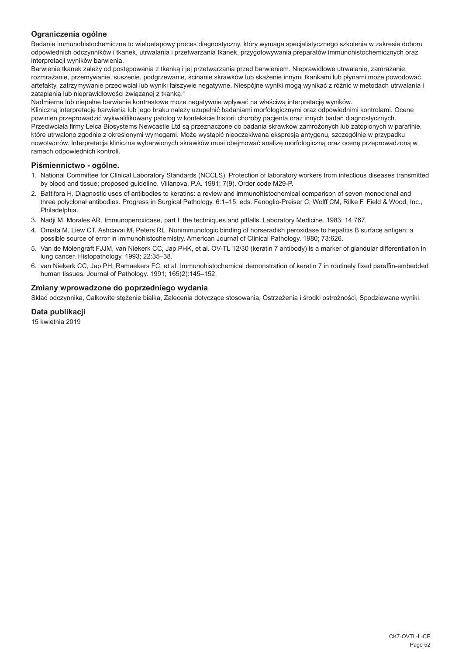## **Ograniczenia ogólne**

Badanie immunohistochemiczne to wieloetapowy proces diagnostyczny, który wymaga specjalistycznego szkolenia w zakresie doboru odpowiednich odczynników i tkanek, utrwalania i przetwarzania tkanek, przygotowywania preparatów immunohistochemicznych oraz interpretacji wyników barwienia.

Barwienie tkanek zależy od postępowania z tkanką i jej przetwarzania przed barwieniem. Nieprawidłowe utrwalanie, zamrażanie, rozmrażanie, przemywanie, suszenie, podgrzewanie, ścinanie skrawków lub skażenie innymi tkankami lub płynami może powodować artefakty, zatrzymywanie przeciwciał lub wyniki fałszywie negatywne. Niespójne wyniki mogą wynikać z różnic w metodach utrwalania i zatapiania lub nieprawidłowości związanej z tkanką.4

Nadmierne lub niepełne barwienie kontrastowe może negatywnie wpływać na właściwą interpretację wyników.

Kliniczną interpretację barwienia lub jego braku należy uzupełnić badaniami morfologicznymi oraz odpowiednimi kontrolami. Ocenę powinien przeprowadzić wykwalifikowany patolog w kontekście historii choroby pacjenta oraz innych badań diagnostycznych. Przeciwciała firmy Leica Biosystems Newcastle Ltd są przeznaczone do badania skrawków zamrożonych lub zatopionych w parafinie, które utrwalono zgodnie z określonymi wymogami. Może wystąpić nieoczekiwana ekspresja antygenu, szczególnie w przypadku nowotworów. Interpretacja kliniczna wybarwionych skrawków musi obejmować analizę morfologiczną oraz ocenę przeprowadzoną w ramach odpowiednich kontroli.

## **Piśmiennictwo - ogólne.**

- 1. National Committee for Clinical Laboratory Standards (NCCLS). Protection of laboratory workers from infectious diseases transmitted by blood and tissue; proposed guideline. Villanova, P.A. 1991; 7(9). Order code M29-P.
- 2. Battifora H. Diagnostic uses of antibodies to keratins: a review and immunohistochemical comparison of seven monoclonal and three polyclonal antibodies. Progress in Surgical Pathology. 6:1–15. eds. Fenoglio-Preiser C, Wolff CM, Rilke F. Field & Wood, Inc., Philadelphia.
- 3. Nadji M, Morales AR. Immunoperoxidase, part I: the techniques and pitfalls. Laboratory Medicine. 1983; 14:767.
- 4. Omata M, Liew CT, Ashcavai M, Peters RL. Nonimmunologic binding of horseradish peroxidase to hepatitis B surface antigen: a possible source of error in immunohistochemistry. American Journal of Clinical Pathology. 1980; 73:626.
- 5. Van de Molengraft FJJM, van Niekerk CC, Jap PHK, et al. OV-TL 12/30 (keratin 7 antibody) is a marker of glandular differentiation in lung cancer. Histopathology. 1993; 22:35–38.
- 6. van Niekerk CC, Jap PH, Ramaekers FC, et al. Immunohistochemical demonstration of keratin 7 in routinely fixed paraffin-embedded human tissues. Journal of Pathology. 1991; 165(2):145–152.

## **Zmiany wprowadzone do poprzedniego wydania**

Skład odczynnika, Całkowite stężenie białka, Zalecenia dotyczące stosowania, Ostrzeżenia i środki ostrożności, Spodziewane wyniki.

## **Data publikacji**

15 kwietnia 2019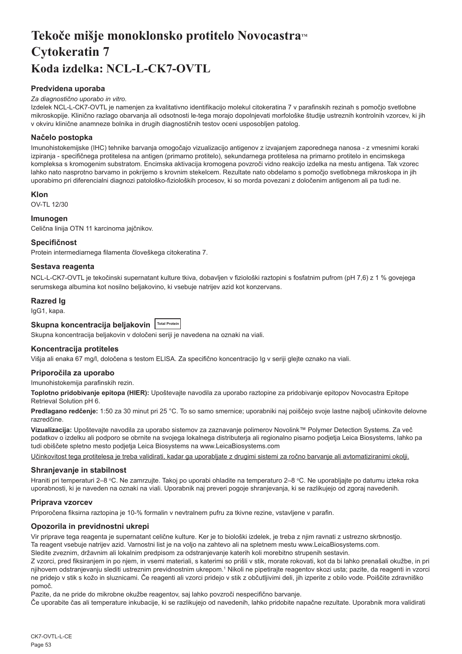## <span id="page-53-0"></span>Tekoče mišje monoklonsko protitelo Novocastra™ **Cytokeratin 7 Koda izdelka: NCL-L-CK7-OVTL**

## **Predvidena uporaba**

## *Za diagnostično uporabo in vitro.*

Izdelek NCL-L-CK7-OVTL je namenjen za kvalitativno identifikacijo molekul citokeratina 7 v parafinskih rezinah s pomočjo svetlobne mikroskopije. Klinično razlago obarvanja ali odsotnosti le-tega morajo dopolnjevati morfološke študije ustreznih kontrolnih vzorcev, ki jih v okviru klinične anamneze bolnika in drugih diagnostičnih testov oceni usposobljen patolog.

## **Načelo postopka**

Imunohistokemijske (IHC) tehnike barvanja omogočajo vizualizacijo antigenov z izvajanjem zaporednega nanosa - z vmesnimi koraki izpiranja - specifičnega protitelesa na antigen (primarno protitelo), sekundarnega protitelesa na primarno protitelo in encimskega kompleksa s kromogenim substratom. Encimska aktivacija kromogena povzroči vidno reakcijo izdelka na mestu antigena. Tak vzorec lahko nato nasprotno barvamo in pokrijemo s krovnim stekelcem. Rezultate nato obdelamo s pomočjo svetlobnega mikroskopa in jih uporabimo pri diferencialni diagnozi patološko-fizioloških procesov, ki so morda povezani z določenim antigenom ali pa tudi ne.

### **Klon**

OV-TL 12/30

## **Imunogen**

**Specifičnost**

Celična linija OTN 11 karcinoma jajčnikov.

## Protein intermediarnega filamenta človeškega citokeratina 7. **Sestava reagenta**

NCL-L-CK7-OVTL je tekočinski supernatant kulture tkiva, dobavljen v fiziološki raztopini s fosfatnim pufrom (pH 7,6) z 1 % govejega serumskega albumina kot nosilno beljakovino, ki vsebuje natrijev azid kot konzervans.

**Razred Ig**

IgG1, kapa.

## **Skupna koncentracija beljakovin Total Protein**

Skupna koncentracija beljakovin v določeni seriji je navedena na oznaki na viali.

### **Koncentracija protiteles**

Višja ali enaka 67 mg/l, določena s testom ELISA. Za specifično koncentracijo Ig v seriji glejte oznako na viali.

### **Priporočila za uporabo**

Imunohistokemija parafinskih rezin.

**Toplotno pridobivanje epitopa (HIER):** Upoštevajte navodila za uporabo raztopine za pridobivanje epitopov Novocastra Epitope Retrieval Solution pH 6.

**Predlagano redčenje:** 1:50 za 30 minut pri 25 °C. To so samo smernice; uporabniki naj poiščejo svoje lastne najbolj učinkovite delovne razredčine.

**Vizualizacija:** Upoštevajte navodila za uporabo sistemov za zaznavanje polimerov Novolink™ Polymer Detection Systems. Za več podatkov o izdelku ali podporo se obrnite na svojega lokalnega distributerja ali regionalno pisarno podjetja Leica Biosystems, lahko pa tudi obiščete spletno mesto podjetja Leica Biosystems na www.LeicaBiosystems.com

Učinkovitost tega protitelesa je treba validirati, kadar ga uporabljate z drugimi sistemi za ročno barvanje ali avtomatiziranimi okolji.

### **Shranjevanje in stabilnost**

Hraniti pri temperaturi 2–8 °C. Ne zamrzujte. Takoj po uporabi ohladite na temperaturo 2–8 °C. Ne uporabljajte po datumu izteka roka uporabnosti, ki je naveden na oznaki na viali. Uporabnik naj preveri pogoje shranjevanja, ki se razlikujejo od zgoraj navedenih.

## **Priprava vzorcev**

Priporočena fiksirna raztopina je 10-% formalin v nevtralnem pufru za tkivne rezine, vstavljene v parafin.

## **Opozorila in previdnostni ukrepi**

Vir priprave tega reagenta je supernatant celične kulture. Ker je to biološki izdelek, je treba z njim ravnati z ustrezno skrbnostjo. Ta reagent vsebuje natrijev azid. Varnostni list je na voljo na zahtevo ali na spletnem mestu www.LeicaBiosystems.com.

Sledite zveznim, državnim ali lokalnim predpisom za odstranjevanje katerih koli morebitno strupenih sestavin.

Z vzorci, pred fiksiranjem in po njem, in vsemi materiali, s katerimi so prišli v stik, morate rokovati, kot da bi lahko prenašali okužbe, in pri njihovem odstranjevanju slediti ustreznim previdnostnim ukrepom.<sup>1</sup> Nikoli ne pipetirajte reagentov skozi usta; pazite, da reagenti in vzorci ne pridejo v stik s kožo in sluznicami. Če reagenti ali vzorci pridejo v stik z občutljivimi deli, jih izperite z obilo vode. Poiščite zdravniško pomoč.

Pazite, da ne pride do mikrobne okužbe reagentov, saj lahko povzroči nespecifično barvanje.

Če uporabite čas ali temperature inkubacije, ki se razlikujejo od navedenih, lahko pridobite napačne rezultate. Uporabnik mora validirati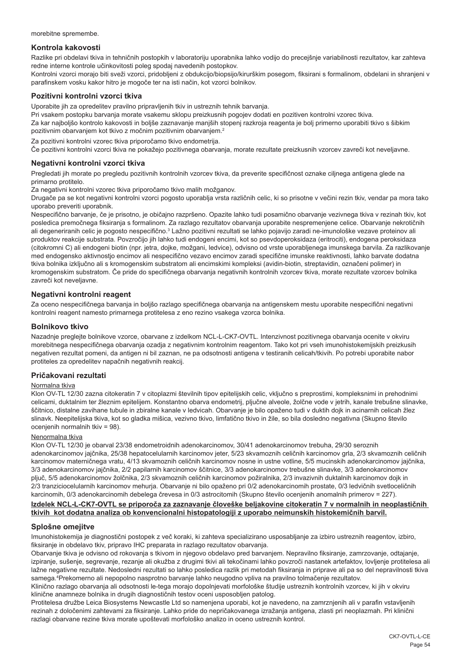morebitne spremembe.

## **Kontrola kakovosti**

Razlike pri obdelavi tkiva in tehničnih postopkih v laboratoriju uporabnika lahko vodijo do precejšnje variabilnosti rezultatov, kar zahteva redne interne kontrole učinkovitosti poleg spodaj navedenih postopkov.

Kontrolni vzorci morajo biti sveži vzorci, pridobljeni z obdukcijo/biopsijo/kirurškim posegom, fiksirani s formalinom, obdelani in shranjeni v parafinskem vosku kakor hitro je mogoče ter na isti način, kot vzorci bolnikov.

## **Pozitivni kontrolni vzorci tkiva**

Uporabite jih za opredelitev pravilno pripravljenih tkiv in ustreznih tehnik barvanja.

Pri vsakem postopku barvanja morate vsakemu sklopu preizkusnih pogojev dodati en pozitiven kontrolni vzorec tkiva. Za kar najboljšo kontrolo kakovosti in boljše zaznavanje manjših stopenj razkroja reagenta je bolj primerno uporabiti tkivo s šibkim pozitivnim obarvanjem kot tkivo z močnim pozitivnim obarvanjem.<sup>2</sup>

Za pozitivni kontrolni vzorec tkiva priporočamo tkivo endometrija.

Če pozitivni kontrolni vzorci tkiva ne pokažejo pozitivnega obarvanja, morate rezultate preizkusnih vzorcev zavreči kot neveljavne.

## **Negativni kontrolni vzorci tkiva**

Pregledati jih morate po pregledu pozitivnih kontrolnih vzorcev tkiva, da preverite specifičnost oznake ciljnega antigena glede na primarno protitelo.

Za negativni kontrolni vzorec tkiva priporočamo tkivo malih možganov.

Drugače pa se kot negativni kontrolni vzorci pogosto uporablja vrsta različnih celic, ki so prisotne v večini rezin tkiv, vendar pa mora tako uporabo preveriti uporabnik.

Nespecifično barvanje, če je prisotno, je običajno razpršeno. Opazite lahko tudi posamično obarvanje vezivnega tkiva v rezinah tkiv, kot posledica premočnega fiksiranja s formalinom. Za razlago rezultatov obarvanja uporabite nespremenjene celice. Obarvanje nekrotičnih ali degeneriranih celic je pogosto nespecifično.<sup>3</sup> Lažno pozitivni rezultati se lahko pojavijo zaradi ne-imunološke vezave proteinov ali produktov reakcije substrata. Povzročijo jih lahko tudi endogeni encimi, kot so psevdoperoksidaza (eritrociti), endogena peroksidaza (citokromni C) ali endogeni biotin (npr. jetra, dojke, možgani, ledvice), odvisno od vrste uporabljenega imunskega barvila. Za razlikovanje med endogensko aktivnostjo encimov ali nespecifično vezavo encimov zaradi specifične imunske reaktivnosti, lahko barvate dodatna tkiva bolnika izključno ali s kromogenskim substratom ali encimskimi kompleksi (avidin-biotin, streptavidin, označeni polimer) in kromogenskim substratom. Če pride do specifičnega obarvanja negativnih kontrolnih vzorcev tkiva, morate rezultate vzorcev bolnika zavreči kot neveljavne.

## **Negativni kontrolni reagent**

Za oceno nespecifičnega barvanja in boljšo razlago specifičnega obarvanja na antigenskem mestu uporabite nespecifični negativni kontrolni reagent namesto primarnega protitelesa z eno rezino vsakega vzorca bolnika.

## **Bolnikovo tkivo**

Nazadnje preglejte bolnikove vzorce, obarvane z izdelkom NCL-L-CK7-OVTL. Intenzivnost pozitivnega obarvanja ocenite v okviru morebitnega nespecifičnega obarvanja ozadja z negativnim kontrolnim reagentom. Tako kot pri vseh imunohistokemijskih preizkusih negativen rezultat pomeni, da antigen ni bil zaznan, ne pa odsotnosti antigena v testiranih celicah/tkivih. Po potrebi uporabite nabor protiteles za opredelitev napačnih negativnih reakcij.

## **Pričakovani rezultati**

### Normalna tkiva

Klon OV-TL 12/30 zazna citokeratin 7 v citoplazmi številnih tipov epitelijskih celic, vključno s preprostimi, kompleksnimi in prehodnimi celicami, duktalnim ter žleznim epitelijem. Konstantno obarva endometrij, pljučne alveole, žolčne vode v jetrih, kanale trebušne slinavke, ščitnico, distalne zavihane tubule in zbiralne kanale v ledvicah. Obarvanje je bilo opaženo tudi v duktih dojk in acinarnih celicah žlez slinavk. Neepitelijska tkiva, kot so gladka mišica, vezivno tkivo, limfatično tkivo in žile, so bila dosledno negativna (Skupno število ocenjenih normalnih tkiv = 98).

## Nenormalna tkiva

Klon OV-TL 12/30 je obarval 23/38 endometroidnih adenokarcinomov, 30/41 adenokarcinomov trebuha, 29/30 seroznih adenokarcinomov jajčnika, 25/38 hepatocelularnih karcinomov jeter, 5/23 skvamoznih celičnih karcinomov grla, 2/3 skvamoznih celičnih karcinomov materničnega vratu, 4/13 skvamoznih celičnih karcinomov nosne in ustne votline, 5/5 mucinskih adenokarcinomov jajčnika, 3/3 adenokarcinomov jajčnika, 2/2 papilarnih karcinomov ščitnice, 3/3 adenokarcinomov trebušne slinavke, 3/3 adenokarcinomov pljuč, 5/5 adenokarcinomov žolčnika, 2/3 skvamoznih celičnih karcinomov požiralnika, 2/3 invazivnih duktalnih karcinomov dojk in 2/3 tranziciocelularnih karcinomov mehurja. Obarvanje ni bilo opaženo pri 0/2 adenokarcinomih prostate, 0/3 ledvičnih svetloceličnih karcinomih, 0/3 adenokarcinomih debelega črevesa in 0/3 astrocitomih (Skupno število ocenjenih anomalnih primerov = 227).

## **Izdelek NCL-L-CK7-OVTL se priporoča za zaznavanje človeške beljakovine citokeratin 7 v normalnih in neoplastičnih tkivih kot dodatna analiza ob konvencionalni histopatologiji z uporabo neimunskih histokemičnih barvil.**

## **Splošne omejitve**

Imunohistokemija je diagnostični postopek z več koraki, ki zahteva specializirano usposabljanje za izbiro ustreznih reagentov, izbiro, fiksiranje in obdelavo tkiv, pripravo IHC preparata in razlago rezultatov obarvanja.

Obarvanje tkiva je odvisno od rokovanja s tkivom in njegovo obdelavo pred barvanjem. Nepravilno fiksiranje, zamrzovanje, odtajanje, izpiranje, sušenje, segrevanje, rezanje ali okužba z drugimi tkivi ali tekočinami lahko povzroči nastanek artefaktov, lovljenje protitelesa ali lažne negativne rezultate. Nedosledni rezultati so lahko posledica razlik pri metodah fiksiranja in priprave ali pa so del nepravilnosti tkiva samega.4 Prekomerno ali nepopolno nasprotno barvanje lahko neugodno vpliva na pravilno tolmačenje rezultatov.

Klinično razlago obarvanja ali odsotnosti le-tega morajo dopolnjevati morfološke študije ustreznih kontrolnih vzorcev, ki jih v okviru klinične anamneze bolnika in drugih diagnostičnih testov oceni usposobljen patolog.

Protitelesa družbe Leica Biosystems Newcastle Ltd so namenjena uporabi, kot je navedeno, na zamrznjenih ali v parafin vstavljenih rezinah z določenimi zahtevami za fiksiranje. Lahko pride do nepričakovanega izražanja antigena, zlasti pri neoplazmah. Pri klinični razlagi obarvane rezine tkiva morate upoštevati morfološko analizo in oceno ustreznih kontrol.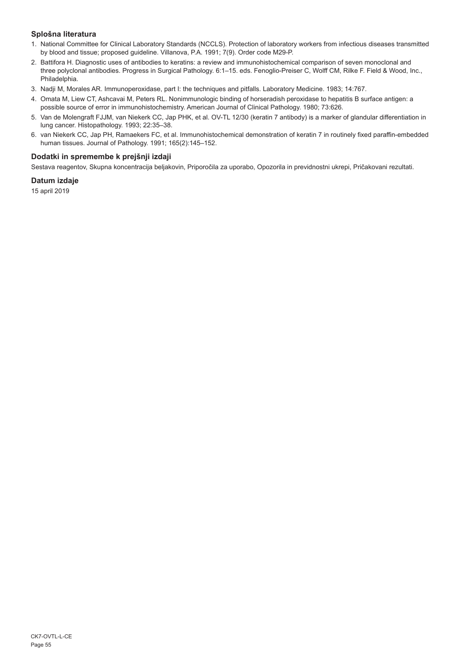## **Splošna literatura**

- 1. National Committee for Clinical Laboratory Standards (NCCLS). Protection of laboratory workers from infectious diseases transmitted by blood and tissue; proposed guideline. Villanova, P.A. 1991; 7(9). Order code M29-P.
- 2. Battifora H. Diagnostic uses of antibodies to keratins: a review and immunohistochemical comparison of seven monoclonal and three polyclonal antibodies. Progress in Surgical Pathology. 6:1–15. eds. Fenoglio-Preiser C, Wolff CM, Rilke F. Field & Wood, Inc., Philadelphia.
- 3. Nadji M, Morales AR. Immunoperoxidase, part I: the techniques and pitfalls. Laboratory Medicine. 1983; 14:767.
- 4. Omata M, Liew CT, Ashcavai M, Peters RL. Nonimmunologic binding of horseradish peroxidase to hepatitis B surface antigen: a possible source of error in immunohistochemistry. American Journal of Clinical Pathology. 1980; 73:626.
- 5. Van de Molengraft FJJM, van Niekerk CC, Jap PHK, et al. OV-TL 12/30 (keratin 7 antibody) is a marker of glandular differentiation in lung cancer. Histopathology. 1993; 22:35–38.
- 6. van Niekerk CC, Jap PH, Ramaekers FC, et al. Immunohistochemical demonstration of keratin 7 in routinely fixed paraffin-embedded human tissues. Journal of Pathology. 1991; 165(2):145–152.

## **Dodatki in spremembe k prejšnji izdaji**

Sestava reagentov, Skupna koncentracija beljakovin, Priporočila za uporabo, Opozorila in previdnostni ukrepi, Pričakovani rezultati.

## **Datum izdaje**

15 april 2019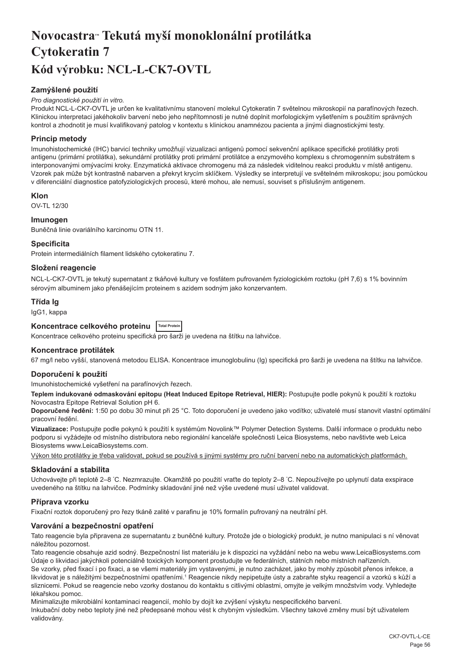## <span id="page-56-0"></span>**Novocastra™ Tekutá myší monoklonální protilátka Cytokeratin 7 Kód výrobku: NCL-L-CK7-OVTL**

## **Zamýšlené použití**

## *Pro diagnostické použití in vitro.*

Produkt NCL-L-CK7-OVTL je určen ke kvalitativnímu stanovení molekul Cytokeratin 7 světelnou mikroskopií na parafínových řezech. Klinickou interpretaci jakéhokoliv barvení nebo jeho nepřítomnosti je nutné doplnit morfologickým vyšetřením s použitím správných kontrol a zhodnotit je musí kvalifikovaný patolog v kontextu s klinickou anamnézou pacienta a jinými diagnostickými testy.

## **Princip metody**

Imunohistochemické (IHC) barvicí techniky umožňují vizualizaci antigenů pomocí sekvenční aplikace specifické protilátky proti antigenu (primární protilátka), sekundární protilátky proti primární protilátce a enzymového komplexu s chromogenním substrátem s interponovanými omývacími kroky. Enzymatická aktivace chromogenu má za následek viditelnou reakci produktu v místě antigenu. Vzorek pak může být kontrastně nabarven a překryt krycím sklíčkem. Výsledky se interpretují ve světelném mikroskopu; jsou pomůckou v diferenciální diagnostice patofyziologických procesů, které mohou, ale nemusí, souviset s příslušným antigenem.

## **Klon**

OV-TL 12/30

## **Imunogen**

Buněčná linie ovariálního karcinomu OTN 11.

## **Specificita**

Protein intermediálních filament lidského cytokeratinu 7.

## **Složení reagencie**

NCL-L-CK7-OVTL je tekutý supernatant z tkáňové kultury ve fosfátem pufrovaném fyziologickém roztoku (pH 7,6) s 1% bovinním sérovým albuminem jako přenášejícím proteinem s azidem sodným jako konzervantem.

## **Třída Ig**

IgG1, kappa

## **Koncentrace celkového proteinu Total Protein**

Koncentrace celkového proteinu specifická pro šarži je uvedena na štítku na lahvičce.

## **Koncentrace protilátek**

67 mg/l nebo vyšší, stanovená metodou ELISA. Koncentrace imunoglobulinu (Ig) specifická pro šarži je uvedena na štítku na lahvičce.

## **Doporučení k použití**

Imunohistochemické vyšetření na parafínových řezech.

**Teplem indukované odmaskování epitopu (Heat Induced Epitope Retrieval, HIER):** Postupujte podle pokynů k použití k roztoku Novocastra Epitope Retrieval Solution pH 6.

**Doporučené ředění:** 1:50 po dobu 30 minut při 25 °C. Toto doporučení je uvedeno jako vodítko; uživatelé musí stanovit vlastní optimální pracovní ředění.

**Vizualizace:** Postupujte podle pokynů k použití k systémům Novolink™ Polymer Detection Systems. Další informace o produktu nebo podporu si vyžádejte od místního distributora nebo regionální kanceláře společnosti Leica Biosystems, nebo navštivte web Leica Biosystems www.LeicaBiosystems.com.

Výkon této protilátky je třeba validovat, pokud se používá s jinými systémy pro ruční barvení nebo na automatických platformách.

## **Skladování a stabilita**

Uchovávejte při teplotě 2–8 °C. Nezmrazujte. Okamžitě po použití vraťte do teploty 2–8 °C. Nepoužívejte po uplynutí data exspirace uvedeného na štítku na lahvičce. Podmínky skladování jiné než výše uvedené musí uživatel validovat.

## **Příprava vzorku**

Fixační roztok doporučený pro řezy tkáně zalité v parafinu je 10% formalín pufrovaný na neutrální pH.

## **Varování a bezpečnostní opatření**

Tato reagencie byla připravena ze supernatantu z buněčné kultury. Protože jde o biologický produkt, je nutno manipulaci s ní věnovat náležitou pozornost.

Tato reagencie obsahuje azid sodný. Bezpečnostní list materiálu je k dispozici na vyžádání nebo na webu www.LeicaBiosystems.com Údaje o likvidaci jakýchkoli potenciálně toxických komponent prostudujte ve federálních, státních nebo místních nařízeních.

Se vzorky, před fixací i po fixaci, a se všemi materiály jim vystavenými, je nutno zacházet, jako by mohly způsobit přenos infekce, a likvidovat je s náležitými bezpečnostními opatřeními.1 Reagencie nikdy nepipetujte ústy a zabraňte styku reagencií a vzorků s kůží a sliznicemi. Pokud se reagencie nebo vzorky dostanou do kontaktu s citlivými oblastmi, omyjte je velkým množstvím vody. Vyhledejte lékařskou pomoc.

Minimalizujte mikrobiální kontaminaci reagencií, mohlo by dojít ke zvýšení výskytu nespecifického barvení.

Inkubační doby nebo teploty jiné než předepsané mohou vést k chybným výsledkům. Všechny takové změny musí být uživatelem validovány.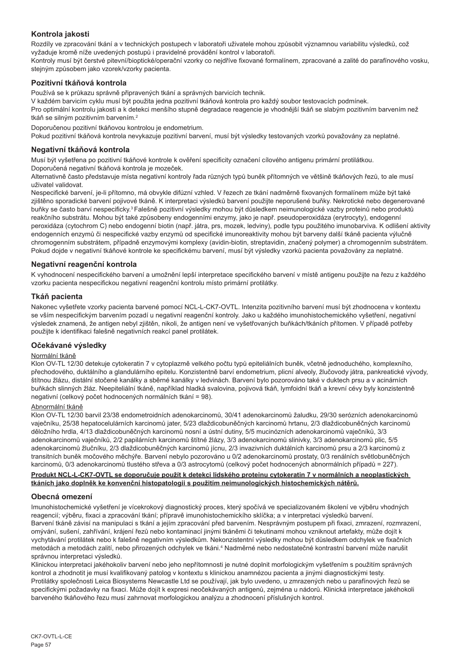## **Kontrola jakosti**

Rozdíly ve zpracování tkání a v technických postupech v laboratoři uživatele mohou způsobit významnou variabilitu výsledků, což vyžaduje kromě níže uvedených postupů i pravidelné provádění kontrol v laboratoři.

Kontroly musí být čerstvé pitevní/bioptické/operační vzorky co nejdříve fixované formalínem, zpracované a zalité do parafínového vosku, stejným způsobem jako vzorek/vzorky pacienta.

## **Pozitivní tkáňová kontrola**

Používá se k průkazu správně připravených tkání a správných barvicích technik.

V každém barvicím cyklu musí být použita jedna pozitivní tkáňová kontrola pro každý soubor testovacích podmínek.

Pro optimální kontrolu jakosti a k detekci menšího stupně degradace reagencie je vhodnější tkáň se slabým pozitivním barvením než tkáň se silným pozitivním barvením.<sup>2</sup>

Doporučenou pozitivní tkáňovou kontrolou je endometrium.

Pokud pozitivní tkáňová kontrola nevykazuje pozitivní barvení, musí být výsledky testovaných vzorků považovány za neplatné.

## **Negativní tkáňová kontrola**

Musí být vyšetřena po pozitivní tkáňové kontrole k ověření specificity označení cílového antigenu primární protilátkou. Doporučená negativní tkáňová kontrola je mozeček.

Alternativně často představuje místa negativní kontroly řada různých typů buněk přítomných ve většině tkáňových řezů, to ale musí uživatel validovat.

Nespecifické barvení, je-li přítomno, má obvykle difúzní vzhled. V řezech ze tkání nadměrně fixovaných formalínem může být také zjištěno sporadické barvení pojivové tkáně. K interpretaci výsledků barvení použijte neporušené buňky. Nekrotické nebo degenerované buňky se často barví nespecificky.<sup>3</sup>Falešně pozitivní výsledky mohou být důsledkem neimunologické vazby proteinů nebo produktů reakčního substrátu. Mohou být také způsobeny endogenními enzymy, jako je např. pseudoperoxidáza (erytrocyty), endogenní peroxidáza (cytochrom C) nebo endogenní biotin (např. játra, prs, mozek, ledviny), podle typu použitého imunobarviva. K odlišení aktivity endogenních enzymů či nespecifické vazby enzymů od specifické imunoreaktivity mohou být barveny další tkáně pacienta výlučně chromogenním substrátem, případně enzymovými komplexy (avidin-biotin, streptavidin, značený polymer) a chromogenním substrátem. Pokud dojde v negativní tkáňové kontrole ke specifickému barvení, musí být výsledky vzorků pacienta považovány za neplatné.

## **Negativní reagenční kontrola**

K vyhodnocení nespecifického barvení a umožnění lepší interpretace specifického barvení v místě antigenu použijte na řezu z každého vzorku pacienta nespecifickou negativní reagenční kontrolu místo primární protilátky.

## **Tkáň pacienta**

Nakonec vyšetřete vzorky pacienta barvené pomocí NCL-L-CK7-OVTL. Intenzita pozitivního barvení musí být zhodnocena v kontextu se vším nespecifickým barvením pozadí u negativní reagenční kontroly. Jako u každého imunohistochemického vyšetření, negativní výsledek znamená, že antigen nebyl zjištěn, nikoli, že antigen není ve vyšetřovaných buňkách/tkáních přítomen. V případě potřeby použijte k identifikaci falešně negativních reakcí panel protilátek.

## **Očekávané výsledky**

## Normální tkáně

Klon OV-TL 12/30 detekuje cytokeratin 7 v cytoplazmě velkého počtu typů epiteliálních buněk, včetně jednoduchého, komplexního, přechodového, duktálního a glandulárního epitelu. Konzistentně barví endometrium, plicní alveoly, žlučovody játra, pankreatické vývody, štítnou žlázu, distální stočené kanálky a sběrné kanálky v ledvinách. Barvení bylo pozorováno také v duktech prsu a v acinárních buňkách slinných žláz. Neepiteliální tkáně, například hladká svalovina, pojivová tkáň, lymfoidní tkáň a krevní cévy byly konzistentně negativní (celkový počet hodnocených normálních tkání = 98).

## Abnormální tkáně

Klon OV-TL 12/30 barvil 23/38 endometroidních adenokarcinomů, 30/41 adenokarcinomů žaludku, 29/30 serózních adenokarcinomů vaječníku, 25/38 hepatocelulárních karcinomů jater, 5/23 dlaždicobuněčných karcinomů hrtanu, 2/3 dlaždicobuněčných karcinomů děložního hrdla, 4/13 dlaždicobuněčných karcinomů nosní a ústní dutiny, 5/5 mucinózních adenokarcinomů vaječníků, 3/3 adenokarcinomů vaječníků, 2/2 papilárních karcinomů štítné žlázy, 3/3 adenokarcinomů slinivky, 3/3 adenokarcinomů plic, 5/5 adenokarcinomů žlučníku, 2/3 dlaždicobuněčných karcinomů jícnu, 2/3 invazivních duktálních karcinomů prsu a 2/3 karcinomů z transitních buněk močového měchýře. Barvení nebylo pozorováno u 0/2 adenokarcinomů prostaty, 0/3 renálních světlobuněčných karcinomů, 0/3 adenokarcinomů tlustého střeva a 0/3 astrocytomů (celkový počet hodnocených abnormálních případů = 227).

## **Produkt NCL-L-CK7-OVTL se doporučuje použít k detekci lidského proteinu cytokeratin 7 v normálních a neoplastických tkáních jako doplněk ke konvenční histopatologii s použitím neimunologických histochemických nátěrů.**

## **Obecná omezení**

Imunohistochemické vyšetření je vícekrokový diagnostický proces, který spočívá ve specializovaném školení ve výběru vhodných reagencií; výběru, fixaci a zpracování tkání; přípravě imunohistochemickího sklíčka; a v interpretaci výsledků barvení. Barvení tkáně závisí na manipulaci s tkání a jejím zpracování před barvením. Nesprávným postupem při fixaci, zmrazení, rozmrazení, omývání, sušení, zahřívání, krájení řezů nebo kontaminací jinými tkáněmi či tekutinami mohou vzniknout artefakty, může dojít k vychytávání protilátek nebo k falešně negativním výsledkům. Nekonzistentní výsledky mohou být důsledkem odchylek ve fixačních metodách a metodách zalití, nebo přirozených odchylek ve tkáni.<sup>4</sup> Nadměrné nebo nedostatečné kontrastní barvení může narušit správnou interpretaci výsledků.

Klinickou interpretaci jakéhokoliv barvení nebo jeho nepřítomnosti je nutné doplnit morfologickým vyšetřením s použitím správných kontrol a zhodnotit je musí kvalifikovaný patolog v kontextu s klinickou anamnézou pacienta a jinými diagnostickými testy. Protilátky společnosti Leica Biosystems Newcastle Ltd se používají, jak bylo uvedeno, u zmrazených nebo u parafínových řezů se specifickými požadavky na fixaci. Může dojít k expresi neočekávaných antigenů, zejména u nádorů. Klinická interpretace jakéhokoli barveného tkáňového řezu musí zahrnovat morfologickou analýzu a zhodnocení příslušných kontrol.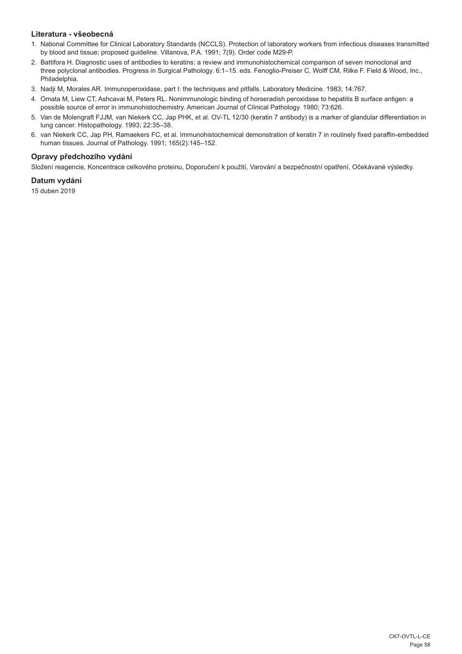## **Literatura - všeobecná**

- 1. National Committee for Clinical Laboratory Standards (NCCLS). Protection of laboratory workers from infectious diseases transmitted by blood and tissue; proposed guideline. Villanova, P.A. 1991; 7(9). Order code M29-P.
- 2. Battifora H. Diagnostic uses of antibodies to keratins: a review and immunohistochemical comparison of seven monoclonal and three polyclonal antibodies. Progress in Surgical Pathology. 6:1–15. eds. Fenoglio-Preiser C, Wolff CM, Rilke F. Field & Wood, Inc., Philadelphia.
- 3. Nadji M, Morales AR. Immunoperoxidase, part I: the techniques and pitfalls. Laboratory Medicine. 1983; 14:767.
- 4. Omata M, Liew CT, Ashcavai M, Peters RL. Nonimmunologic binding of horseradish peroxidase to hepatitis B surface antigen: a possible source of error in immunohistochemistry. American Journal of Clinical Pathology. 1980; 73:626.
- 5. Van de Molengraft FJJM, van Niekerk CC, Jap PHK, et al. OV-TL 12/30 (keratin 7 antibody) is a marker of glandular differentiation in lung cancer. Histopathology. 1993; 22:35–38.
- 6. van Niekerk CC, Jap PH, Ramaekers FC, et al. Immunohistochemical demonstration of keratin 7 in routinely fixed paraffin-embedded human tissues. Journal of Pathology. 1991; 165(2):145–152.

## **Opravy předchozího vydání**

Složení reagencie, Koncentrace celkového proteinu, Doporučení k použití, Varování a bezpečnostní opatření, Očekávané výsledky.

## **Datum vydání**

15 duben 2019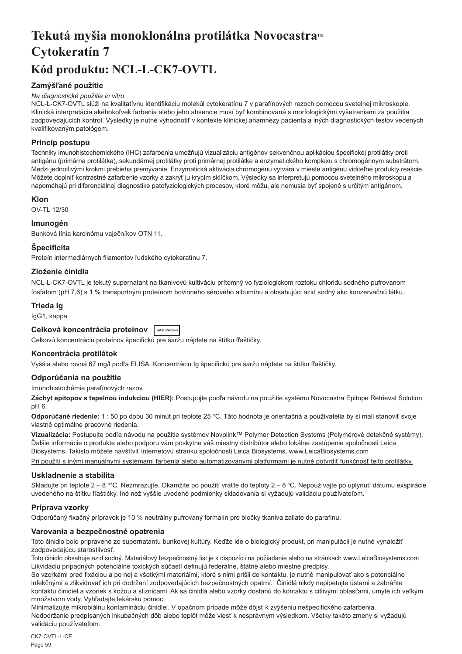## <span id="page-59-0"></span>Tekutá myšia monoklonálna protilátka Novocastra<sup>*M*</sup> **Cytokeratín 7 Kód produktu: NCL-L-CK7-OVTL**

## **Zamýšľané použitie**

## *Na diagnostické použitie in vitro.*

NCL-L-CK7-OVTL slúži na kvalitatívnu identifikáciu molekúl cytokeratínu 7 v parafínových rezoch pomocou svetelnej mikroskopie. Klinická interpretácia akéhokoľvek farbenia alebo jeho absencie musí byť kombinovaná s morfologickými vyšetreniami za použitia zodpovedajúcich kontrol. Výsledky je nutné vyhodnotiť v kontexte klinickej anamnézy pacienta a iných diagnostických testov vedených kvalifikovaným patológom.

## **Princíp postupu**

Techniky imunohistochemického (IHC) zafarbenia umožňujú vizualizáciu antigénov sekvenčnou aplikáciou špecifickej protilátky proti antigénu (primárna protilátka), sekundárnej protilátky proti primárnej protilátke a enzymatického komplexu s chromogénnym substrátom. Medzi jednotlivými krokmi prebieha premývanie. Enzymatická aktivácia chromogénu vytvára v mieste antigénu viditeľné produkty reakcie. Môžete doplniť kontrastné zafarbenie vzorky a zakryť ju krycím sklíčkom. Výsledky sa interpretujú pomocou svetelného mikroskopu a napomáhajú pri diferenciálnej diagnostike patofyziologických procesov, ktoré môžu, ale nemusia byť spojené s určitým antigénom.

## **Klon**

OV-TL 12/30

## **Imunogén**

Bunková línia karcinómu vaječníkov OTN 11.

## **Špecificita**

Proteín intermediárnych filamentov ľudského cytokeratínu 7.

## **Zloženie činidla**

NCL-L-CK7-OVTL je tekutý supernatant na tkanivovú kultiváciu prítomný vo fyziologickom roztoku chloridu sodného pufrovanom fosfátom (pH 7,6) s 1 % transportným proteínom bovinného sérového albumínu a obsahujúci azid sodný ako konzervačnú látku.

## **Trieda Ig**

IgG1, kappa

## **Celková koncentrácia proteínov Total Protein**

Celkovú koncentráciu proteínov špecifickú pre šaržu nájdete na štítku fľaštičky.

## **Koncentrácia protilátok**

Vyššia alebo rovná 67 mg/l podľa ELISA. Koncentráciu Ig špecifickú pre šaržu nájdete na štítku fľaštičky.

## **Odporúčania na použitie**

Imunohistochémia parafínových rezov.

**Záchyt epitopov s tepelnou indukciou (HIER):** Postupujte podľa návodu na použitie systému Novocastra Epitope Retrieval Solution pH 6.

**Odporúčané riedenie:** 1 : 50 po dobu 30 minút pri teplote 25 °C. Táto hodnota je orientačná a používatelia by si mali stanoviť svoje vlastné optimálne pracovné riedenia.

**Vizualizácia:** Postupujte podľa návodu na použitie systémov Novolink™ Polymer Detection Systems (Polymérové detekčné systémy). Ďalšie informácie o produkte alebo podporu vám poskytne váš miestny distribútor alebo lokálne zastúpenie spoločnosti Leica Biosystems. Takisto môžete navštíviť internetovú stránku spoločnosti Leica Biosystems, www.LeicaBiosystems.com

Pri použití s inými manuálnymi systémami farbenia alebo automatizovanými platformami je nutné potvrdiť funkčnosť tejto protilátky.

## **Uskladnenie a stabilita**

Skladujte pri teplote 2 – 8 °°C. Nezmrazujte. Okamžite po použití vráťte do teploty 2 – 8 °C. Nepoužívajte po uplynutí dátumu exspirácie uvedeného na štítku fľaštičky. Iné než vyššie uvedené podmienky skladovania si vyžadujú validáciu používateľom.

## **Príprava vzorky**

Odporúčaný fixačný prípravok je 10 % neutrálny pufrovaný formalín pre bločky tkaniva zaliate do parafínu.

## **Varovania a bezpečnostné opatrenia**

Toto činidlo bolo pripravené zo supernatantu bunkovej kultúry. Keďže ide o biologický produkt, pri manipulácii je nutné vynaložiť zodpovedajúcu starostlivosť.

Toto činidlo obsahuje azid sodný. Materiálový bezpečnostný list je k dispozícii na požiadanie alebo na stránkach www.LeicaBiosystems.com Likvidáciu prípadných potenciálne toxických súčastí definujú federálne, štátne alebo miestne predpisy.

So vzorkami pred fixáciou a po nej a všetkými materiálmi, ktoré s nimi prišli do kontaktu, je nutné manipulovať ako s potenciálne infekčnými a zlikvidovať ich pri dodržaní zodpovedajúcich bezpečnostných opatrní.<sup>1</sup> Činidlá nikdy nepipetujte ústami a zabráňte kontaktu činidiel a vzoriek s kožou a sliznicami. Ak sa činidlá alebo vzorky dostanú do kontaktu s citlivými oblasťami, umyte ich veľkým množstvom vody. Vyhľadajte lekársku pomoc.

Minimalizujte mikrobiálnu kontamináciu činidiel. V opačnom prípade môže dôjsť k zvýšeniu nešpecifického zafarbenia. Nedodržanie predpísaných inkubačných dôb alebo teplôt môže viesť k nesprávnym výsledkom. Všetky takéto zmeny si vyžadujú validáciu používateľom.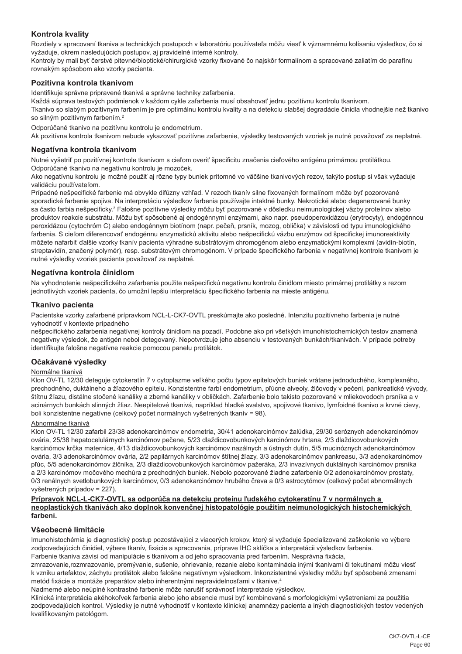## **Kontrola kvality**

Rozdiely v spracovaní tkaniva a technických postupoch v laboratóriu používateľa môžu viesť k významnému kolísaniu výsledkov, čo si vyžaduje, okrem nasledujúcich postupov, aj pravidelné interné kontroly.

Kontroly by mali byť čerstvé pitevné/bioptické/chirurgické vzorky fixované čo najskôr formalínom a spracované zaliatím do parafínu rovnakým spôsobom ako vzorky pacienta.

## **Pozitívna kontrola tkanivom**

Identifikuje správne pripravené tkanivá a správne techniky zafarbenia.

Každá súprava testových podmienok v každom cykle zafarbenia musí obsahovať jednu pozitívnu kontrolu tkanivom.

Tkanivo so slabým pozitívnym farbením je pre optimálnu kontrolu kvality a na detekciu slabšej degradácie činidla vhodnejšie než tkanivo so silným pozitívnym farbením.<sup>2</sup>

Odporúčané tkanivo na pozitívnu kontrolu je endometrium.

Ak pozitívna kontrola tkanivom nebude vykazovať pozitívne zafarbenie, výsledky testovaných vzoriek je nutné považovať za neplatné.

## **Negatívna kontrola tkanivom**

Nutné vyšetriť po pozitívnej kontrole tkanivom s cieľom overiť špecificitu značenia cieľového antigénu primárnou protilátkou. Odporúčané tkanivo na negatívnu kontrolu je mozoček.

Ako negatívnu kontrolu je možné použiť aj rôzne typy buniek prítomné vo väčšine tkanivových rezov, takýto postup si však vyžaduje validáciu používateľom.

Prípadné nešpecifické farbenie má obvykle difúzny vzhľad. V rezoch tkanív silne fixovaných formalínom môže byť pozorované sporadické farbenie spojiva. Na interpretáciu výsledkov farbenia používajte intaktné bunky. Nekrotické alebo degenerované bunky sa často farbia nešpecificky.<sup>3</sup> Falošne pozitívne výsledky môžu byť pozorované v dôsledku neimunologickej väzby proteínov alebo produktov reakcie substrátu. Môžu byť spôsobené aj endogénnymi enzýmami, ako napr. pseudoperoxidázou (erytrocyty), endogénnou peroxidázou (cytochróm C) alebo endogénnym biotínom (napr. pečeň, prsník, mozog, oblička) v závislosti od typu imunologického farbenia. S cieľom diferencovať endogénnu enzymatickú aktivitu alebo nešpecifickú väzbu enzýmov od špecifickej imunoreaktivity môžete nafarbiť ďalšie vzorky tkanív pacienta výhradne substrátovým chromogénom alebo enzymatickými komplexmi (avidín-biotín, streptavidín, značený polymér), resp. substrátovým chromogénom. V prípade špecifického farbenia v negatívnej kontrole tkanivom je nutné výsledky vzoriek pacienta považovať za neplatné.

## **Negatívna kontrola činidlom**

Na vyhodnotenie nešpecifického zafarbenia použite nešpecifickú negatívnu kontrolu činidlom miesto primárnej protilátky s rezom jednotlivých vzoriek pacienta, čo umožní lepšiu interpretáciu špecifického farbenia na mieste antigénu.

## **Tkanivo pacienta**

Pacientske vzorky zafarbené prípravkom NCL-L-CK7-OVTL preskúmajte ako posledné. Intenzitu pozitívneho farbenia je nutné vyhodnotiť v kontexte prípadného

nešpecifického zafarbenia negatívnej kontroly činidlom na pozadí. Podobne ako pri všetkých imunohistochemických testov znamená negatívny výsledok, že antigén nebol detegovaný. Nepotvrdzuje jeho absenciu v testovaných bunkách/tkanivách. V prípade potreby identifikujte falošne negatívne reakcie pomocou panelu protilátok.

## **Očakávané výsledky**

## Normálne tkanivá

Klon OV-TL 12/30 deteguje cytokeratín 7 v cytoplazme veľkého počtu typov epitelových buniek vrátane jednoduchého, komplexného, prechodného, duktálneho a žľazového epitelu. Konzistentne farbí endometrium, pľúcne alveoly, žlčovody v pečeni, pankreatické vývody, štítnu žľazu, distálne stočené kanáliky a zberné kanáliky v obličkách. Zafarbenie bolo takisto pozorované v mliekovodoch prsníka a v acinárnych bunkách slinných žliaz. Neepitelové tkanivá, napríklad hladké svalstvo, spojivové tkanivo, lymfoidné tkanivo a krvné cievy, boli konzistentne negatívne (celkový počet normálnych vyšetrených tkanív = 98).

## Abnormálne tkanivá

Klon OV-TL 12/30 zafarbil 23/38 adenokarcinómov endometria, 30/41 adenokarcinómov žalúdka, 29/30 seróznych adenokarcinómov ovária, 25/38 hepatocelulárnych karcinómov pečene, 5/23 dlaždicovobunkových karcinómov hrtana, 2/3 dlaždicovobunkových karcinómov krčka maternice, 4/13 dlaždicovobunkových karcinómov nazálnych a ústnych dutín, 5/5 mucinóznych adenokarcinómov ovária, 3/3 adenokarcinómov ovária, 2/2 papilárnych karcinómov štítnej žľazy, 3/3 adenokarcinómov pankreasu, 3/3 adenokarcinómov pľúc, 5/5 adenokarcinómov žlčníka, 2/3 dlaždicovobunkových karcinómov pažeráka, 2/3 invazívnych duktálnych karcinómov prsníka a 2/3 karcinómov močového mechúra z prechodných buniek. Nebolo pozorované žiadne zafarbenie 0/2 adenokarcinómov prostaty, 0/3 renálnych svetlobunkových karcinómov, 0/3 adenokarcinómov hrubého čreva a 0/3 astrocytómov (celkový počet abnormálnych vyšetrených prípadov = 227).

### **Prípravok NCL-L-CK7-OVTL sa odporúča na detekciu proteínu ľudského cytokeratínu 7 v normálnych a neoplastických tkanivách ako doplnok konvenčnej histopatológie použitím neimunologických histochemických farbení.**

### **Všeobecné limitácie**

Imunohistochémia je diagnostický postup pozostávajúci z viacerých krokov, ktorý si vyžaduje špecializované zaškolenie vo výbere zodpovedajúcich činidiel, výbere tkanív, fixácie a spracovania, príprave IHC sklíčka a interpretácii výsledkov farbenia. Farbenie tkaniva závisí od manipulácie s tkanivom a od jeho spracovania pred farbením. Nesprávna fixácia,

zmrazovanie,rozmrazovanie, premývanie, sušenie, ohrievanie, rezanie alebo kontaminácia inými tkanivami či tekutinami môžu viesť k vzniku artefaktov, záchytu protilátok alebo falošne negatívnym výsledkom. Inkonzistentné výsledky môžu byť spôsobené zmenami metód fixácie a montáže preparátov alebo inherentnými nepravidelnosťami v tkanive.4

Nadmerné alebo neúplné kontrastné farbenie môže narušiť správnosť interpretácie výsledkov.

Klinická interpretácia akéhokoľvek farbenia alebo jeho absencie musí byť kombinovaná s morfologickými vyšetreniami za použitia zodpovedajúcich kontrol. Výsledky je nutné vyhodnotiť v kontexte klinickej anamnézy pacienta a iných diagnostických testov vedených kvalifikovaným patológom.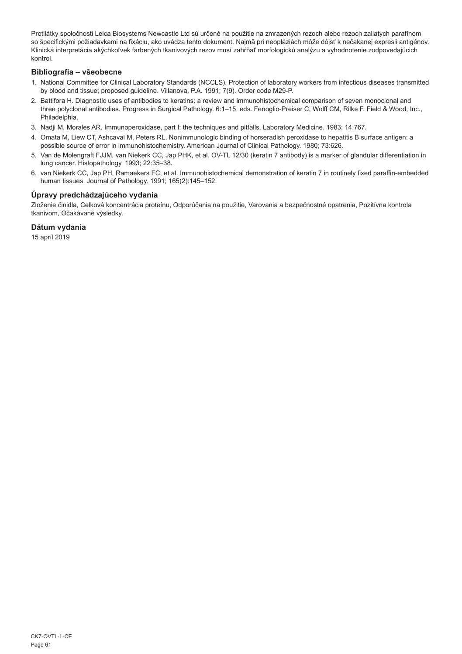Protilátky spoločnosti Leica Biosystems Newcastle Ltd sú určené na použitie na zmrazených rezoch alebo rezoch zaliatych parafínom so špecifickými požiadavkami na fixáciu, ako uvádza tento dokument. Najmä pri neopláziách môže dôjsť k nečakanej expresii antigénov. Klinická interpretácia akýchkoľvek farbených tkanivových rezov musí zahŕňať morfologickú analýzu a vyhodnotenie zodpovedajúcich kontrol.

## **Bibliografia – všeobecne**

- 1. National Committee for Clinical Laboratory Standards (NCCLS). Protection of laboratory workers from infectious diseases transmitted by blood and tissue; proposed guideline. Villanova, P.A. 1991; 7(9). Order code M29-P.
- 2. Battifora H. Diagnostic uses of antibodies to keratins: a review and immunohistochemical comparison of seven monoclonal and three polyclonal antibodies. Progress in Surgical Pathology. 6:1–15. eds. Fenoglio-Preiser C, Wolff CM, Rilke F. Field & Wood, Inc., Philadelphia.
- 3. Nadji M, Morales AR. Immunoperoxidase, part I: the techniques and pitfalls. Laboratory Medicine. 1983; 14:767.
- 4. Omata M, Liew CT, Ashcavai M, Peters RL. Nonimmunologic binding of horseradish peroxidase to hepatitis B surface antigen: a possible source of error in immunohistochemistry. American Journal of Clinical Pathology. 1980; 73:626.
- 5. Van de Molengraft FJJM, van Niekerk CC, Jap PHK, et al. OV-TL 12/30 (keratin 7 antibody) is a marker of glandular differentiation in lung cancer. Histopathology. 1993; 22:35–38.
- 6. van Niekerk CC, Jap PH, Ramaekers FC, et al. Immunohistochemical demonstration of keratin 7 in routinely fixed paraffin-embedded human tissues. Journal of Pathology. 1991; 165(2):145–152.

## **Úpravy predchádzajúceho vydania**

Zloženie činidla, Celková koncentrácia proteínu, Odporúčania na použitie, Varovania a bezpečnostné opatrenia, Pozitívna kontrola tkanivom, Očakávané výsledky.

## **Dátum vydania**

15 apríl 2019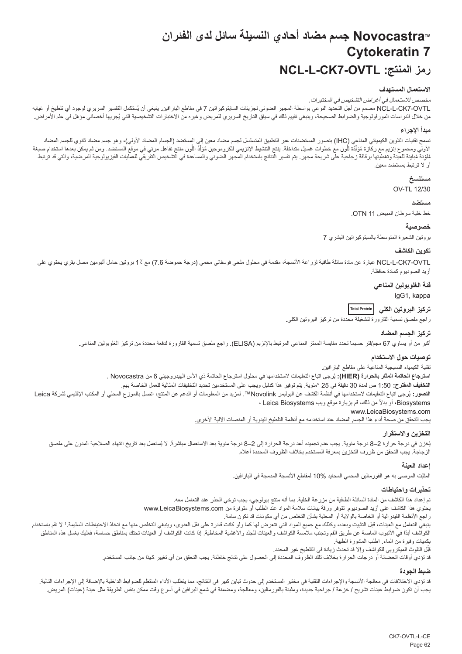## **NovocastraTM جسم مضاد أحادي النسيلة سائل لدى الفئران Cytokeratin 7 NCL-L-CK7-OVTL :المنتج رمز**

## **االستعمال المستهدف**

مخصص لالستعمال في أغراض التشخيص في المختبرات.

<span id="page-62-0"></span>NCL-L-CK7-OVTL مصمم من أجل التحديد النوعي بواسطة المجهر الضوئي لجزيئات السايتوكيراتين 7 في مقاطع البار أفين. ينبغي أن يُمتكمل التفسير السريري لوجود أي تلطيخ أو غيابه من خلال الدراسات المورفولوجية والضوابط الصحيحة، وينبغي تقييم ذلك في سقائي من المريز المريض وغيره الذكت التشخيصية التي يُجريها اخصائي مؤهل في علم الأمراض.

### **مبدأ اإلجراء**

تسمح تقنيات التلوين الكيميائي (IHC) بتصور المستضدات عبر التطبيق المتسلسل لجسم مضداد معين إلى المستضد (الجسام المضاد الأولي)، وهو جسم مضاد ثانوي للجسم المضاد الأولي ومجموع إنزيم مع ركازة مُؤلِّدة للّون مع خطوات غسل منتشرة التفسير المستودة التفسير التواسم المستخد ومن المستضد ومن ثم يمكن بعدا استخدام صبغة<br>مُلْوِنة مُبلينة وتغطيتها برقاقة زجاجية على شريحة مرير التقاسم المستخدم ال ļ َّ֧֦֧֖֖֖֖֖֧֚֚֚֚֚֚֚֚֡֝֬<u>֓</u> أو ال ترتبط بمستضد معين.

## **مستنسخ**

OV-TL 12/30

#### **مستضد**

خط خلية سرطان المبيض 11 OTN.

## **خصوصية**

بروتين الشعيرة المتوسطة بالسيتوكيراتين البشري 7

#### **تكوين الكاشف**

NCL-L-CK7-OVTL عبارة عن مادة سائلة طافية لزراعة الأنسجة، مقدمة في محلول ملحي فوسفاتي محمي (درجة حموضة 7.6) مع 1٪ بروتين حامل ألبومين مصل بقري يحتوي على أزيد الصوديوم كمادة حافظة.

**فئة الغلوبولين المناعي**

IgG1, kappa

**تركيز البروتين الكلي Total Protein**

راجع ملصق تسمية القارورة لتشغيلة محددة من تركيز البروتين الكلي.

## **تركيز الجسم المضاد**

أكبر من أو يساوي 67 مجم/لتر حسبما تحدد مقايسة الممتز المناعي المرتبط باإلنزيم )ELISA). راجع ملصق تسمية القارورة لدفعة محددة من تركيز الغلوبولين المناعي.

#### **توصيات حول االستخدام**

تقنية الكيمياء النسيجية المناعية على مقاطع البارافين.

ا**سترجاع الحاتمة المثار بالحرارة (HIER):** يُرجى اتباع التعليمات لاستخدامها في محلول استرجاع الحاتمة ذي الاس الهيدروجيني 6 من Novocastra . **التخفيف المقترح:** 1:50 ص لمدة 30 دقيقة في 25 °مئوية. يتم توفير هذا كدليل ويجب على المستخدمين تحديد التخفيفات المثالية للعمل الخاصة بهم. ُرجى اتباع التعليمات الستخدامها في أنظمة الكشف عن البوليمر Novolink™. لمزيد من المعلومات أو الدعم عن المنتج، اتصل بالموزع المحلي أو المكتب اإلقليمي لشركة Leica **التصور:** ي ً من ذلك، قم بزيارة موقع ويب Biosystems Leica ، Biosystems، أو بدال

www.LeicaBiosystems.com

يجب التحقق من صحة أداء هذا الجسم المضاد عند استخدامه مع أنظمة التلطيخ اليدوية أو المنصات اآللية األخرى.

#### **التخزين واالستقرار**

بُخزن في درجة حرارة 2–8 درجة مئوية. يجب عدم تجميده أعد درجة الحرارة إلى 2–8 درجة مئوية بعد الاستعمال ملتب الشعاء الصلاحية المدون على ملصق الزجاجة. يجب التحقق من ظروف التخزين بمعرفة المستخدم بخالف الظروف المحددة أعاله.

#### **إعداد العينة**

المثَّبِّت الموصى به هو الفور مالين المحمي المحايد 10% لمقاطع الانسجة المدمجة في البار افين.

## **تحذيرات واحتياطات**

تم إعداد هذا الكاشف من المادة السائلة الطافية من مزرعة الخلية. بما أنه منتج بيولوجي، يجب توخي الحذر عند التعامل معه. يحتوي هذا الكاشف على أزيد الصوديوم. تتوفر ورقة بيانات سالمة المواد عند الطلب أو متوفرة من com.LeicaBiosystems.www راجع األنظمة الفيدرالية أو الخاصة بالوالية أو المحلية بشأن التخلص من أي مكونات قد تكون سامة. ينبغي التعامل مع العينات، قبل التثبيت وبعده، وكذلك مع جميع المواد التي تتم تعلى التخري، وينبغي التخلص منها مع اتخاذ الاحتياطات السليمة.1 لا تقم باستخدام الكواشف أبدًا في الأنبوب الماصة عن طريق الفم وتجنب ملامسة الكواشف الجلوا والمؤسلة المخاطية. إذا كانت الكواشف أو العينات تحتك بمناطق حساسة، فعليك بغسل هذه المناطق بكميات وفيرة من الماء. اطلب المشورة الطبية.

ِل التلوث الميكروبي للكواشف وإال قد تحدث زيادة في التلطيخ غير المحدد. قل Ï,

قد تؤدي أوقات الحضانة أو درجات الحرارة بخالف تلك الظروف المحددة إلى الحصول على نتائج خاطئة. يجب التحقق من أي تغيير كهذا من جانب المستخدم.

### **ضبط الجودة**

قد تؤدي الإختلافات في معالجة الأنسجة والإجراءات التقنية في مختبر المستخدم إلى حدوث تباين كبير في النتائج، مما يتطلب الأداء المنتظم للضوابط الداخلية بالإضافة إلى الإجراءات التالية. يجب أن تكون ضوابط عينات تشريح / خزعة / جراحية جديدة، ومثبتة بالفورمالين، ومعالجة، ومضمنة في شمع البرافين في أسرع وقت ممكن بنفس الطريقة مثل عينة (عينات) المريض.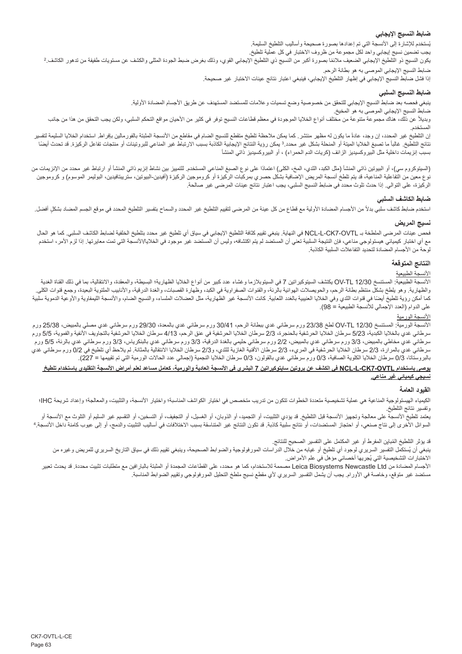## **ضابط النسيج اإليجابي**

بُستخدم للإشارة إلى الانسجة التي تم إعدادها بصنورة صحيحة واساليب التلطيخ السليمة.

بجب تضمين نسيج إيجابي واحد لكل مجموعة من ظروف الاختبار في كل عملية تلطيخ.<br>يكون النسيج ذو التلطيخ الإيجابي الضعيف ملائمًا بصورة أكبر من النسيج ذي التلفية والتلف التحاري المعالي والكشف عن مستويات طفيفة من تدهور الكاشف.2 ضابط النسيج اإليجابي الموصى به هو بطانة الرحم.

إذا فشل ضابط النسيج اإليجابي في إظهار التلطيخ اإليجابي، فينبغي اعتبار نتائج عينات االختبار غير صحيحة.

## **ضابط النسيج السلبي**

ينبغي فحصه بعد ضابط النسيج الإيجابي للتحقق من خصوصية وضع تسميات وعلامات للمستضد المستهدف عن طريق الأجسام المضادة الأولية.

ضابط النسيج اإليجابي الموصى به هو المخيخ.

ربديلاً عن ذلك، هناك مجموعة متنوعة من مختلف أنواع الخلايا الموجودة في معظم قطاعات النسيج توفر في كالها على المعاه عامل التحكم السلبي، ولكن يجب التحقق من هذا من جانب المستخدم.

إن التلطيخ غير المحدد، إن وجد، عادة ما يكون له مظهر منتشر . كما يمكن منتظم من المنطق المثلج النساس المالي بالمر مالين بإفراط. استخدام الخلايا السليمة لتفسير نتائج التلطيخ. غالبا مالم المنحا المنحلة المنحلة بشكل غير محدد.3 يمكن المناع المناع المرتباط المنسب الارتباط غير المناعي للبروتينات أو منتجات تفاعل الركيزة. قد تحدث أيضا بسبب إنزيمات داخلية مثل البيروكسيديز الزائف (كريات الدم الحمراء) ، أو البيروكسيديز ذاتي المنشأ

(السيتوكروم سي)، أو البيوتين ذاتي المنشأ (مثل الكبد، الثدي، المخ، المناعي المستخدم الكلميز بين نشاط إنزيم ذاتي المنشأ أو ارتباط غير محدد من الإنزيمات من نوع معين من التفاعلية المناعية، قد يتم تلطخ أنسجة المريض الإصافية بشكل حصري بمركبات الركيزة الركيزة (أفيدين-البيوتين، ستريبتافيدين، البوليمر الموسوم) و كروموجين الركيزة، على التوالي. إذا حدث تلوث محدد في ضابط النسيج السلبي، يجب اعتبار نتائج عينات المرضى غير صالحة.

## **ضابط الكاشف السلبي**

استخدم ضابط كاشف سلبي بدلأ من الأجسام المضادة الأولية مع قطاع من كل المحل التحاريخ غير المحدد والسماح بتفسير التلطيخ المحدد في موقع الجسم المضاد بشكلٍ أفضل.

## **نسيج المريض**

فحص عينات المرضى الملطخة بـ OVTL7-CK-L-NCL في النهاية. ينبغي تقييم كثافة التلطيخ اإليجابي في سياق أي تلطيخ غير محدد بتلطيخ الخلفية لضابط الكاشف السلبي. كما هو الحال مع أي اختبار كيميائي هيستولوجي مناعي، فإن النتيجة السلبية تعني أن المستضد عبير موجود المستضد غير موجود في الخلايا/الأنسجة التي تمت معايرتها. إذا لزم الأمر، استخدم لوحة من األجسام المضادة لتحديد التفاعالت السلبية الكاذبة.

## **النتائج المتوقعة**

## الأنسجة <u>الطبيعية</u>

الأنسجة الطبيعية: المستنسخ VV-TL 12/30 يكتشف السيتوكيراتين 7 في السيتوبلازما و غشاء عدد كبير من أنواع الخلايا الظهارية؛ البسيطة، والانتقالية، بما في ذلك القناة الغدية والظهارية. وهو يلطخ بشكلم منتظم بطانة الرحم، والحويصلات الهونائية في الكبرة والقصار والقصال والغدة الدرقية، والأنابيب الملتوية البعيدة، وجمع قنوات الكلى كما أمكن رؤية تلطيخ أيضا في قنوات الثدي وفي الخلايا العنينية بالغدام الخلساء الثالية الثالثة، مثل العضالت الفلسج الفلاس الثانية الليابواية والأوعية النموية سلبية على الدوام )العدد اإلجمالي لألنسجة الطبيعية = 98(.

## الأنسجة الورمية

الأنسجة الورمية: المستنسخ 23/30 DV-TL لطخ 23/38 ورم سرطاني غدي ببطانة الرحم، 14/0 ورم سرطاني غدي 12/30 ورم سرطاني غدي مصلي بالمبيض، 25/38 ورم سرطاني غدي بالخلايا الكبدية، 5/23 سرطان الخلايا الحرشفية بالخبورة، 2/3 سرطان الخاليا الحرشان الخاليا الحلاليا الحرشفية بالتجاويف الأنفية والفموية، 5/5 ورم سرطاني غدي مخاطي بالمبيض، 3/3 ورم سرطاني غدي بالمبيض، 2/2 ورم سرطاني حليمي بالغدة الدرقية، 3/3 ورم سرطاني غدي بالبنكرياس، 3/3 ورم سرطاني غدي بالرئة، 5/5 ورم سرطاني غدي بالمرارة، 2/3 سرطان الخلايا الحرشفية في المريء، 2/3 سرطان المرار الخلاليا الانتقالية بالمثانة. لم يلاحظ أي تلطيخ في 0/2 ورم سرطاني غدي بالبروستاتا، 0/3 سرطان الخاليا الكلوية الصافية، 0/3 ورم سرطاني غدي بالقولون، 0/3 سرطان الخاليا النجمية )إجمالي عدد الحاالت الورمية التي تم تقييمها = 227(.

## **يوصى باستخدام OVTL7-CK-L-NCL في الكشف عن بروتين سايتوكيراتين 7 البشري في األنسجة العادية والورمية، كعامل مساعد لعلم أمراض األنسجة التقليدي باستخدام تلطيخ نسيجي كيميائي غير مناعي.**

### **القيود العامة**

الكيمياء الهيستولوجية المناعية هي عملية تشخيصية متعددة الخطوات تتكون من تدريب متخصص في اختيار المناسبة؛ والشبت والتشبت، والمعالجة؛ وإعداد شريحة IHC؛ وتفسير نتائج التلطيخ.

يعتمد تلطيخ الأنسجة على معالجة وتجهيز الأنسجة قبل التلطيخ. قد يؤدي التشارية وتجابية، أو التشارين، أو التقسيم غير السليم أو التلوث مع الأنسجة أو السوائل الأخرى إلى نتاج صنعي، أو احتجاز المستضدات، أو نتائج ملائبة قد تكون النتاسقة قد النسبب الأختلافات في اساليب التثبيت والدمج، أو إلى عيوب كامنة داخل الانسجة. 4

قد يؤثر التلطيخ المُباين المفرط او غير المكتمل على التفسير الصحيح للنتائج.

بنغي ان يُستكمل التفسير السريري لوجود اي تلطيخ او غيابه من خلال الدراسات المورفولوجية والضوابط الصحيحة، وينبغي تقييم ذلك في سياق التاريخ السريري للمريض وغيره من الأختبار ات التشخيصية التي يُجريها اخصـائي مؤهل في علم الأمر اض.

الأجسام المضادة من Leica Biosystems Newcastle Ltd مصممة للاستخدام، كما هو محدد، على القطاعات المجمدة أو المثبتة بالبارافين مع متطلبات تثبيت محددة. قد يحدث تعبير مستضد غير متوقع، وخاصة في األورام. يجب أن يشمل التفسير السريري ألي مقطع نسيج ملطخ التحليل المورفولوجي وتقييم الضوابط المناسبة.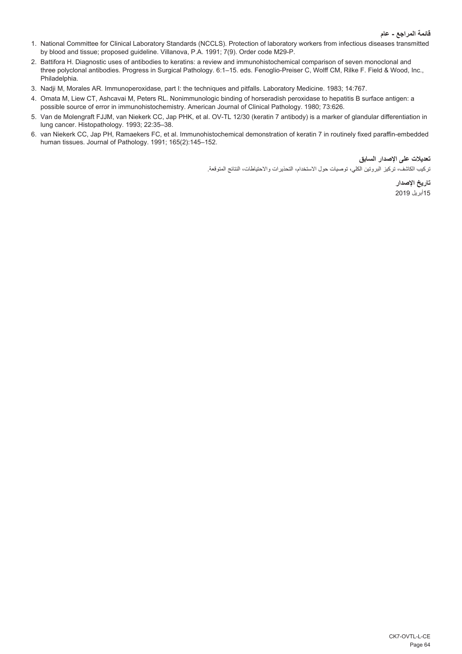- 1. National Committee for Clinical Laboratory Standards (NCCLS). Protection of laboratory workers from infectious diseases transmitted by blood and tissue; proposed guideline. Villanova, P.A. 1991; 7(9). Order code M29-P.
- 2. Battifora H. Diagnostic uses of antibodies to keratins: a review and immunohistochemical comparison of seven monoclonal and three polyclonal antibodies. Progress in Surgical Pathology. 6:1–15. eds. Fenoglio-Preiser C, Wolff CM, Rilke F. Field & Wood, Inc., Philadelphia.
- 3. Nadji M, Morales AR. Immunoperoxidase, part I: the techniques and pitfalls. Laboratory Medicine. 1983; 14:767.
- 4. Omata M, Liew CT, Ashcavai M, Peters RL. Nonimmunologic binding of horseradish peroxidase to hepatitis B surface antigen: a possible source of error in immunohistochemistry. American Journal of Clinical Pathology. 1980; 73:626.
- 5. Van de Molengraft FJJM, van Niekerk CC, Jap PHK, et al. OV-TL 12/30 (keratin 7 antibody) is a marker of glandular differentiation in lung cancer. Histopathology. 1993; 22:35–38.
- 6. van Niekerk CC, Jap PH, Ramaekers FC, et al. Immunohistochemical demonstration of keratin 7 in routinely fixed paraffin-embedded human tissues. Journal of Pathology. 1991; 165(2):145–152.

**تعديالت على اإلصدار السابق**

تركيب الكاشف، تركيز البروتين الكلي، توصيات حول االستخدام، التحذيرات واالحتياطات، النتائج المتوقعة.

**تاريخ اإلصدار** 15أبريل 2019